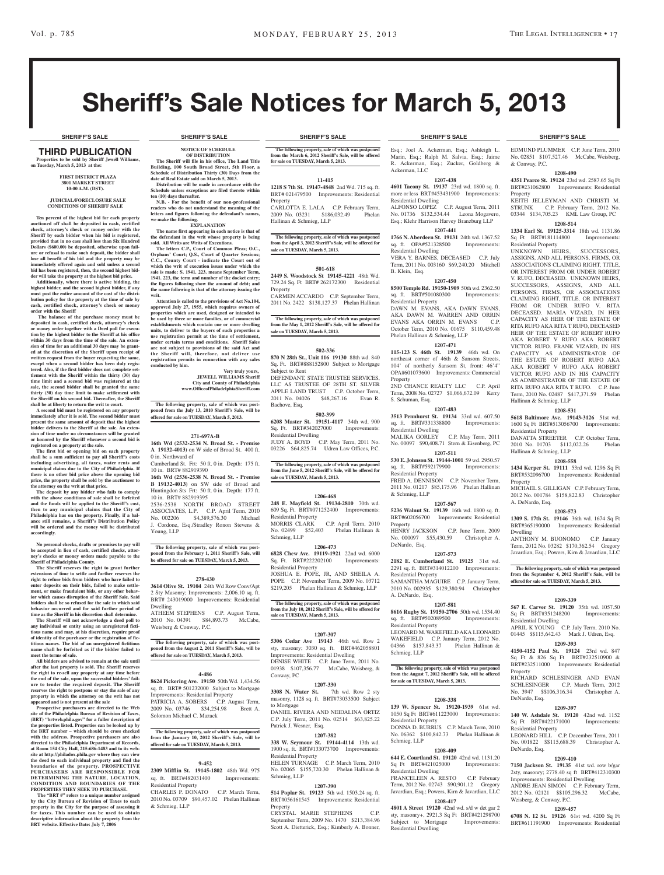EDMUND PLUMMER C.P. June Term, 2010 No. 02851 \$107,527.46 McCabe, Weisberg,

**1208-490 4351 Pearce St. 19124** 23rd wd. 2587.65 Sq Ft BRT#231062800 Improvements: Residential

KEITH JELLEYMAN AND CHRISTI M. STRUNK C.P. February Term, 2012 No. 03344 \$134,705.23 KML Law Group, PC **1208-514 1334 Earl St. 19125-3314** 18th wd. 1131.86 Sq Ft BRT#181114800 Improvements:

UNKNOWN HEIRS, SUCCESSORS, ASSIGNS, AND ALL PERSONS, FIRMS, OR ASSOCIATIONS CLAIMING RIGHT, TITLE, OR INTEREST FROM OR UNDER ROBERT V. RUFO, DECEASED. UNKNOWN HEIRS, SUCCESSORS, ASSIGNS, AND ALL PERSONS, FIRMS, OR ASSOCIATIONS CLAIMING RIGHT, TITLE, OR INTEREST FROM OR UNDER RUFO V. RITA DECEASED. MARIA VIZARD, IN HER CAPACITY AS HEIR OF THE ESTATE OF RITA RUFO AKA RITA T RUFO, DECEASED HEIR OF THE ESTATE OF ROBERT RUFO AKA ROBERT V RUFO AKA ROBERT VICTOR RUFO. FRANK VIZARD, IN HIS CAPACITY AS ADMINISTRATOR OF THE ESTATE OF ROBERT RUFO AKA AKA ROBERT V RUFO AKA ROBERT VICTOR RUFO AND IN HIS CAPACITY AS ADMINISTRATOR OF THE ESTATE OF RITA RUFO AKA RITA T RUFO. C.P. June Term, 2010 No. 02487 \$417,371.59 Phelan

& Conway, P.C.

Residential Property

Hallinan & Schmieg, LLP

Hallinan & Schmieg, LLP

Residential Property

**Property** 

Dwelling

A. DeNardo, Esq.

Residential Dwelling

Property

DeNardo, Esq.

residential **D** 

DeNardo, Esq.

Weisberg, & Conway, P.C.

**1208-531 5618 Baltimore Ave. 19143-3126** 51st wd. 1600 Sq Ft BRT#513056700 Improvements:

DANATTA STREETER C.P. October Term, 2010 No. 01703 \$112,022.26 Phelan

**1208-558 1434 Kerper St. 19111** 53rd wd. 1296 Sq Ft BRT#532096700 Improvements: Residential

MICHAEL S. GILLIGAN C.P. February Term, 2012 No. 001784 \$158,822.83 Christopher

**1208-573 1309 S. 17th St. 19146** 36th wd. 1674 Sq Ft BRT#365190000 Improvements: Residential

ANTHONY M. BUONOMO C.P. January Term, 2012 No. 03282 \$170,362.54 Gregory Javardian, Esq.; Powers, Kirn & Javardian, LLC

**The following property, sale of which was postponed from the September 4, 2012 Sheriff's Sale, will be offered for sale on TUESDAY, March 5, 2013.**

**1209-339 567 E. Carver St. 19120** 35th wd. 1057.50 Sq Ft BRT#351248200 Improvements:

APRIL K YOUNG C.P. July Term, 2010 No. 01445 \$\$115,642.43 Mark J. Udren, Esq. **1209-393 4150-4152 Paul St. 19124** 23rd wd. 847 Sq Ft & 826 Sq Ft BRT#232510900 & BRT#232511000 Improvements: Residential

RICHARD SCHLESINGER AND EVAN SCHLESINGER C.P. March Term, 2012 No. 3947 \$\$106,316.34 Christopher A.

**1209-397 140 W. Ashdale St. 19120** 42nd wd. 1152 Sq Ft BRT#422171000 Improvements:

LEONARD HILL C.P. December Term, 2011 No. 001822 \$\$115,688.39 Christopher A.

**1209-410 7150 Jackson St. 19135** 41st wd. row b/gar 2sty, masonry; 2778.40 sq ft BRT#412310300 Improvements: Residential Dwelling ANDRE JEAN SIMON C.P. February Term, 2012 No. 02121 \$\$105,296.32 McCabe,

**1209-457 6708 N. 12 St. 19126** 61st wd. 4200 Sq Ft BRT#611191900 Improvements: Residential

Property

# Sheriff's Sale Notices for March 5, 2013

### THIRD PUBLICATION **Properties to be sold by Sheriff Jewell Williams, on Tuesday, March 5, 2013 at the:**

### **First District Plaza 3801 Market Street 10:00 A.M. (DST).**

### **JUDICIAL/FORECLOSURE SALE CONDITIONS OF SHERIFF SALE**

**Ten percent of the highest bid for each property auctioned off shall be deposited in cash, certified check, attorney's check or money order with the Sheriff by each bidder when his bid is registered, provided that in no case shall less than Six Hundred Dollars (\$600.00) be deposited, otherwise upon fail-ure or refusal to make such deposit, the bidder shall lose all benefit of his bid and the property may be immediately offered again and sold unless a second bid has been registered, then, the second highest bid-**

**der will take the property at the highest bid price. Additionally, where there is active bidding, the highest bidder, and the second highest bidder, if any must post the entire amount of the cost of the distri-bution policy for the property at the time of sale by cash, certified check, attorney's check or money order with the Sheriff**

 **The balance of the purchase money must be deposited in cash, certified check, attorney's check or money order together with a Deed poll for execution by the highest bidder to the Sheriff at his office within 30 days from the time of the sale. An extension of time for an additional 30 days may be granted at the discretion of the Sheriff upon receipt of written request from the buyer requesting the same,**  excent when a second bidder has been duly regis**tered. Also, if the first bidder does not complete settlement with the Sheriff within the thirty (30) day time limit and a second bid was registered at the sale, the second bidder shall be granted the same thirty (30) day time limit to make settlement with the Sheriff on his second bid. Thereafter, the Sheriff shall be at liberty to return the writ to court.**

**A second bid must be registered on any property immediately after it is sold. The second bidder must present the same amount of deposit that the highest**  delivers to the Sheriff at the sale. An exten**sion of time under no circumstances will be granted or honored by the Sheriff whenever a second bid is registered on a property at the sale.** 

**The first bid or opening bid on each property shall be a sum sufficient to pay all Sheriff's costs including advertising, all taxes, water rents and municipal claims due to the City of Philadelphia. If there is no other bid price above the opening bid price, the property shall be sold by the auctioneer to the attorney on the writ at that price.**

**The deposit by any bidder who fails to comply with the above conditions of sale shall be forfeited and the funds will be applied to the Sheriff's cost, then to any municipal claims that the City of Philadelphia has on the property. Finally, if a bal-ance still remains, a Sheriff's Distribution Policy will be ordered and the money will be distributed accordingly.**

**No personal checks, drafts or promises to pay will be accepted in lieu of cash, certified checks, attorney's checks or money orders made payable to the Sheriff of Philadelphia County.**

**The Sheriff reserves the right to grant further extensions of time to settle and further reserves the right to refuse bids from bidders who have failed to enter deposits on their bids, failed to make settle-ment, or make fraudulent bids, or any other behavior which causes disruption of the Sheriff Sale. Said bidders shall be so refused for the sale in which said behavior occurred and for said further period of time as the Sheriff in his discretion shall determine. The Sheriff will not acknowledge a deed poll to** 

**any individual or entity using an unregistered fictithe name and may, at his discretion, require pro of identity of the purchaser or the registration of fictitious names. The bid of an unregistered fictitious name shall be forfeited as if the bidder failed to meet the terms of sale.**

**All bidders are advised to remain at the sale until after the last property is sold. The Sheriff reserves the right to re-sell any property at any time before the end of the sale, upon the successful bidders' failure to tender the required deposit. The Sheriff reserves the right to postpone or stay the sale of any property in which the attorney on the writ has not** 

**appeared and is not present at the sale Prospective purchasers are directed to the Web site of the Philadelphia Bureau of Revision of Taxes, (BRT) "brtweb.phila.gov" for a fuller description of the properties listed. Properties can be looked up by the BRT number – which should be cross checked with the address. Prospective purchasers are also directed to the Philadelphia Department of Records, at Room 154 City Hall, 215-686-1483 and to its website at http://philadox.phila.gov where they can view the deed to each individual property and find the boundaries of the property. PROSPECTIVE PURCHASERS ARE RESPONSIBLE FOR DETERMINING THE NATURE, LOCATION, CONDITION AND BOUNDARIES OF THE PROPERTIES THEY SEEK TO PURCHASE.**

The "BRT #" refers to a unique number assigned **by the City Bureau of Revision of Taxes to each property in the City for the purpose of assessing it for taxes. This number can be used to obtain descriptive information about the property from the BRT website. Effective Date: July 7, 2006**

### **SHERIFF'S SALE SHERIFF'S SALE SHERIFF'S SALE SHERIFF'S SALE SHERIFF'S SALE**

**NOTICE OF SCHEDULE OF DISTRIBUTION The Sheriff will file in his office, The Land Title Building, 100 South Broad Street, 5th Floor, a Schedule of Distribution Thirty (30) Days from the** 

**date of Real Estate sold on March 5, 2013. Distribution will be made in accordance with the Schedule unless exceptions are filed thereto within ten (10) days thereafter.**

**N.B. - For the benefit of our non-professional readers who do not understand the meaning of the letters and figures following the defendant's names, we make the following. EXPLANATION**

**The name first appearing in each notice is that of the defendant in the writ whose property is being sold. All Writs are Writs of Executions.**

**The letters C.P., Court of Common Pleas; O.C.,**  Orphans' Court; Q.S., Court of Quarter Session **C.C., County Court - indicate the Court out of which the writ of execution issues under which the**  sale is made: S. 1941. 223. means September Term, **1941. 223, the term and number of the docket entry; the figures following show the amount of debt; and the name following is that of the attorney issuing the writ.**

**Attention is called to the provisions of Act No.104, approved July 27, 1955, which requires owners of properties which are used, designed or intended to be used by three or more families, or of commercial establishments which contain one or more dwelling units, to deliver to the buyers of such properties a use registration permit at the time of settlement, under certain terms and conditions. Sheriff Sales are not subject to provisions of the said Act and the Sheriff will, therefore, not deliver use registration permits in connection with any sales conducted by him.**

**Very truly yours, JEWELL WILLIAMS Sheriff City and County of Philadelphia www.OfficeofPhiladelphiaSheriff.com**

**The following property, sale of which was post-poned from the July 13, 2010 Sheriff's Sale, will be offered for sale on TUESDAY, March 5, 2013.**

### **271-697A-B**

**16th Wd (2532-2534 N. Broad St. - Premise A 19132-4013)** on W side of Broad St. 400 ft. 0 in. Northward of

Cumberland St. Frt: 50 ft. 0 in. Depth: 175 ft. 10 in. BRT# 882919390 **16th Wd (2536-2538 N. Broad St. - Premise B 19132-4013)** on SW side of Broad and

Huntingdon Sts Frt: 50 ft. 0 in. Depth: 177 ft. 10 in. BRT# 882919395 2536-2538 NORTH BROAD STREET ASSOCIATES, L.P. C.P. April Term, 2010

No. 002206 \$4,389,576.30 Michael J. Cordone, Esq./Stradley Ronon Stevens & Young, LLP

**The following property, sale of which was postponed from the February 1, 2011 Sheriff's Sale, will be offered for sale on TUESDAY, March 5, 2013.**

### **278-430**

**3614 Olive St. 19104** 24th Wd Row Conv/Apt 2 Sty Masonry; Improvements: 2,006.10 sq. ft. BRT# 243019000 Improvements: Residential Dwelling

ATHEEM STEPHENS C.P. August Term, 2010 No. 04391 \$84,893.73 McCabe,

Weisberg & Conway, P.C.

**The following property, sale of which was post-poned from the August 2, 2011 Sheriff's Sale, will be offered for sale on TUESDAY, March 5, 2013.**

### **4-486**

**8624 Pickering Ave. 19150** 50th Wd. 1,434.56 sq. ft. BRT# 501232000 Subject to Mortgage Improvements: Residential Property PATRICIA A. SOBERS C.P. August Term, 2009 No. 03746 \$34,254.98 Brett A. Solomon Michael C. Mazack

**The following property, sale of which was postponed from the January 10, 2012 Sheriff's Sale, will be offered for sale on TUESDAY, March 5, 2013.**

### **9-452**

**2309 Mifflin St. 19145-1802** 48th Wd. 975 sq. ft. BRT#482031400 Improvements: Residential Property CHARLES P. DONATO C.P. March Term,

2010 No. 03709 \$90,457.02 Phelan Hallinan & Schmieg, LLP

**The following property, sale of which was postponed from the March 6, 2012 Sheriff's Sale, will be offered for sale on TUESDAY, March 5, 2013.**

### **11-415 1218 S 7th St. 19147-4848** 2nd Wd. 715 sq. ft.

BRT# 021479500 Improvements: Residential Property CARLOTTA E. LALA C.P. February Term,<br>2009 No. 03231 \$186.032.49 Phelan  $2009$  No.  $03231$  \$186,032.49 Hallinan & Schmieg, LLP

**The following property, sale of which was postponed from the April 3, 2012 Sheriff's Sale, will be offered for sale on TUESDAY, March 5, 2013.**

### **501-618**

**2449 S. Woodstock St 19145-4221** 48th Wd. 729.24 Sq. Ft BRT# 262172300 Residential Property CARMEN ACCARDO C.P. September Term,

2011 No. 2422 \$138,127.37 Phelan Hallinan

**The following property, sale of which was postponed from the May 1, 2012 Sheriff's Sale, will be offered for sale on TUESDAY, March 5, 2013.**

### **502-336**

**870 N 28th St., Unit 116 19130** 88th wd. 840 Sq. Ft. BRT#888152800 Subject to Mortgage Subject to Rent DEFENDANT, STATE TRUSTEE SERVICES, LLC AS TRUSTEE OF 28TH ST. SILVER APPLE LAND TRUST C.P. October Term,<br>2011 No. 04026 \$48,267.16 Evan R. 2011 No. 04026 \$48,267.16 Evan R. Bachove, Esq.

### **502-399**

**6208 Master St. 19151-4117** 34th wd. 900 Sq. Ft. BRT#342027000 Improvements: Residential Dwelling JUDY A. BOYD C.P. May Term, 2011 No.

03226 \$64,825.74 Udren Law Offices, P.C. **The following property, sale of which was postponed** 

**from the June 5, 2012 Sheriff's Sale, will be offered for sale on TUESDAY, March 5, 2013.**

### **1206-468**

**248 E. Mayfield St. 19134-2810** 70th wd. 609 Sq. Ft. BRT#071252400 Improvements: Residential Property MORRIS CLARK C.P. April Term, 2010<br>No. 02499 \$52,403 Phelan Hallinan & No. 02499 \$52,403 Schmieg, LLP

### **1206-473**

**6828 Chew Ave. 19119-1921** 22nd wd. 6000<br>Sq. Ft. BRT#222202100 Improvements: Sq. Ft. BRT#222202100 Residential Property JOSHUA E. POPE, JR, AND SHEILA A. POPE C.P. November Term, 2009 No. 03712 \$219,205 Phelan Hallinan & Schmieg, LLP

**The following property, sale of which was postponed from the July 10, 2012 Sheriff's Sale, will be offered for sale on TUESDAY, March 5, 2013.**

### **1207-307**

**5306 Cedar Ave 19143** 46th wd. Row 2 sty, masonry; 3030 sq. ft. BRT#462058801 Improvements: Residential Dwelling DENISE WHITE C.P. June Term, 2011 No. 01938 \$107,356.77 McCabe, Weisberg, & Conway, PC

**1207-330**<br>**Rt** 7th wd. Row 2 sty **3308 N. Water St.** 7th wd. Row 2 sty masonry, 1128 sq. ft. BRT#73033500 Subject to Mortgage DANIEL RIVERA AND NEIDALINA ORTIZ C.P. July Term, 2011 No. 02514 \$63,825.22

Patrick J. Wesner, Esq. **1207-382**

**338 W. Seymour St. 19144-4114** 13th wd. 1900 sq. ft. BRT#133073700 Improvements: Residential Property HELEN TURNAGE C.P. March Term, 2010 No. 02065 \$155,720.30 Phelan Hallinan &

### **1207-390**

Schmieg, LLP

**514 Poplar St. 19123** 5th wd. 1503.24 sq. ft. BRT#056161545 Improvements: Residential Property

CRYSTAL MARIE STEPHENS C.P. September Term, 2009 No. 1470 \$213,384.96 Scott A. Dietterick, Esq.; Kimberly A. Bonner,

Esq.; Joel A. Ackerman, Esq.; Ashleigh L. Marin, Esq.; Ralph M. Salvia, Esq.; Jaime R. Ackerman, Esq.; Zucker, Goldberg & Ackerman, LLC

**1207-438 4601 Tacony St. 19137** 23rd wd. 1800 sq. ft. more or less BRT#453431900 Improvements: Residential Dwelling ALFONSO LOPEZ C.P. August Term, 2011 No. 01736 \$132,534.44 Leona Mogavero, Esq.; Klehr Harrison Harvey Branzburg LLP

### **1207-441**

**1766 N. Aberdeen St. 19131** 24th wd. 1367.52 sq. ft. OPA#521328500 Improvements: Residential Dwelling VERA Y. BARNES, DECEASED C.P. July

Term, 2011 No. 003160 \$69,240.20 Mitchell B. Klein, Esq. **1207-450**

### **8500 Temple Rd. 19150-1909** 50th wd. 2362.50

sq. ft. BRT#501080300 Improvements: Residential Property DAWN M. EVANS, AKA DAWN EVANS, AKA DAWN M. WARREN AND ORRIN EVANS AKA ORRIN M. EVANS C.P. October Term, 2010 No. 01675 \$110,459.48 Phelan Hallinan & Schmieg, LLP

# **1207-471**

**115-123 S. 46th St. 19139** 46th wd. On northeast corner of 46th & Sansom Streets, 104' of northerly Sansom St, front: 46'4" OPA#601073600 Improvements: Commercial Property

2ND CHANCE REALTY LLC C.P. April Term, 2008 No. 02727 \$1,066,672.09 Kerry S. Schuman, Esq. **1207-483**

**3513 Pennhurst St. 19134** 33rd wd. 607.50 sq. ft. BRT#331338800 Improvements: Residential Dwelling MALIKA GORLEY C.P. May Term, 2011

# No. 00097 \$90,408.71 Stern & Eisenberg, PC

**1207-511 530 E. Johnson St. 19144-1001** 59 wd. 2950.57 sq. ft. BRT#592179900 Improvements: Residential Property FRED A. DENNISON C.P. November Term, 2011 No. 01217 \$85,175.96 Phelan Hallinan & Schmieg, LLP

### **1207-567**

**5236 Walnut St. 19139** 16th wd. 1800 sq. ft. BRT#602056700 Improvements: Residential Property HENRY JACKSON C.P. June Term, 2009

No. 000097 \$55,430.59 Christopher A. DeNardo, Esq. **1207-573**

**2182 E. Cumberland St. 19125** 31st wd. 2291 sq. ft. BRT#314012200 Improvements: Residential Property SAMANTHA MAGUIRE C.P. January Term, 2010 No. 002935 \$129,380.94 Christopher

A. DeNardo, Esq. **1207-581 8616 Rugby St. 19150-2706** 50th wd. 1534.40

sq. ft. BRT#502089500 Improvements: Residential Property LEONARD M. WAKEFIELD AKA LEONARD WAKEFIELD C.P. January Term, 2012 No. 04366 \$157,843.37 Phelan Hallinan & Schmieg, LLP

**The following property, sale of which was postponed from the August 7, 2012 Sheriff's Sale, will be offered for sale on TUESDAY, March 5, 2013.**

### **1208-338**

**139 W. Spencer St. 19120-1939** 61st wd. 1050 Sq Ft BRT#611223000 Improvements: Residential Property DONNA D. BURRUS C.P. March Term, No. 06362 \$100,842.73 Phelan Hallinan & Schmieg, LLP

### **1208-409**

**644 E. Courtland St. 19120** 42nd wd. 1131.20 Sq Ft BRT#421025000 Improvements: Residential Dwelling FRANCELEEN A. RESTO C.P. February Term, 2012 No. 02743 \$90,901.12 Gregory Javardian, Esq.; Powers, Kirn & Javardian, LLC

**1208-417 4801 A Street 19120** 42nd wd. s/d w det gar 2 sty, masonry+, 2921.3 Sq Ft BRT#421298700<br>Subject to Mortgage Improvements:

Subject to Mortgage Residential Dwelling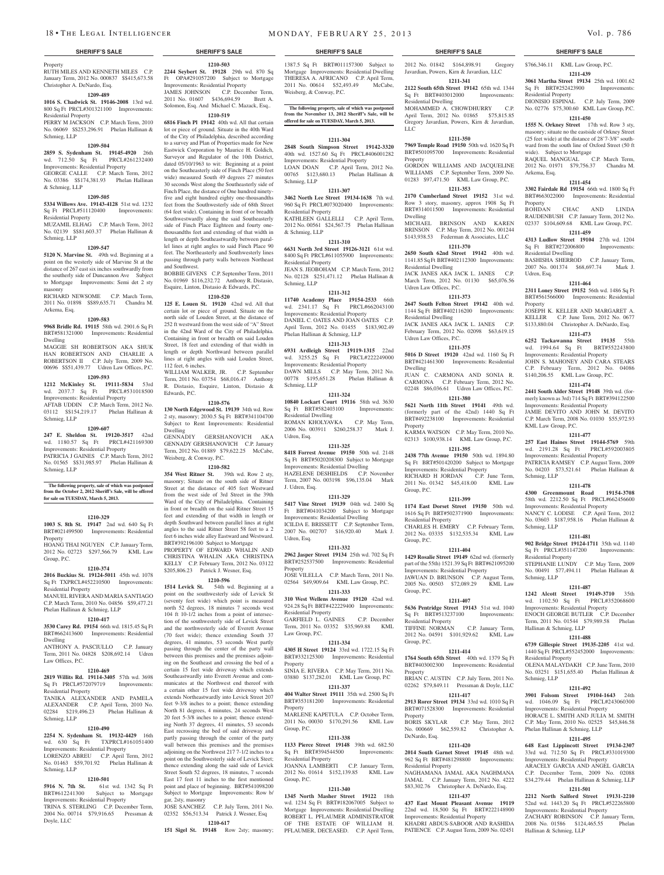### Property

RUTH MILES AND KENNETH MILES C.P. **2244 Seybert St. 19128** 29th wd. 870 Sq January Term, 2012 No. 000837 \$\$415,673.58 Christopher A. DeNardo, Esq.

### **1209-489**

### **1016 S. Chadwick St. 19146-2008** 13rd wd. 800 Sq Ft PRCL#301321100 Improvements:

Residential Property PERRY M JACKSON C.P. March Term, 2010 No. 06069 \$\$253,296.91 Phelan Hallinan & Schmieg, LLP

### **1209-504**

**2859 S. Sydenham St. 19145-4920** 26th wd. 712.50 Sq Ft PRCL#261232400 Improvements: Residential Property GEORGE CALLE C.P. March Term, 2012 No. 03386 \$\$174,381.93 Phelan Hallinan

### & Schmieg, LLP

### **1209-505**

**5334 Willows Ave. 19143-4128** 51st wd. 1232 Sq Ft PRCL#511120400 Improvements: Residential Property MUZAMIL ELHAG C.P. March Term, 2012

No. 02139 \$\$81,603.37 Phelan Hallinan & Schmieg, LLP

### **1209-547**

**5120 N. Marvine St.** 49th wd. Beginning at a point on the westerly side of Marvine St at the distance of 267 east six inches southwardly from the southerly side of Duncannon Ave Subject to Mortgage Improvements: Semi det 2 sty masonry

RICHARD NEWSOME C.P. March Term, 2011 No. 01898 \$\$89,635.71 Chandra M. Arkema, Esq.

### **1209-583**

**9968 Bridle Rd. 19115** 58th wd. 2901.6 Sq Ft BRT#581321000 Improvements: Residential Dwelling

MAGGIE SH ROBERTSON AKA SHUK HAN ROBERTSON AND CHARLIE A ROBERTSON II C.P. July Term, 2009 No. 00696 \$\$51,439.77 Udren Law Offices, P.C.

### **1209-593**

**1212 McKinley St. 19111-5834** 53rd wd. 2037.7 Sq Ft PRCL#531018500 Improvements: Residential Property AFTAB UDDIN C.P. March Term, 2012 No. 03112 \$\$154,219.17 Phelan Hallinan & Schmieg, LLP

### **1209-607**

**247 E. Sheldon St. 19120-3517** 42nd

wd. 1180.57 Sq Ft PRCL#421169300 Improvements: Residential Property PATRICIA J GAINES C.P. March Term, 2012 No. 01565 \$\$31,985.97 Phelan Hallinan & Schmieg, LLP

### **The following property, sale of which was postponed from the October 2, 2012 Sheriff's Sale, will be offered for sale on TUESDAY, March 5, 2013.**

### **1210-329**

**1003 S. 8th St. 19147** 2nd wd. 640 Sq Ft BRT#021499500 Improvements: Residential Property HOANG THAI NGUYEN C.P. January Term,

2012 No. 02723 \$297,566.79 KML Law Group, P.C.

### **1210-374**

**2016 Buckius St. 19124-5011** 45th wd. 1078 Sq Ft TXPRCL#452210500 Improvements: Residential Property MANUEL RIVERA AND MARIA SANTIAGO C.P. March Term, 2010 No. 04856 \$59,477.21 Phelan Hallinan & Schmieg, LLP

### **1210-417**

**3530 Carey Rd. 19154** 66th wd. 1815.45 Sq Ft BRT#662413600 Improvements: Residential Dwelling ANTHONY A. PASCIULLO C.P. January

### Term, 2011 No. 04828 \$208,692.14 Udren Law Offices, P.C.

### **1210-469**

**2819 Willits Rd. 19114-3405** 57th wd. 3698 Sq Ft PRCL#572079719 Improvements: Residential Property TANIKA ALEXANDER AND PAMELA ALEXANDER C.P. April Term, 2010 No.

### 02284 \$219,496.23 Phelan Hallinan & Schmieg, LLP **1210-490**

**2254 N. Sydenham St. 19132-4429** 16th wd. 630 Sq Ft TXPRCL#161051400 Improvements: Residential Property LORENZO ABREU C.P. April Term, 2012

# No. 01463 \$59,701.92 Phelan Hallinan & Schmieg, LLP

# **1210-501**

**5916 N. 7th St.** 61st wd. 1342 Sq Ft BRT#612241300 Subject to Mortgage Improvements: Residential Property TRINA S. STERLING C.P. December Term, 2004 No. 00714 \$79,916.65 Pressman & Doyle, LLC

**1210-503** Ft OPA#291057200 Subject to Mortgage Improvements: Residential Property JAMES JOHNSON C.P. December Term,

2011 No. 01607 \$436,694.59 Brett A. Solomon, Esq. And Michael C. Mazack, Esq.. **1210-519**

**6816 Finch Pl 19142** 40th wd. All that certain lot or piece of ground. Situate in the 40th Ward

of the City of Philadelphia, described according to a survey and Plan of Properties made for New Eastwick Corporation by Maurice H. Goldich, Surveyor and Regulator of the 10th District, dated 05/10/1963 to wit: Beginning at a point on the Southeasterly side of Finch Place (50 feet wide) measured South 49 degrees 27 minutes 30 seconds West along the Southeasterly side of Finch Place, the distance of One hundred ninetyfive and eight hundred eighty one-thousandths feet from the Southwesterly side of 68th Street (64 feet wide). Containing in front of or breadth Southwestwardly along the said Southeasterly side of Finch Place Eighteen and fourty onethousandths feet and extending of that width in length or depth Southeastwardly between parallel lines at right angles to said Finch Place 90 feet. The Northeasterly and Southwesterly lines passing through party walls between Northeast and Southwest.

BOBBIE GIVENS C.P. September Term, 2011 No. 01969 \$116,232.72 Anthony R. Distasio, Esquire, Linton, Distasio & Edwards, P.C.

# **1210-520**

**125 E. Louen St. 19120** 42nd wd. All that certain lot or piece of ground. Situate on the north side of Louden Street, at the distance of 252 ft westward from the west side of "A" Street in the 42nd Ward of the City of Philadelphia. Containing in front or breadth on said Louden Street, 18 feet and extending of that width in length or depth Northward between parallel lines at right angles with said Louden Street, 112 feet, 6 inches. WILLIAM WALKER, JR. C.P. September Term, 2011 No. 03754 \$68,016.47 Anthony

R. Distasio, Esquire, Linton, Distasio & Edwards, P.C. **1210-576**

**130 North Edgewood St. 19139** 34th wd. Row 2 sty, masonry; 2030.5 Sq Ft BRT#341104700 Subject to Rent Improvements: Residential Dwelling

GENNADIY GERSHANOVICH AKA GENNADY GERSHANOVICH C.P. January Term, 2012 No. 01889 \$79,622.25 McCabe, Weisberg, & Conway, P.C.

### **1210-582**

**354 West Ritner St.** 39th wd. Row 2 sty, masonry; Situate on the south side of Ritner Street at the distance of 405 feet Westward from the west side of 3rd Street in the 39th Ward of the City of Philadelphia. Containing in front or breadth on the said Ritner Street 15 feet and extending of that width in length or depth Southward between parallel lines at right angles to the said Ritner Street 58 feet to a 2 feet 6 inches wide alley Eastward and Westward. BRT#392196100 Subject to Mortgage PROPERTY OF EDWARD WHALIN AND CHRISTINA WHALIN AKA CHRISTINA KELLY C.P. February Term, 2012 No. 03122 \$205,806.23 Patrick J. Wesner, Esq.

# **1210-596**

**1514 Levick St.** 54th wd. Beginning at a point on the southwesterly side of Levick St (seventy feet wide) which point is measured north 52 degrees, 18 minutes 7 seconds west 104 ft 10-1/2 inches from a point of intersection of the southwesterly side of Levick Street and the northwesterly side of Everett Avenue (70 feet wide); thence extending South 37 degrees, 41 minutes, 53 seconds West partly passing through the center of the party wall between this premises and the premises adjoining on the Southeast and crossing the bed of a certain 15 feet wide driveway which extends Southeastwardly into Everett Avenue and communicates at the Northwest end thereof with a certain other 15 feet wide driveway which extends Northeastwardly into Levick Street 207 feet 9-3/8 inches to a point; thence extending North 81 degrees, 4 minutes, 24 seconds West 20 feet 5-3/8 inches to a point; thence extending North 37 degrees, 41 minutes, 53 seconds East recrossing the bed of said driveway and partly passing through the center of the party wall between this premises and the premises adjoining on the Northwest 217 7-1/2 inches to a point on the Southwesterly side of Levick Steet; thence extending along the said side of Levick Street South 52 degrees, 18 minutes, 7 seconds East 17 feet 11 inches to the first mentioned point and place of beginning. BRT#541098200 Subject to Mortgage Improvements: Row b/ gar, 2sty, masonry JOSE SANCHEZ C.P. July Term, 2011 No.

02352 \$56,513.34 Patrick J. Wesner, Esq **1210-617**

**151 Sigel St. 19148** Row 2sty; masonry;

1387.5 Sq Ft BRT#011157300 Subject to Mortgage Improvements: Residential Dwelling THERESA A. AFRICANO C.P. April Term, 2011 No. 00614 \$52,493.49 McCabe, Weisberg, & Conway, P.C.

**The following property, sale of which was postponed from the November 13, 2012 Sheriff's Sale, will be offered for sale on TUESDAY, March 5, 2013.**

### **1211-304**

**2848 South Simpson Street 19142-3320**  40th wd. 1527.60 Sq Ft PRCL#406001282 Improvements: Residential Property LOAN DOAN C.P. April Term, 2012 No. 00765 \$123,680.13 Phelan Hallinan & Schmieg, LLP

### **1211-307**

**3462 North Lee Street 19134-1638** 7th wd. 960 Sq Ft PRCL#073020400 Improvements: Residential Property

KATHLEEN GALLELLI C.P. April Term, 2012 No. 00561 \$24,567.75 Phelan Hallinan & Schmieg, LLP

### **1211-310**

**6631 North 3rd Street 19126-3121** 61st wd. 8400 Sq Ft PRCL#611055900 Improvements: Residential Property

JEAN S. JEOBOHAM C.P. March Term, 2012 No. 02128 \$251,471.12 Phelan Hallinan & Schmieg, LLP

### **1211-312**

**11740 Academy Place 19154-2533** 66th wd. 2341.17 Sq Ft PRCL#662043100 Improvements: Residential Property DANIEL C. OATES AND JOAN OATES C.P. April Term, 2012 No. 01455 \$183,902.49 Phelan Hallinan & Schmieg, LLP

### **1211-313**

**6931 Ardleigh Street 19119-1315** 22nd wd.  $3255.25$  Sq Ft Improvements: Residential Property DAWN MILLS C.P. May Term, 2012 No. 00778 \$195,651.28 Phelan Hallinan & Schmieg, LLP

### **1211-324**

**10840 Lockart Court 19116** 58th wd. 3630 Sq Ft BRT#582403100 Improvements: Residential Dwelling ROMAN KHOLYAVKA C.P. May Term, 2006 No. 003911 \$260,258.37 Mark J. Udren, Esq.

### **1211-325**

**8418 Forrest Avenue 19150** 50th wd. 2148 Sq Ft BRT#5020208300 Subject to Mortgage Improvements: Residential Dwelling HAZELENE DESHIELDS C.P. November Term, 2007 No. 003198 \$96,135.04 Mark J. Udren, Esq.

### **1211-329**

**5417 Vine Street 19139** 04th wd. 2400 Sq Ft BRT#041034200 Subject to Mortgage Improvements: Residential Dwelling ICILDA E. BRISSETT C.P. September Term, 2007 No. 002707 \$16,920.40 Mark J. Udren, Esq.

### **1211-332**

**2962 Jasper Street 19134** 25th wd. 702 Sq Ft BRT#252537500 Improvements: Residential Property JOSE VILELLA C.P. March Term, 2011 No. 02564 \$49,909.64 KML Law Group, P.C.

**1211-333 310 West Wellens Avenue 19120** 42nd wd.

### 924.28 Sq Ft BRT#422229400 Improvements: Residential Property

GARFIELD L. GAINES C.P. December Term, 2011 No. 03352 \$35,969.88 KML Law Group, P.C.

### **1211-334**

**4305 H Street 19124** 33rd wd. 1722.15 Sq Ft BRT#332125300 Improvements: Residential Property SINIA E. RIVERA C.P. May Term, 2011 No.

03880 \$137,282.01 KML Law Group, P.C **1211-337**

### **404 Walter Street 19111** 35th wd. 2500 Sq Ft BRT#353181200 Improvements: Residential Property

MARLENE KAPETULA C.P. October Term, 2011 No. 00030 \$170,291.56 KML Law Group, P.C.

### **1211-338**

**1133 Pierce Street 19148** 39th wd. 682.50 Sq Ft BRT#394544500 Improvements: Residential Property JOANNA LAMBERTI C.P. January Term, 2012 No. 01614 \$152,139.85 KML Law Group, P.C.

### **1211-340**

**1345 North Masher Street 19122** 18th wd. 1234 Sq Ft BRT#182067005 Subject to Mortgage Improvements: Residential Dwelling ROBERT L. PFLAUMER ADMINISTRATOR OF THE ESTATE OF WILLIAM H. PFLAUMER, DECEASED. C.P. April Term,

### **SHERIFF'S SALE SHERIFF'S SALE SHERIFF'S SALE SHERIFF'S SALE SHERIFF'S SALE**

### 2012 No. 01842 \$164,898.91 Javardian, Powers, Kirn & Javardian, LLC Gregory \$766,346.11 KML Law Group, P.C.

**1211-439 3061 Martha Street 19134** 25th wd. 1001.62 Sq Ft BRT#252423900 Improvements:

DIONISIO ESPINAL C.P. July Term, 2009 No. 02776 \$75,300.60 KML Law Group, P.C. **1211-450 1555 N. Orkney Street** 17th wd. Row 3 sty, masonry; situate no the eastside of Orkney Street (25 feet wide) at the distance of 28'7-3/8" southward from the south line of Oxford Street (50 ft

RAQUEL MANGUAL C.P. March Term, 2012 No. 01971 \$79,756.37 Chandra M.

**1211-454 3302 Fairdale Rd 19154** 66th wd. 1800 Sq Ft BRT#663022000 Improvements: Residential

RAUDENBUSH C.P. January Term, 2012 No. 02337 \$104,609.68 KML Law Group, P.C. **1211-459 4313 Ludlow Street 19104** 27th wd. 1204 Sq Ft BRT#272006800 Improvements:

BASHISHA SHERROD C.P. January Term, 2007 No. 001374 \$68,697.74 Mark J.

**1211-464 2311 Loney Street 19152** 56th wd. 1486 Sq Ft BRT#561566000 Improvements: Residential

JOSEPH K. KELLER AND MARGARET A. KELLER C.P. June Term, 2012 No. 0677 \$133,880.04 Christopher A. DeNardo, Esq. **1211-473 6252 Tackawanna Street 19135** 55th wd. 1994.64 Sq Ft BRT#552243800 Improvements: Residential Property JOHN S. MAHONEY AND CARA STEARS C.P. February Term, 2012 No. 04086 \$140,206.55 KML Law Group, P.C. **1211-474 2441 South Alder Street 19148** 39th wd. (formerly known as 3rd) 714 Sq Ft BRT#394122500 Improvements: Residential Property JAMIE DEVITO AND JOHN M. DEVITO C.P. March Term, 2008 No. 01030 \$55,972.93

**1211-477 257 East Haines Street 19144-5769** 59th wd. 2191.28 Sq Ft PRCL#592003805 Improvements: Residential Property PATRICIA RAMSEY C.P. August Term, 2009 No. 04203 \$73,521.61 Phelan Hallinan &

**1211-478 4300 Greenmount Road 19154-3708**  58th wd. 2212.50 Sq Ft PRCL#662456600 Improvements: Residential Property NANCY C. LODISE C.P. April Term, 2012 No. 03603 \$187,958.16 Phelan Hallinan &

**1211-481 902 Bridge Street 19124-1711** 35th wd. 1140 Sq Ft PRCL#351147200 Improvements:

STEPHANIE LUNDY C.P. May Term, 2009 No. 00491 \$77,494.11 Phelan Hallinan &

**1211-487 1242 Alcott Street 19149-3710** 35th wd. 1102.50 Sq Ft PRCL#352068600 Improvements: Residential Property ENOCH GEORGE BUTLER C.P. December Term, 2011 No. 01544 \$79,989.58 Phelan

**1211-488 6739 Gillespie Street 19135-2205** 41st wd. 1440 Sq Ft PRCL#552452000 Improvements:

OLENA MALAYDAKH C.P. June Term, 2010 No. 03251 \$151,655.40 Phelan Hallinan &

**1211-492 3901 Folsom Street 19104-1643** 24th wd. 1046.09 Sq Ft PRCL#243060300 Improvements: Residential Property HORACE L. SMITH AND JULIA M. SMITH C.P. May Term, 2010 No. 02525 \$45,846.58

**1211-495 648 East Lippincott Street 19134-2307**  33rd wd. 712.50 Sq Ft PRCL#331019300 Improvements: Residential Property ARACELY GARCIA AND ANGEL GARCIA C.P. December Term, 2009 No. 02088 \$34,279.44 Phelan Hallinan & Schmieg, LLP **1211-501 2212 North Salford Street 19131-2210**  52nd wd. 1443.20 Sq Ft PRCL#522265800 Improvements: Residential Property ZACHARY ROBINSON C.P. January Term, 2008 No. 01586 \$124,465.55 Hallinan & Schmieg, LLP

Phelan Hallinan & Schmieg, LLP

CHAC AND LINDA

Residential Property

wide). Subject to Mortgage

Arkema, Esq.

Property<br>BOHDAN

Udren, Esq.

Property

Residential Dwelling

KML Law Group, P.C.

Schmieg, LLP

Schmieg, LLP

Schmieg, LLP

Residential Property

Hallinan & Schmieg, LLP

Residential Property

Schmieg, LLP

**1211-341 2122 South 65th Street 19142** 65th wd. 1344 Sq Ft BRT#403012000 Improvements: Residential Dwelling

MOHAMMED A. CHOWDHURRY C.P. April Term, 2012 No. 01865 \$75,815.85 Gregory Javardian, Powers, Kirn & Javardian, LLC

## **1211-350**

**7969 Temple Road 19150** 50th wd. 1620 Sq Ft BRT#501095700 Improvements: Residential **Property** GORDON WILLIAMS AND JACQUELINE

WILLIAMS C.P. September Term, 2009 No. 01283 \$97,471.50 KML Law Group, P.C. **1211-353**

### **2170 Cumberland Street 19152** 31st wd. Row 3 story, masonry, approx 1908 Sq Ft

Dwelling

Residential Dwelling

Udren Law Offices, P.C.

Residential Dwelling

Dwelling

Property

Group, P.C.

Group, P.C.

Group, P.C.

Group, P.C.

Property

Property<br>BORIS SKYLAR

Residential Property

DeNardo, Esq.

000669 \$62,559.82

Residential Property<br>TIFFINE NORMAN

Residential Property

Udren Law Offices, P.C.

BRT#314011500 Improvements: Residential

MICHAEL BRINSON AND KAREN BRINSON C.P. May Term, 2012 No. 001244 \$143,938.53 Federman & Associates, LLC **1211-370 2650 South 62nd Street 19142** 40th wd. 1141.85 Sq Ft BRT#402112300 Improvements:

JACK JANES AKA JACK L. JANES C.P. March Term, 2012 No. 01130 \$65,076.56

**1211-373 2647 South Felton Street 19142** 40th wd. 1144 Sq Ft BRT#402116200 Improvements:

JACK JANES AKA JACK L. JANES C.P. February Term, 2012 No. 02098 \$63,619.15

**1211-375 5016 D Street 19120** 42nd wd. 1160 Sq Ft BRT#421461300 Improvements: Residential

JUAN C. CARMONA AND SONIA R. CARMONA C.P. February Term, 2012 No. 02248 \$86,036.61 Udren Law Offices, P.C. **1211-380 5621 North 11th Street 19141** 49th wd. (formerly part of the  $42nd$ )  $1440$  Sq Ft BRT#492238100 Improvements: Residential

KARMA WATSON C.P. May Term, 2010 No. 02313 \$100,938.14 KML Law Group, P.C. **1211-395 2438 77th Avenue 19150** 50th wd. 1894.80 Sq Ft BRT#501420200 Subject to Mortgage Improvements: Residential Property RICHARD H JORDAN C.P. June Term, 2011 No. 01342 \$45,418.00 KML Law

**1211-399 1174 East Dorset Street 19150** 50th wd. 1616 Sq Ft BRT#502371900 Improvements:

CHARLES H. EMERY C.P. February Term, 2012 No. 03335 \$132,535.34 KML Law

**1211-404 1429 Rosalie Street 19149** 62nd wd. (formerly part of the 55th) 1521.39 Sq Ft BRT#621095200 Improvements: Residential Property JAWUAN D. BRUNSON C.P. August Term, 2005 No. 00503 \$72,089.29 KML Law

**1211-407 5636 Pentridge Street 19143** 51st wd. 1040 Sq Ft BRT#513237100 Improvements:

2012 No. 04591 \$101,929.62 KML Law

**1211-414 1764 South 65th Street** 40th wd. 1379 Sq Ft BRT#403002300 Improvements: Residential

BRIAN C. AUSTIN C.P. July Term, 2011 No. 02262 \$79,849.11 Pressman & Doyle, LLC **1211-417 2913 Rorer Street 19134** 33rd wd. 1010 Sq Ft BRT#071528300 Improvements: Residential

**1211-420 2014 South Garnet Street 19145** 48th wd. 962 Sq Ft BRT#481298800 Improvements:

NAGHAMANA JAMAL AKA NAGHMANA JAMAL C.P. January Term, 2012 No. 4222 \$83,302.76 Christopher A. DeNardo, Esq. **1211-437 437 East Mount Pleasant Avenue 19119**  22nd wd. 18,500 Sq Ft BRT#222148900 Improvements: Residential Property KHADRI ABDUS-SABOOR AND RASHIDA PATIENCE C.P. August Term, 2009 No. 02451

C.P. January Term

C.P. May Term, 2012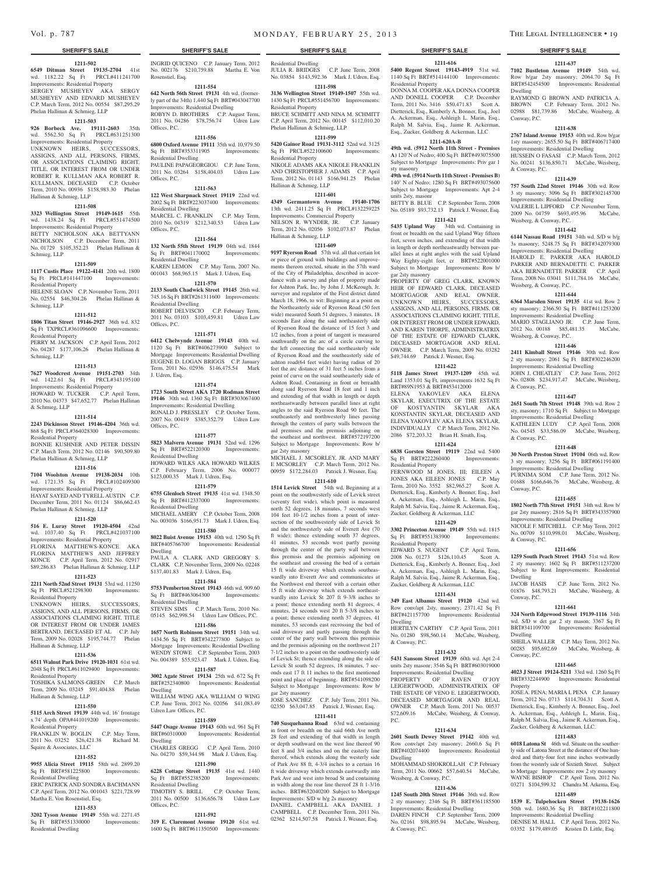### **1211-502**

**6549 Ditman Street 19135-2704** 41st wd. 1182.22 Sq Ft PRCL#411241700 Improvements: Residential Property SERGEY MUSHEYEV AKA SERGY MUSHEYEV AND EDVARD MUSHEYEV C.P. March Term, 2012 No. 00554 \$87,295.29 Phelan Hallinan & Schmieg, LLP

### **1211-503**

**926 Borbeck Ave. 19111-2603** 35th wd. 5562.50 Sq Ft PRCL#631251300 Improvements: Residential Property UNKNOWN HEIRS, SUCCESSORS, ASSIGNS, AND ALL PERSONS, FIRMS, OR ASSOCIATIONS CLAIMING RIGHT, TITLE, OR INTEREST FROM OR UNDER ROBERT R. KULLMAN AKA ROBERT R. KULLMANN, DECEASED C.P. October Term, 2010 No. 00936 \$158,983.30 Phelan Hallinan & Schmieg, LLP

### **1211-508**

**3323 Wellington Street 19149-1615** 55th wd. 1438.24 Sq Ft PRCL#551474500 Improvements: Residential Property BETTY NICHOLSON AKA BETTYANN NICHOLSON C.P. December Term, 2011 No. 01729 \$105,352.23 Phelan Hallinan & Schmieg, LLP

### **1211-509**

**1117 Custis Place 19122-4141** 20th wd. 1800 Sq Ft PRCL#141447100 Improvements: Residential Property HELENE SLOAN C.P. November Term, 2011

No. 02554 \$46,304.26 Phelan Hallinan & Schmieg, LLP

### **1211-512**

**1806 Titan Street 19146-2927** 36th wd. 832 Sq Ft TXPRCL#361096600 Improvements: Residential Property

PERRY M. JACKSON C.P. April Term, 2012 No. 04287 \$177,106.26 Phelan Hallinan & Schmieg, LLP

### **1211-513**

**7627 Woodcrest Avenue 19151-2703** 34th wd. 1422.61 Sq Ft PRCL#343195100 Improvements: Residential Property HOWARD W. TUCKER C.P. April Term, 2010 No. 04373 \$47,652.77 Phelan Hallinan & Schmieg, LLP

### **1211-514**

**2243 Dickinson Street 19146-4204** 36th wd. 868 Sq Ft PRCL#364028300 Improvements: Residential Property

BONNIE KUSHNER AND PETER DISSIN C.P. March Term, 2012 No. 02146 \$90,509.80 Phelan Hallinan & Schmieg, LLP

### **1211-516**

**7104 Woolston Avenue 19138-2034** 10th wd. 1721.35 Sq Ft PRCL#102409300 Improvements: Residential Property HAYAT SAYED AND TYRELL AUSTIN C.P.

December Term, 2011 No. 01124 \$86,662.43 Phelan Hallinan & Schmieg, LLP **1211-520**

**516 E. Luray Street 19120-4504** 42nd wd. 1037.40 Sq Ft PRCL#421037100 Improvements: Residential Property FLORINA MATTHEWS-KONCE AKA FLORINA MATTHEWS AND JEFFREY KONCE C.P. April Term, 2012 No. 02917 \$89,286.83 Phelan Hallinan & Schmieg, LLP

# **1211-523**

**2211 North 52nd Street 19131** 53rd wd. 11250 Sq Ft PRCL#521298300 Improvements: Residential Property

UNKNOWN HEIRS, SUCCESSORS, ASSIGNS, AND ALL PERSONS, FIRMS, OR ASSOCIATIONS CLAIMING RIGHT, TITLE OR INTEREST FROM OR UNDER JAMES BERTRAND, DECEASED ET AL C.P. July Term, 2009 No. 02028 \$195,744.77 Phelan Hallinan & Schmieg, LLP

### **1211-536 6511 Walnut Park Drive 19120-1031** 61st wd.

2048 Sq Ft PRCL#611029400 Improvements: Residential Property TOSHIKA SALMONS-GREEN C.P. March Term, 2009 No. 03245 \$91,404.88 Phelan

### Hallinan & Schmieg, LLP **1211-550**

**5115 Arch Street 19139** 44th wd. 16' frontage x 74' depth OPA#441019200 Improvements: Residential Property FRANKLIN W. BOGLIN C.P. May Term,

### 2011 No. 03252 \$26,421.38 Richard M. Squire & Associates, LLC **1211-552**

# **9955 Alicia Street 19115** 58th wd. 2899.20

Sq Ft BRT#581225800 Improvements: Residential Dwelling ERIC PATRICK AND SONDRA BACHMANN

C.P. April Term, 2012 No. 001043 \$221,728.99 Martha E. Von Rosenstiel, Esq. **1211-553**

**3202 Tyson Avenue 19149** 55th wd. 2271.45 Sq Ft BRT#551330000 Improvements: Residential Dwelling

**SHERIFF'S SALE SHERIFF'S SALE SHERIFF'S SALE SHERIFF'S SALE SHERIFF'S SALE** INGRID QUICENO C.P. January Term, 2012 No. 002176 \$210,759.88 Martha E. Von

Rosenstiel, Esq. **1211-554 642 North 56th Street 19131** 4th wd. (former-

ly part of the 34th) 1,440 Sq Ft BRT#043047700 Improvements: Residential Dwelling ROBYN D. BROTHERS C.P. August Term, 2011 No. 04286 \$78,756.74 Udren Law Offices, P.C.

### **1211-556**

**6800 Oxford Avenue 19111** 35th wd. 10,979.50 Sq Ft BRT#353311905 Improvements: Residential Dwelling PAULINE PAPAGEORGIOU C.P. June Term, 2011 No. 03264 \$158,404.03 Udren Law Offices, P.C.

### **1211-563**

**122 West Sharpnack Street 19119** 22nd wd. 2002 Sq Ft BRT#223037400 Improvements: Residential Dwelling MARCEL C. FRANKLIN C.P. May Term, 2010 No. 04319 \$212,340.53 Udren Law Offices, P.C.

### **1211-564**

**132 North 55th Street 19139** 04th wd. 1844 Sq Ft BRT#041170002 Improvements: Residential Dwelling KAREN LEMON C.P. May Term, 2007 No. 001043 \$68,965.15 Mark J. Udren, Esq.

### **1211-570**

**2133 South Chadwick Street 19145** 26th wd. 745.16 Sq Ft BRT#261311600 Improvements: Residential Dwelling ROBERT DELVISCIO C.P. February Term, 2011 No. 03103 \$103,459.81 Udren Law Offices, P.C.

### **1211-571**

**6412 Chelwynde Avenue 19143** 40th wd. 1120 Sq Ft BRT#406273900 Subject to Mortgage Improvements: Residential Dwelling EUGENE D. LOGAN BRIGGS C.P. January Term, 2011 No. 02936 \$146,475.54 Mark J. Udren, Esq.

### **1211-574**

**1723 South Street AKA 1720 Rodman Street 19146** 30th wd. 1360 Sq Ft BRT#303067400 Improvements: Residential Dwelling RONALD J. PRESSLEY C.P. October Term, 2007 No. 00419 \$385,352.79 Udren Law Offices, P.C.

### **1211-577**

**5823 Malvern Avenue 19131** 52nd wd. 1296 Sq Ft BRT#522120300 Improvements: Residential Dwelling HOWARD WILKS AKA HOWARD WILKES C.P. February Term, 2006 No. 000077

\$123,000.35 Mark J. Udren, Esq.

**1211-579 6755 Glenloch Street 19135** 41st wd. 1348.50 Sq Ft BRT#412337000 Improvements: Residential Dwelling MICHAEL AMERY C.P. October Term, 2008 No. 003036 \$166,951.73 Mark J. Udren, Esq.

**1211-580 8022 Buist Avenue 19153** 40th wd. 1290 Sq Ft

BRT#405766700 Improvements: Residential Dwelling PAULA A. CLARK AND GREGORY S.

CLARK C.P. November Term, 2009 No. 02248 \$137,401.83 Mark J. Udren, Esq. **1211-584**

# **5753 Pemberton Street 19143** 46th wd. 909.60

Sq Ft BRT#463064300 Improvements: Residential Dwelling STEVEN SIMS C.P. March Term, 2010 No. 05145 \$62,998.54 Udren Law Offices, P.C.

**1211-586**

### **1657 North Robinson Street 19151** 34th wd.

1434.56 Sq Ft BRT#342277800 Subject to Mortgage Improvements: Residential Dwelling WENDY STOWE C.P. September Term, 2003 No. 004389 \$55,923.47 Mark J. Udren, Esq. **1211-587**

**3002 Agate Street 19134** 25th wd. 672 Sq Ft BRT#252340800 Improvements: Residential Dwelling

WILLIAM WING AKA WILLIAM O WING C.P. June Term, 2012 No. 02056 \$41,083.49 Udren Law Offices, P.C.

### **1211-589**

**5447 Osage Avenue 19143** 60th wd. 961 Sq Ft BRT#60310000 Improvements: Residential Dwelling

CHARLES GREGG C.P. April Term, 2010 No. 04270 \$59,344.98 Mark J. Udren, Esq. **1211-590**

**6228 Cottage Street 19135** 41st wd. 1440 Sq Ft BRT#552385200 Residential Dwelling TIMOTHY S. BRILL C.P. October Term, 2011 No. 00500 \$136,656.78 Udren Law Offices, P.C.

**1211-592**

**319 E. Claremont Avenue 19120** 61st wd. 1600 Sq Ft BRT#611350500 Improvements:

Residential Dwelling

JULIA R. BRIDGES C.P. June Term, 2008 No. 03854 \$143,592.36 Mark J. Udren, Esq.

### **1211-598 3136 Wellington Street 19149-1507** 55th wd.

1430 Sq Ft PRCL#551456700 Improvements: Residential Property BRUCE SCHMITT AND NINA M. SCHMITT

C.P. April Term, 2012 No. 00145 \$112,010.20 Phelan Hallinan & Schmieg, LLP **1211-599**

**5420 Gainor Road 19131-3112** 52nd wd. 3125 Sq Ft PRCL#522100600 Improvements: Residential Property

NIKOLE ADAMS AKA NIKOLE FRANKLIN AND CHRISTOPHER J. ADAMS C.P. April Term, 2012 No. 01143 \$166,941.25 Phelan Hallinan & Schmieg, LLP

### **1211-601**

**4349 Germantown Avenue 19140-1706**  13th wd. 2411.25 Sq Ft PRCL#132259225 Improvements: Commercial Property NELSON R. WYNDER, JR. C.P. January Term, 2012 No. 02056 \$102,073.87 Phelan Hallinan & Schmieg, LLP

# **1211-609**

**9197 Ryerson Road** 57th wd. all that certain lot or piece of ground with buildings and improvements thereon erected, situate in the 57th ward of the City of Philadelphia, described in accordance with a survey and plan of property made for Ashton Park, Inc, by John J. McKeough, Jr. surveyor and regulator of the First district dated March 18, 1966, to wit: Beginning at a point on the Northeasterly side of Ryerson Road (50 feet wide) measured South 51 degrees, 3 minutes, 18 seconds East along the said northeasterly side of Ryerson Road the distance of 15 feet 3 and 1/2 inches, from a point of tangent is measured southwardly on the arc of a circle curving to the left connecting the said northeasterly side of Ryerson Road and the southeasterly side of ashton road(64 feet wide) having radius of 20 feet the arc distance of 31 feet 5 inches from a point of curve on the ssaid southeasterly side of Ashton Road. Containing in front or brreadth along said Ryerson Road 18 feet and 1 inch and extending of that width in length or depth northeastwardly between parallel lines at right angles to the said Ryerson Road 90 feet. The southeasterly and northwesterly lines passing through the centers of party walls between the aid premises and the premisis adjoining on the southeast and northwest. BRT#572197200 Subject to Mortgage Improvements: Row b/ gar 2sty masonry

MICHAEL J. MCSORLEY, JR. AND MARY E MCSORLEY C.P. March Term, 2012 No. 00959 \$172,284.03 Patrick J. Wesner, Esq.

### **1211-610**

**1514 Levick Street** 54th wd. Beginning at a point on the southwesterly side of Levick street (seventy feet wide), which point is measured north 52 degrees, 18 minutes, 7 seconds west 104 feet 10-1/2 inches from a point of intersection of the southwesterly side of Levick St and the northwesterly side of Everett Ave (70 ft wide); thence extending south 37 degrees, 41 minutes, 53 seconds west partly passing through the center of the party wall between this premisis and the premisis adjoining on the southeast and crossing the bed of a certain 15 ft wide driveway which extends southeaswardly into Everett Ave and communicates at the Northwest end thereof with a certain other 15 ft wide driveway which extends northeastwardly into Levick St 207 ft 9-3/8 inches to a point; thence extending north 81 degrees, 4 minutes, 24 seconds west 20 ft 5-3/8 inches to a point; thence extending north 37 degrees, 41 minutes, 53 seconds east recrossing the bed of said driveway and partly passing through the center of the party wall between this premisis and the premisis adjoining on the northwest 217 7-1/2 inches to a point on the southwesterly side of Levick St; thence extending along the side of Levick St south 52 degrees, 18 minutes, 7 seconds east 17 ft 11 inches to the first mentioned point and place of beginning. BRT#541098200 Subject to Mortgage Improvements: Row b/ gar 2sty masonry

JOSE SANCHEZ C.P. July Term, 2011 No. 02350 \$63,047.85 Patrick J. Wesner, Esq. **1211-611**

### **740 Susquehanna Road** 63rd wd. containing in front or breadth on the said 66th Ave north 28 feet and extending of that width in length or depth southward on the west line thereof 90

feet 8 and 3/4 inches and on the easterly line thereof, which extends along the westerly side of Park Ave 88 ft, 4-3/4 inches to a certain 16 ft wide driveway which extends eastwardly into Park Ave and west into broad St and containing in width along the rear line thereof 28 ft 1-3/16 inches. BRT#632040200 Subject to Mortgage Improvements: S/D w b/g 2s masonry

DANIEL CAMPBELL AKA DANIEL J CAMPBELL C.P. December Term, 2011 No. 02362 \$214,507.58 Patrick J. Wesner, Esq.

**1211-637 7102 Bustleton Avenue 19149** 54th wd. Row b/gar 2sty masonry; 2064.70 Sq Ft BRT#542454500 Improvements: Residential

RAYMOND G BROWN AND PATRICIA A. BROWN C.P. February Term, 2012 No. 02988 \$81,739.86 McCabe, Weisberg, &

**1211-638 2767 Island Avenue 19153** 40th wd. Row b/gar 1sty masonry; 2655.50 Sq Ft BRT#406717400 Improvements: Residential Dwelling HUSSEIN O FASASI C.P. March Term, 2012 No. 00241 \$136,850.71 McCabe, Weisberg,

**1211-639 757 South 22nd Street 19146** 30th wd. Row 3 sty masonry; 3096 Sq Ft BRT#302145700 Improvements: Residential Dwelling VALERIE L LIPFORD C.P. November Term, 2009 No. 04759 \$693,495.96 McCabe,

**1211-642 6144 Nassau Road 19151** 34th wd. S/D w b/g 3s masonry; 5248.75 Sq Ft BRT#342079300 Improvements: Residential Dwelling HAROLD E. PARKER AKA HAROLD PARKER AND BERNADETTE C. PARKER AKA BERNADETTE PARKER C.P. April Term, 2008 No. 03041 \$111,784.16 McCabe,

**1211-644 6364 Marsden Street 19135** 41st wd. Row 2 sty masonry; 2366.50 Sq Ft BRT#411253200 Improvements: Residential Dwelling MARIO STAGLIANO JR. C.P. June Term, 2012 No. 00188 \$85,481.35 McCabe,

**1211-646 2411 Kimball Street 19146** 30th wd. Row 2 sty masonry; 2061 Sq Ft BRT#302246200 Improvements: Residential Dwelling JOHN J. CHEATLEY C.P. June Term, 2012 No. 02808 \$234,917.47 McCabe, Weisberg,

**1211-647 2651 South 7th Street 19148** 39th wd. Row 2 sty, masonry; 1710 Sq Ft Subject to Mortgage Improvements: Residential Dwelling KATHLEEN LUDY C.P. April Term, 2008 No. 04545 \$33,586.09 McCabe, Weisberg,

**1211-648 30 North Preston Street 19104** 06th wd. Row 3 sty masonry; 3256 Sq Ft BRT#061191400 Improvements: Residential Dwelling PURNIMA SOM C.P. June Term, 2012 No. 01688 \$166,646.76 McCabe, Weisberg, &

**1211-655 1802 North 77th Street 19151** 34th wd. Row b/ gar 2sty masonry; 2816 Sq Ft BRT#343357900 Improvements: Residential Dwelling NICOLE F. MITCHELL C.P. May Term, 2012 No. 00709 \$110,998.01 McCabe, Weisberg,

**1211-656 1259 South Peach Street 19143** 51st wd. Row 2 sty masonry; 1602 Sq Ft BRT#511237200 Subject to Rent Improvements: Residential

JACOB HASIS C.P. June Term, 2012 No. 01876 \$48,793.21 McCabe, Weisberg, &

**1211-661 324 North Edgewood Street 19139-1116** 34th wd. S/D w det gar 2 sty mason; 3367 Sq Ft BRT#341109700 Improvements: Residential

SHEILA WALLER C.P. May Term, 2012 No. 00285 \$95,692.69 McCabe, Weisberg, &

**1211-665 4023 J Street 19124-5211** 33rd wd. 1260 Sq Ft BRT#332244900 Improvements: Residential

JOSE A. PENA; MARIA I. PENA C.P. January Term, 2012 No. 0713 \$114,704.31 Scott A. Dietterick, Esq., Kimberly A. Bonner, Esq., Joel A. Ackerman, Esq., Ashleigh L. Marin, Esq., Ralph M. Salvia, Esq., Jaime R. Ackerman, Esq., Zucker, Goldberg & Ackerman, LLC. **1211-683 6018 Latona St** 46th wd. Situate on the southerly side of Latona Street at the distance of One hundred and thirty-four feet nine inches westwardly from the westerly side of Sixtieth Street. Subject to Mortgage Improvements: row 2 sty masonry WAYNE BISHOP C.P. April Term, 2012 No. 03271 \$104,599.32 Chandra M. Arkema, Esq. **1211-689 1539 E. Tulpehocken Street 19138-1626**  50th wd. 1680.36 Sq Ft BRT#102211800 Improvements: Residential Dwelling DENISE M. HALL C.P. April Term, 2012 No. 03352 \$179,489.05 Kristen D. Little, Esq.

Dwelling

Conway, P.C.

& Conway, P.C.

Weisberg, & Conway, P.C.

Weisberg, & Conway, P.C.

Weisberg, & Conway, P.C.

& Conway, P.C.

& Conway, P.C.

Conway, P.C.

& Conway, P.C.

Dwelling

Conway, P.C.

Dwelling

Property

Conway, P.C.

**1211-616 5400 Regent Street 19143-4919** 51st wd. 1140 Sq Ft BRT#514144100 Improvements: Residential Property DONNA M. COOPER AKA DONNA COOPER AND DONELL COOPER C.P. December Term, 2011 No. 3416 \$50,471.83 Scott A.

Dietterick, Esq., Kimberly A. Bonner, Esq., Joel A. Ackerman, Esq., Ashleigh L. Marin, Esq., Ralph M. Salvia, Esq., Jaime R. Ackerman, Esq., Zucker, Goldberg & Ackerman, LLC

### **1211-620A-B**

**49th wd. (5912 North 11th Street - Premises A)** 120'N of Nedro; 400 Sq Ft BRT#493075500 Subject to Mortgage Improvements: Priv gar 1 sty masonry

**49th wd. (5914 North 11th Street - Premises B)**  140' N of Nedro; 1280 Sq Ft BRT#493075600 Subject to Mortgage Improvements: Apt 2-4

units 2sty, masonr BETTY B. BLUE C.P. September Term, 2008 No. 05189 \$93,732.13 Patrick J. Wesner, Esq.

front or breadth on the said Upland Way fifteen feet, seven inches, and extending of that width in length or depth northeastwardly between parallel lines at right angles with the said Upland Way Eighty-eight feet, cr BRT#522001000 Subject to Mortgage Improvements: Row b/

PROPERTY OF GREG CLARK, KNOWN HEIR OF EDWARD CLARK, DECEASED MORTGAGOR AND REAL OWNER, UNKNOWN HEIRS, SUCCESSORS, ASSIGNS, AND ALL PERSONS, FIRMS, OR ASSOCIATIONS CLAIMING RIGHT, TITLE, OR INTEREST FROM OR UNDER EDWARD, AND KAREN THORPE, ADMINISTRATRIX OF THE ESTATE OF EDWARD CLARK, DECEASED MORTGAGOR AND REAL OWNER. C.P. March Term, 2009 No. 03282 \$49,744.69 Patrick J. Wesner, Esq. **1211-622 5118 James Street 19137-1209** 45th wd. Land 1353.01 Sq Ft, improvements 1632 Sq Ft BRT#89N1953 & BRT#453412000 ELENA YAKOVLEV AKA ELENA SKYLAR, EXECUTRIX OF THE ESTATE OF KOSTYANTIN SKYLAR AKA KONSTANTIN SKYLAR, DECEASED AND ELENA YAKOVLEV AKA ELENA SKYLAR, INDIVIDUALLY C.P. March Term, 2012 No. 2086 \$72,203.32 Brian H. Smith, Esq. **1211-624 6838 Gorsten Street 19119** 22nd wd. 5400 Sq Ft BRT#222260400 Improvements:

### **1211-621 5435 Upland Way** 34th wd. Containing in

gar 2sty masonry

Residential Property

Residential Property

Dwelling

P.C.

Dwelling

Weisberg, & Conway, P.C.

& Conway, P.C.

& Conway, P.C.

FERNWOOD M JONES, III; EILEEN A JONES AKA EILEEN JONES C.P. May Term, 2010 No. 3552 \$82,965.27 Scott A. Dietterick, Esq., Kimberly A. Bonner, Esq., Joel A. Ackerman, Esq., Ashleigh L. Marin, Esq., Ralph M. Salvia, Esq., Jaime R. Ackerman, Esq., Zucker, Goldberg & Ackerman, LLC **1211-629 3302 Princeton Avenue 19149** 55th wd. 1815 Sq Ft BRT#551383900 Improvements:

EDWARD S. NUGENT C.P. April Term, 2008 No. 01273 \$126,110.45 Scott A. Dietterick, Esq., Kimberly A. Bonner, Esq., Joel A. Ackerman, Esq., Ashleigh L. Marin, Esq., Ralph M. Salvia, Esq., Jaime R. Ackerman, Esq., Zucker, Goldberg & Ackerman, LLC **1211-631 349 East Albanus Street 19120** 42nd wd. Row conv/apt 2sty, masonry; 2371.42 Sq Ft BRT#421157700 Improvements: Residential

HERTILYN CARTHY C.P. April Term, 2011 No. 01280 \$98,560.14 McCabe, Weisberg,

**1211-632 5431 Sansom Street 19139** 60th wd. Apt 2-4 units 2sty masonr; 3546 Sq Ft BRT#603019000 Improvements: Residential Dwelling PROPERTY OF RAVEN O'JOY LEIGERTWOOD, ADMINISTRATRIX OF THE ESTATE OF VENO E. LEIGERTWOOD, DECEASED MORTGAGOR AND REAL OWNER C.P. March Term, 2011 No. 00537 \$72,609.16 McCabe, Weisberg, & Conway,

**1211-634 2601 South Dewey Street 19142** 40th wd. Row conv/apt 2sty masonry; 2660.6 Sq Ft BRT#402074400 Improvements: Residential

MOHAMMAD SHOKROLLAH C.P. February Term, 2011 No. 00662 \$57,640.54 McCabe,

**1211-636 1245 South 20th Street 19146** 36th wd. Row 2 sty masonry; 2346 Sq Ft BRT#361185500 Improvements: Residential Dwelling DAREN FINCH C.P. September Term, 2009 No. 02161 \$98,895.94 McCabe, Weisberg,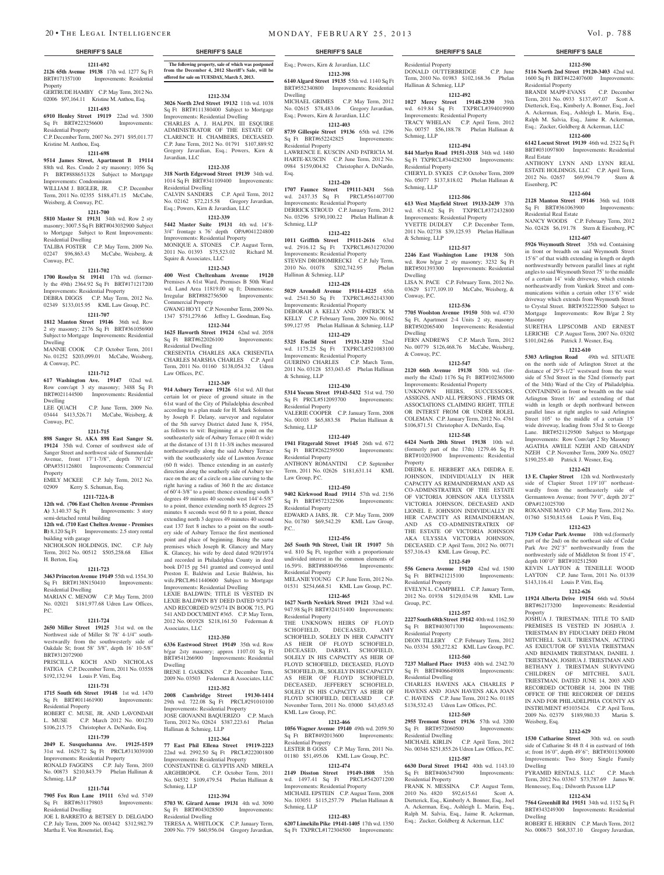### **1211-692 2126 65th Avenue 19138** 17th wd. 1277 Sq Ft Improvements: Residential Property

GERTRUDE HAMBY C.P. May Term, 2012 No. 02006 \$97,164.11 Kristine M. Anthou, Esq. **1211-693**

### **6910 Henley Street 19119** 22nd wd. 3500

Sq Ft BRT#223256600 Improvements: Residential Property

C.P. December Term, 2007 No. 2971 \$95,011.77 Kristine M. Anthou, Esq.

### **1211-698**

**9514 James Street, Apartment B 19114**  88th wd. Res. Condo 2 sty masonry; 1056 Sq Ft BRT#888651328 Subject to Mortgage

Improvements: Condominium WILLIAM J. BIGLER, JR. C.P. December Term, 2011 No. 02355 \$188,471.15 McCabe, Weisberg, & Conway, P.C.

### **1211-700**

**5810 Master St 19131** 34th wd. Row 2 sty

masonry; 3007.5 Sq Ft BRT#043032900 Subject to Mortgage Subject to Rent Improvements: Residential Dwelling

TALIBA FOSTER C.P. May Term, 2009 No. 02247 \$96,863.43 McCabe, Weisberg, & Conway, P.C.

### **1211-702**

**1700 Roselyn St 19141** 17th wd. (formerly the 49th) 2364.92 Sq Ft BRT#171217200 Improvements: Residential Property DEBRA DIGGS C.P. May Term, 2012 No. 02349 \$133,015.95 KML Law Group, P.C.

### **1211-707**

**1812 Manton Street 19146** 36th wd. Row 2 sty masonry; 2176 Sq Ft BRT#361056900 Subject to Mortgage Improvements: Residential Dwelling

MANNIE COOK C.P. October Term, 2011 No. 01252 \$203,099.01 McCabe, Weisberg, & Conway, P.C.

### **1211-712**

**617 Washington Ave. 19147** 02nd wd. Row conv/apt 3 sty masonry; 3488 Sq Ft BRT#021144500 Improvements: Residential Dwelling

LEE QUACH C.P. June Term, 2009 No. 03444 \$413,526.71 McCabe, Weisberg, & Conway, P.C.

### **1211-715**

**898 Sanger St. AKA 898 East Sanger St. 19124** 35th wd. Corner of southwest side of Sanger Street and northwest side of Summerdale Avenue, front 17'1-7/8", depth 70'1/2" OPA#351126801 Improvements: Commercial Property

EMILY MCKEE C.P. July Term, 2012 No. 02909 Kerry S. Schuman, Esq.

# **1211-722A-B**

**12th wd. (706 East Chelten Avenue -Premises Improvements: 3 story** semi-detached rental building

**12th wd. (710 East Chelten Avenue - Premises B)** 8,120 Sq Ft Improvements: 2.5 story rental

building with garage NICHOLSON HOLDINGS, INC. C.P. July Term, 2012 No. 00512 \$505,258.68 Elliot H. Berton, Esq.

### **1211-723**

**3463 Princeton Avenue 19149** 55th wd. 1554.30 Sq Ft BRT#138N150410 Improvements: Residential Dwelling

MARIAN C. MENOW C.P. May Term, 2010 No. 02021 \$181,977.68 Udren Law Offices, P.C.

### **1211-724**

**2650 Miller Street 19125** 31st wd. on the Northwest side of Miller St 78' 4-1/4" southwestwardly from the southwesterly side of Oakdale St; front 58' 3/8", depth 16' 10-5/8" BRT#312072900

PRISCILLA KOCH AND NICHOLAS FATIGA C.P. December Term, 2011 No. 03558 \$192,132.94 Louis P. Vitti, Esq.

### **1211-731**

**1715 South 6th Street 19148** 1st wd. 1470 Sq Ft BRT#011461900 Improvements: Residential Property

ROBERT C. MUSE, JR. AND LAVONDAH L. MUSE C.P. March 2012 No. 001270 \$106,215.75 Christopher A. DeNardo, Esq.

### **1211-739**

**2049 E. Susquehanna Ave. 19125-1519**  31st wd. 1629.72 Sq Ft PRCL#313039100 Improvements: Residential Property RONALD FAGGINS C.P. July Term, 2010 No. 00873 \$210,843.79 Phelan Hallinan & Schmieg, LLP

### **1211-744**

**7905 Fox Run Lane 19111** 63rd wd. 5749 Sq Ft BRT#631179803 Improvements: Residential Dwelling

JOE L BARRETO & BETSEY D. DELGADO C.P. July Term, 2009 No. 003442 \$312,982.79 Martha E. Von Rosenstiel, Esq.

**The following property, sale of which was postponed from the December 4, 2012 Sheriff's Sale, will be offered for sale on TUESDAY, March 5, 2013.**

**1212-334**

**3026 North 23rd Street 19132** 11th wd. 1038 Sq Ft BRT#111380400 Subject to Mortgage Improvements: Residential Dwelling CHARLES A. J. HALPIN, III ESQUIRE ADMINISTRATOR OF THE ESTATE OF CLARENCE H. CHAMBERS, DECEASED. C.P. June Term, 2012 No. 01791 \$107,889.92 Gregory Javardian, Esq.; Powers, Kirn & Javardian, LLC

# **1212-335**

**318 North Edgewood Street 19139** 34th wd. 1014 Sq Ft BRT#341109400 Improvements: Residential Dwelling<br>CALVIN SANDERS C.P. April Term, 2012 No. 02162 \$72,215.58 Gregory Javardian, Esq.; Powers, Kirn & Javardian, LLC

### **1212-339**

**5442 Master Suite 19131** 4th wd. 14'8- 3/4" frontage x 76' depth OPA#041224800 Improvements: Residential Property MONIQUE A. STONES C.P. August Term, 2011 No. 01393 \$75,523.02 Richard M. Squire & Associates, LLC

**1212-343**

**400 West Cheltenham Avenue 19120**  Premises A 61st Ward, Premises B 50th Ward wd. Land Area 11819.00 sq ft; Dimensions: Irregular BRT#882756500 Improvements: Commercial Property GWANG HO YI C.P. November Term, 2009 No.

1347 \$751,279.66 Jeffrey L. Goodman, Esq. **1212-344**

**1625 Haworth Street 19124** 62nd wd. 2058 Sq Ft BRT#622026100 Improvements: Residential Dwelling CRESENTIA CHARLES AKA CRISENTIA CHARLES MARSHA CHARLES C.P. April Term, 2011 No. 01160 \$138,054.32 Udren Law Offices, P.C.

### **1212-349**

**914 Asbury Terrace 19126** 61st wd. All that certain lot or piece of ground situate in the 61st ward of the City of Philadelphia described according to a plan made for H. Mark Solomon by Joseph F. Delany, surveyor and regulator of the 5th survey District dated June 8, 1954, as follows to wit: Beginning at a point on the southeasterly side of Asbury Terrace (40 ft wide) at the distance of 131 ft 11-3/8 inches measured northeastwardly along the said Asbury Terrace with the southeasterly side of Lawnton Avenue (60 ft wide). Thence extending in an easterly direction along the southerly side of Asbury terrace on the arc of a circle on a line curving to the right having a radius of 360 ft the arc distance of 60'4-3/8" to a point; thence extending south 3 degrees 49 minutes 40 seconds west 144'4-5/8" to a point, thence extending north 85 degrees 25 minutes 8 seconds west 60 ft to a point, thence extending north 3 degrees 49 minutes 40 second east 137 feet 8 inches to a point on the southery side of Asbury Terrace the first mentioned point and place of beginning. Being the same premises which Joseph R. Glancey and Mary K. Glancey, his wife by deed dated 9/20/1974 and recorded in Philadelphia County in deed book D715 pg 541 granted and conveyed until Preston E. Baldwin and Lexie Baldwin, his wife.PRCL#611440600 Subject to Mortgage Improvements: Residential Dwelling

LEXIE BALDWIN; TITLE IS VESTED IN LEXIE BALDWIN BY DEED DATED 9/20/74 AND RECORDED 9/25/74 IN BOOK 715, PG 541 AND DOCUMENT #365. C.P. May Term, 2012 No. 001928 \$218,161.50 Federman & Associates, LLC

### **1212-350**

**6336 Eastwood Street 19149** 35th wd. Row b/gar 2sty masonry; approx 1107.01 Sq Ft BRT#541266900 Improvements: Residential Dwelling IRENE I. GASKINS C.P. December Term,

2009 No. 03503 Federman & Associates, LLC **1212-352**

**2008 Cambridge Street 19130-1414**  29th wd. 722.08 Sq Ft PRCL#291010100 Improvements: Residential Property JOSE GIOVANNI BAQUERIZO C.P. March Term, 2012 No. 02624 \$387,223.61 Phelan Hallinan & Schmieg, LLP

### **1212-364**

**77 East Phil Ellena Street 19119-2223**  22nd wd. 2992.50 Sq Ft PRCL#222001800 Improvements: Residential Property CONSTANTINE G. GLYPTIS AND MIRELA ARGHIROPOL C.P. October Term, 2011

No. 04532 \$109,479.54 Phelan Hallinan & Schmieg, LLP **1212-394**

**5703 W. Girard Aenue 19131** 4th wd. 3090 Sq Ft BRT#043028500 Improvements: Residential Dwelling

TERESA A. WHITLOCK C.P. January Term, 2009 No. 779 \$60,956.04 Gregory Javardian,

# 20 • THE LEGAL INTELLIGENCER MONDAY, FEBRUARY 25, 2013 Vol. p. 788

Residential Property

Schmieg, LLP

Schmieg, LLP

& Schmieg, LLP

Dwelling

Conway, P.C.

Dwelling

Property

Residential Property

Residential Property

Residential Dwelling

 $Sa$  Ft  $RRT#572060500$ Residential Dwelling

Residential Property

Group, P.C.

& Conway, P.C.

Residential Property

Hallinan & Schmieg, LLP

DONALD OUTTERBRIDGE C.P. June Term, 2010 No. 01983 \$102,168.36 Phelan

**1212-590 5116 North 2nd Street 19120-3403** 42nd wd. 1600 Sq Ft BRT#422407600 Improvements:

BRANDI MAPP-EVANS C.P. December Term, 2011 No. 0933 \$137,497.07 Scott A. Dietterick, Esq., Kimberly A. Bonner, Esq., Joel A. Ackerman, Esq., Ashleigh L. Marin, Esq., Ralph M. Salvia, Esq., Jaime R. Ackerman, Esq.; Zucker, Goldberg & Ackerman, LLC **1212-600 6142 Locust Street 19139** 46th wd. 2522 Sq Ft BRT#031097800 Improvements: Residential

ANTHONY LYNN AND LYNN REAL ESTATE HOLDINGS, LLC C.P. April Term, 2012 No. 02657 \$69,994.79 Stern &

**1212-604 2128 Manton Street 19146** 36th wd. 1048 Sq Ft BRT#361063900 Improvements:

NANCY WOODS C.P. February Term, 2012 No. 02428 \$6,191.78 Stern & Eisenberg, PC **1212-607 5926 Weymouth Street** 35th wd. Containing in front or breadth on said Weymouth Street 15'6" of that width extending in length or depth northwestwardly between parallel lines at right angles to said Weymouth Street 75' to the middle of a certain 14' wide driveway, which extends northeastwardly from Vankirk Street and communications within a certain other 13'6" wide driveway which extends from Weymouth Street to Crystal Street. BRT#352225500 Subject to Mortgage Improvements: Row B/gar 2 Sty

SURETHA LIPSCOMB AND ERNEST LERICHE C.P. August Term, 2007 No. 03202 \$101,042.66 Patrick J. Wesner, Esq. **1212-610 5303 Arlington Road** 49th wd. SITUATE on the north side of Arlington Street at the distance of 29'5-1/2" westward from the west side of 53rd Street in the 52nd (formerly part of the 34th) Ward of the City of Philadelphia. CONTAINING in front or breadth on the said Arlington Street 16' and extending of that width in length or depth northward between parallel lines at right angles to said Arlington Street 105' to the middle of a certain 15' wide driveway, leading from 53rd St to George Lane. BRT#521129500 Subject to Mortgage Improvements: Row Conv/apt 2 Sty Masonry AGATHA AWELE NZEH AND GHANDY NZEH C.P. November Term, 2009 No. 05027 \$190,255.40 Patrick J. Wesner, Esq. **1212-621 13 E. Clapier Street** 12th wd. Northwesterly side of Clapier Street 119'10" northeastwardly from the northeasterly side of Germantown Avenue; front 79'0", depth 20'2"

Residential Property

Real Estate

Eisenberg, PC

Masonry

OPA#121025700

Property

Weisberg, Esq.

Dwelling

Dwelling

ROXANNE MAYO C.P. May Term, 2012 No. 01760 \$150,815.68 Louis P. Vitti, Esq. **1212-623 7139 Cedar Park Avenue** 10th wd.(formerly part of the 2nd) on the northeast side of Cedar Park Ave 292'3" northwestwardly from the northwesterly side of Middleton St front 15'4",

KEVIN LAYTON & TENEILLE WOOD LAYTON C.P. June Term, 2011 No. 01339 \$143,116.41 Louis P. Vitti, Esq.

**1212-626 11924 Alberta Drive 19154** 66th wd. 50x64 BRT#62173200 Improvements: Residential

JOSHUA J. TRIESTMAN; TITLE TO SAID PREMISES IS VESTED IN JOSHUA J. TRIESTMAN BY FIDUCIARY DEED FROM MITCHELL SAUL TRIESTMAN, ACTING AS EXECUTOR OF SYLVIA TRIESTMAN AND BENJAMIN TRIESTMAN, DANIEL J. TRIESTMAN, JOSHUA J. TRIESTMAN AND BETHANY J. TRIESTMAN SURVIVING CHILDREN OF MITCHEL SAUL TRIESTMAN, DATED JUNE 14, 2003 AND RECORDED OCTOBER 14, 2004 IN THE OFFICE OF THE RECORDER OF DEEDS IN AND FOR PHILADELPHIA COUNTY AS INSTRUMENT #51035424. C.P. April Term, 2009 No. 02379 \$189,980.33 Martin S.

**1212-629** 1530 Catharine Street 30th wd. on south side of Catharine St 48 ft 4 in eastward of 16th st; front 16'0", depth 49'6"; BRT#3011309000 Improvements: Two Story Single Family

PYRAMID RENTALS, LLC C.P. March Term, 2012 No. 03367 \$73,787.69 James W. Hennessey, Esq.; Dilworth Paxson LLP **1212-634 7564 Greenhill Rd 19151** 34th wd. 1152 Sq Ft BRT#343249300 Improvements: Residential

ROBERT E. HERBIN C.P. March Term, 2012 No. 000673 \$68,337.10 Gregory Javardian,

depth 100'0" BRT#102512500

Residential Real Estate

**1212-492 1027 Mercy Street 19148-2330** 39th wd. 619.84 Sq Ft TXPRCL#394019900 Improvements: Residential Property TRACY WHELAN C.P. April Term, 2012 No. 00757 \$56,188.78 Phelan Hallinan &

**1212-494 844 Marlyn Road 19151-3318** 34th wd. 1480 Sq Ft TXPRCL#344282300 Improvements:

CHERYL D. SYKES C.P. October Term, 2009 No. 05077 \$137,818.02 Phelan Hallinan &

**1212-506 613 West Mayfield Street 19133-2439** 37th wd. 674.62 Sq Ft TXPRCL#372432800 Improvements: Residential Property YVETTE DUDLEY C.P. December Term, 2011 No. 02738 \$39,125.93 Phelan Hallinan

**1212-517 2246 East Washington Lane 19138** 50th wd. Row b/gar 2 sty masonry; 3232 Sq Ft BRT#501393300 Improvements: Residential

LISA N. PACE C.P. February Term, 2012 No. 03629 \$177,109.10 McCabe, Weisberg, &

**1212-536 7705 Woolston Avenue 19150** 50th wd. 4730 Sq Ft, Apartment 2-4 Units 2 sty, masonry BRT#502065400 Improvements: Residential

FERN ANDREWS C.P. March Term, 2012 No. 00779 \$126,468.76 McCabe, Weisberg,

**1212-547 2120 66th Avenue 19138** 50th wd. (formerly the 42nd) 1176 Sq Ft BRT#102365000 Improvements: Residential Property UNKNOWN HEIRS, SUCCESSORS, ASSIGNS, AND ALL PERSONS , FIRMS OR ASSOCIATIONS CLAIMING RIGHT, TITLE OR INTERST FROM OR UNDER ROLEL COLEMAN. C.P. January Term, 2012 No. 4761 \$106,871.51 Christopher A. DeNardo, Esq. **1212-548 6424 North 20th Street 19138** 10th wd. (formerly part of the 17th) 1279.46 Sq Ft BRT#10203900 Improvements: Residential

DIEDRA E. HERBERT AKA DIEDRA E. JOHNSON, INDIVIDUALLY IN HER CAPACITY AS REMAINDERMAN AND AS CO-ADMINSTRATRIX OF THE ESTATE OF VICTORIA JOHNSON AKA ULYSSIA VICTORIA JOHNSON, DECEASED AND LIONEL E. JOHNSON INDIVIDUALLY IN HER CAPACITY AS REMAINDERMAN, AND AS CO-ADMINISTRATRIX OF THE ESTATE OF VICTORIA JOHNSON AKA ULYSSIA VICTORIA JOHNSON, DECEASED. C.P. April Term, 2012 No. 00771 \$57,316.43 KML Law Group, P.C. **1212-549 556 Geneva Avenue 19120** 42nd wd. 1500 Sq Ft BRT#421215100 Improvements:

EVELYN L. CAMPBELL C.P. January Term, 2012 No. 01938 \$129,034.98 KML Law

**1212-557 2227 South 68th Street 19142** 40th wd. 1162.50 Sq Ft BRT#403071700 Improvements:

DEON TILLERY C.P. February Term, 2012 No. 03334 \$50,272.82 KML Law Group, P.C. **1212-560 7237 Mallard Place 19153** 40th wd. 2342.70 Sq Ft BRT#406649008 Improvements:

CHARLES HAVENS AKA CHARLES P HAVENS AND JOAN HAVENS AKA JOAN C. HAVENS C.P. June Term, 2012 No. 01185 \$138,532.43 Udren Law Offices, P.C. **1212-569 2955 Tremont Street 19136** 57th wd. 3200

MICHAEL KIRLIN C.P. April Term, 2012 No. 00346 \$251,855.26 Udren Law Offices, P.C. **1212-587 6630 Doral Street 19142** 40th wd. 1143.10 Sq Ft BRT#406347900 Improvements:

FRANK N. MESSINA C.P. August Term, 2010 No. 4820 \$92,615.61 Scott A. Dietterick, Esq., Kimberly A. Bonner, Esq., Joel A. Ackerman, Esq., Ashleigh L. Marin, Esq., Ralph M. Salvia, Esq., Jaime R. Ackerman, Esq.; Zucker, Goldberg & Ackerman, LLC

### **SHERIFF'S SALE SHERIFF'S SALE SHERIFF'S SALE SHERIFF'S SALE SHERIFF'S SALE**

Esq.; Powers, Kirn & Javardian, LLC

### **1212-398**

**6140 Algard Street 19135** 55th wd. 1140 Sq Ft BRT#552340800 Improvements: Residential Dwelling

MICHAEL GRIMES C.P. May Term, 2012 No. 02615 \$78,483.06 Gregory Javardian, Esq.; Powers, Kirn & Javardian, LLC

### **1212-403 8739 Gillespie Street 19136** 65th wd. 1296

Sq Ft BRT#652242825 Improvements: Residential Property LAWRENCE E. KUSCIN AND PATRICIA M. HARTE-KUSCIN C.P. June Term, 2012 No. 0984 \$159,004.82 Christopher A. DeNardo, Esq.

### **1212-420**

**1707 Faunce Street 19111-3431** 56th wd. 2437.35 Sq Ft PRCL#561407700 Improvements: Residential Property DERRICK STROUD C.P. January Term, 2012. No. 03296 \$190,100.22 Phelan Hallinan & Schmieg, LLP

### **1212-422**

**1011 Griffith Street 19111-2616** 63rd wd. 2916.12 Sq Ft TXPRCL#631270200 Improvements: Residential Property STEVEN DROHOMIRECKI C.P. July Term, 2010 No. 01078 \$202,742.95 Phelan

Hallinan & Schmieg, LLP

**1212-428 5029 Arendell Avenue 19114-4225** 65th wd. 2541.50 Sq Ft TXPRCL#652143300 Improvements: Residential Property

DEBORAH A KELLY AND PATRICK M KELLY C.P. February Term, 2009 No. 00162 \$99,127.95 Phelan Hallinan & Schmieg, LLP **1212-429**

**5325 Euclid Street 19131-3210** 52nd wd. 1175.25 Sq Ft TXPRCL#521083100 Improvements: Residential Property

GUERINO CHARLES C.P. March Term, 2011 No. 03128 \$53,043.45 Phelan Hallinan & Schmieg, LLP

### **1212-430**

**5314 Yocum Street 19143-5432** 51st wd. 750 Sq Ft PRCL#512093700 Improvements: Residential Property VALERIE COOPER C.P. January Term, 2008 No. 00103 \$65,883.58 Phelan Hallinan & Schmieg, LLP

### **1212-449**

**1941 Fitzgerald Street 19145** 26th wd. 672 Sq Ft BRT#262259500 Improvements: Residential Property ANTHONY ROMANTINI C.P. September Term, 2011 No. 02626 \$181,631.14 KML Law Group, P.C.

### **1212-450**

**9402 Kirkwood Road 19114** 57th wd. 2156 Sq Ft BRT#572322506 Improvements: Residential Property EDWARD A JABS, JR. C.P. May Term, 2009

No. 01780 \$69,542.29 KML Law Group, P.C.. **1212-456**

### **265 South 9th Street, Unit 1R 19107** 5th

wd. 810 Sq Ft, together with a proportionate undivided interest in the common elements of 16.59%. BRT#888049366 Improvements: Residential Property MELANIE YOUNG C.P. June Term, 2012 No.

01531 \$254,668.51 KML Law Group, P.C.

### **1212-465**

**1627 North Newkirk Street 19121** 32nd wd. 947.98 Sq Ft BRT#324151400 Improvements: Residential Property THE UNKNOWN HEIRS OF FLOYD SCHOFIELD, DECEASED, AMY SCHOFIELD, SOLELY IN HER CAPACITY AS HEIR OF FLOYD SCHOFIELD, DECEASED, DARRYL SCHOFIELD, SOLELY IN HIS CAPACITY AS HEIR OF FLOYD SCHOFIELD, DECEASED, FLOYD SCHOFIELD, JR., SOLELY IN HIS CAPACITY AS HEIR OF FLOYD SCHOFIELD, DECEASED, JEFFEREY SCHOFIELD, SOLELY IN HIS CAPACITY AS HEIR OF FLOYD SCHOFIELD, DECEASED C.P.

### November Term, 2011 No. 03000 \$43,653.65 KML Law Group, P.C.

### **1212-466 1056 Wagner Avenue 19140** 49th wd. 2059.50 Sq Ft BRT#492013600 Improvements:

Residential Property LESTER B GOSS C.P. May Term, 2011 No. 01180 \$51,495.06 KML Law Group, P.C.

# **1212-474**

Schmieg, LLP

**2149 Disston Street 19149-1808** 35th wd. 1497.41 Sq Ft PRCL#542071200 Improvements: Residential Property MICHAEL EPSTEIN C.P. August Term, 2008 No. 103051 \$115,257.79 Phelan Hallinan &

**1212-483 6207 Limekiln Pike 19141-1405** 17th wd. 1350 Sq Ft TXPRCL#172304500 Improvements: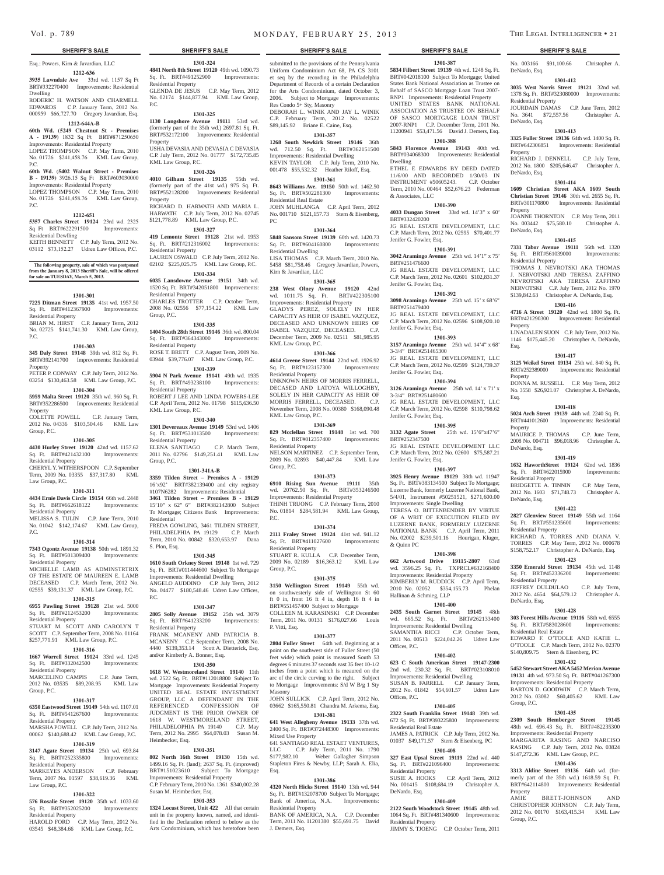Esq.; Powers, Kirn & Javardian, LLC

### **1212-636 3935 Lawndale Ave** 33rd wd. 1157 Sq Ft BRT#332270400 Improvements: Residential Dwelling

RODERIC H. WATSON AND CHARMELL EDWARDS C.P. January Term, 2012 No. 000959 \$66,727.70 Gregory Javardian, Esq.

# **1212-644A-B**

**60th Wd. (5249 Chestnut St - Premises A - 19139)** 1832 Sq Ft BRT#871250650 Improvements: Residential Property LOPEZ THOMPSON C.P. May Term, 2010

### No. 01726 \$241,458.76 KML Law Group, P.C.

### **60th Wd.** (**5402 Walnut Street - Premises B - 19139)** 3926.15 Sq Ft BRT#603030000

Improvements: Residential Property LOPEZ THOMPSON C.P. May Term, 2010 No. 01726 \$241,458.76 KML Law Group,

### **1212-651**

P.C.

**5357 Charles Street 19124** 23rd wd. 2325

### Sq Ft BRT#622291500 Residential Dewlling KEITH BENNETT C.P. July Term, 2012 No.

03112 \$73,152.27 Udren Law Offices, P.C.

### The following property, sale of which was postpo **from the January 8, 2013 Sheriff's Sale, will be offered for sale on TUESDAY, March 5, 2013.**

### **1301-301**

**7225 Ditman Street 19135** 41st wd. 1957.50 Sq. Ft. BRT#412367900 Improvements: Residential Property BRIAN M. HIRST C.P. January Term, 2012

### No. 02725 \$141,741.30 KML Law Group, P.C.

### **1301-303**

**345 Daly Street 19148** 39th wd. 812 Sq. Ft. BRT#392141700 Improvements: Residential Property

PETER P. CONWAY C.P. July Term, 2012 No. 03254 \$130,463.58 KML Law Group, P.C. **1301-304**

### **5959 Malta Street 19120** 35th wd. 960 Sq. Ft. BRT#352286500 Improvements: Residential Property

COLETTE POWELL C.P. January Term, 2012 No. 04336 \$103,504.46 KML Law Group, P.C.

### **1301-305**

**4430 Hurley Street 19120** 42nd wd. 1157.62 Sq. Ft. BRT#421432100 Improvements: Residential Property

### CHERYL Y. WITHERSPOON C.P. September Term, 2009 No. 03355 \$37,317.80 KML Law Group, P.C.

### **1301-311**

**4434 Ernie Davis Circle 19154** 66th wd. 2448 Sq. Ft. BRT#662618122 Improvements: Residential Property

MELISSA S. TULIN C.P. June Term, 2010 No. 01042 \$142,174.67 KML Law Group, P.C.

# **1301-314**

**7343 Ogontz Avenue 19138** 50th wd. 1891.32 Sq. Ft. BRT#501309400 Improvements: Residential Property

# MICHELLE LAMB AS ADMINSTRTRIX OF THE ESTATE OF MAUREEN E. LAMB

DECEASED C.P. March Term, 2012 No. 02555 \$39,131.37 KML Law Group, P.C. **1301-315**

### **6955 Pawling Street 19128** 21st wd. 5000

Sq. Ft. BRT#212453200 Improvements: Residential Property

### STUART M. SCOTT AND CAROLYN T SCOTT C.P. September Term, 2008 No. 01164 \$257,771.91 KML Law Group, P.C.

# **1301-316**

**1667 Worrell Street 19124** 33rd wd. 1245 Sq. Ft. BRT#332042500 Improvements:

# Residential Property

MARCELINO CAMPIS C.P. June Term, 2012 No. 03535 \$89,208.95 KML Law Group, P.C.

# **1301-317**

**6350 Eastwood Street 19149** 54th wd. 1107.01 Sq. Ft. BRT#541267600 Improvements: Residential Property MARSHA POWELL C.P. July Term, 2012 No.

### 00062 \$140,688.42 KML Law Group, P.C. **1301-319**

### **3147 Agate Street 19134** 25th wd. 693.84<br> **Sq. Ft. BRT#252335800** Improvements: Sq. Ft. BRT#252335800 Residential Property

MARKEYES ANDERSON C.P. February Term, 2007 No. 01597 \$38,619.36 KML Law Group, P.C.

### **1301-322**

**576 Rosalie Street 19120** 35th wd. 1033.60 Sq. Ft. BRT#352025200 Improvements: Residential Property

HAROLD FORD C.P. May Term, 2012 No. 03545 \$48,384.66 KML Law Group, P.C.

**1301-324 4841 North 8th Street 19120** 49th wd. 1090.73 Sq. Ft. BRT#491252900 Improvements:

GLENDA DE JESUS C.P. May Term, 2012 No. 02174 \$144,877.94 KML Law Group,

**1301-325 1130 Longshore Avenue 19111** 53rd wd. (formerly part of the 35th wd.) 2697.81 Sq. Ft. BRT#532172100 Improvements: Residential

USHA DEVASIA AND DEVASIA C DEVASIA C.P. July Term, 2012 No. 01777 \$172,735.85

**1301-326 4010 Gilham Street 19135** 55th wd. (formerly part of the 41st wd.) 975 Sq. Ft. BRT#552128200 Improvements: Residential

RICHARD D. HARWATH AND MARIA L. HARWATH C.P. July Term, 2012 No. 02745 \$121,778.89 KML Law Group, P.C. **1301-327 419 Lemonte Street 19128** 21st wd. 1953 Sq. Ft. BRT#212316002 Improvements:

LAUREN OSWALD C.P. July Term, 2012 No. 02102 \$225,025.75 KML Law Group, P.C. **1301-334 6035 Lansdowne Avenue 19151** 34th wd. 1520 Sq. Ft. BRT#342051800 Improvements:

CHARLES TROTTER C.P. October Term, 2008 No. 02556 \$77,154.22 KML Law

**1301-335 1404 South 28th Street 19146** 36th wd. 800.04 Sq. Ft. BRT#364343000 Improvements:

ROSE T. BRETT C.P. August Term, 2009 No. 03944 \$39,776.07 KML Law Group, P.C. **1301-339 5904 N Park Avenue 19141** 49th wd. 1935 Sq. Ft. BRT#493238100 Improvements:

ROBERT J LEE AND LINDA POWERS-LEE C.P. April Term, 2012 No. 01798 \$115,636.50

**1301-340 1301 Devereaux Avenue 19149** 53rd wd. 1406 Sq. Ft. BRT#531013500 Improvements:

ELENA SANTIAGO C.P. March Term, 2011 No. 02796 \$149,251.41 KML Law

**1301-341A-B 3359 Tilden Street – Premises A - 19129**  16'x92' BRT#382139400 and city registry #107N6282 Improvements: Residential **3461 Tilden Street – Premises B - 19129**  15'10" x 62" 6" BRT#382142800 Subject To Mortgage; Citizens Bank Improvements:

FREDA GOWLING, 3461 TILDEN STREET, PHILADELPHIA PA 19129 C.P. March Term, 2010 No. 00842 \$320,653.97 Dana

**1301-345 1610 South Orkney Street 19148** 1st wd. 729 Sq. Ft. BRT#011444600 Subject To Mortgage Improvements: Residential Dwelling ANGELO AUDDINO C.P. July Term, 2012 No. 04477 \$180,548.46 Udren Law Offices,

**1301-347 2805 Solly Avenue 19152** 25th wd. 3079 Sq. Ft. BRT#641233200 Improvements:

FRANK MCANENY AND PATRICIA B. MCANENY C.P. September Term, 2008 No. 4440 \$139,353.14 Scott A. Dietterick, Esq.

**1301-350 1618 W. Westmoreland Street 19140** 11th wd. 2522 Sq. Ft. BRT#112018800 Subject To Mortgage Improvements: Residential Property UNITED REAL ESTATE INVESTMENT GROUP, LLC A DEFENDANT IN THE REFERENCED CONFESSION OF JUDGMENT IS THE PRIOR OWNER OF 1618 W. WESTMORELAND STREET, PHILADELOPHIA PA 19140 C.P. May Term, 2012 No. 2995 \$64,078.03 Susan M.

**1301-351 802 North 16th Street 19130** 15th wd. 1499.16 Sq. Ft. (land); 2637 Sq. Ft. (improved) BRT#151023610 Subject To Mortgage Improvements: Residential Property C.P. February Term, 2010 No. 1361 \$340,002.28

**1301-353 1324 Locust Street, Unit 422** All that certain unit in the property known, named, and identified in the Declaration referrd to below as the Arts Condominium, which has heretofore been

Residential Property

KML Law Group, P.C.

Residential Property

Residential Property

Residential Property

Residential Property

KML Law Group, P.C.

Residential Property

Group, P.C.

Residential

S. Plon, Esq.

Residential Property

Heimbecker, Esq.

Susan M. Heimbecker, Esq.

and/or Kimberly A. Bonner, Esq.

 $PC$ 

Group, P.C.

P.C.

Property

Property

submitted to the provisions of the Pennsylvania Uniform Condominium Act 68, PA CS 3101 et seq by the recording in the Philadelphia Department of Records of a certain Declaration for the Arts Condominium, dated October 3, 2006. Subject to Mortgage Improvements: Res Condo 5+ Sty, Masonry

DEBORAH L. WINIK AND JAY L. WINIK C.P. February Term, 2012 No. 02522 \$89,145.92 Briane E. Caine, Esq. **1301-357**

# **1268 South Newkirk Street 19146** 36th

wd. 712.50 Sq. Ft. BRT#362151500 Improvements: Residential Dwelling KEVIN TAYLOR C.P. July Term, 2010 No. 001478 \$55,532.32 Heather Riloff, Esq.

# **1301-361**

**8643 Williams Ave. 19150** 50th wd. 1462.50 Sq. Ft. BRT#502281300 Improvements: Residential Real Estate JOHN MUHLANGA C.P. April Term, 2012 No. 001710 \$121,157.73 Stern & Eisenberg, PC

### **1301-364**

**5848 Sansom Street 19139** 60th wd. 1420.73 Sq. Ft. BRT#604160800 Improvements: Residential Dwelling LISA THOMAS C.P. March Term, 2010 No. 5458 \$81,758.46 Gregory Javardian, Powers, Kirn & Javardian, LLC

# **1301-365**

**238 West Olney Avenue 19120** 42nd wd. 1011.75 Sq. Ft. BRT#422305100 Improvements: Residential Property GLADYS PEREZ, SOLELY IN HER CAPACITY AS HEIR OF ISABEL VAZQUEZ, DECEASED AND UNKNOWN HEIRS OF ISABEL VAZQUEZ, DECEASED. C.P. December Term, 2009 No. 02511 \$81,985.95 KML Law Group, P.C.

### **1301-366**

**4614 Greene Street 19144** 22nd wd. 1926.92 Sq. Ft. BRT#123157300 Improvements: Residential Property UNKNOWN HEIRS OF MORRIS FERRELL, DECASED AND LATOYA WILLOGHBY,

SOLELY IN HER CAPACITY AS HEIR OF MORRIS FERRELL, DECEASED. C.P. November Term, 2008 No. 00380 \$168,090.48 KML Law Group, P.C.

### **1301-369**

**829 Mcclellan Street 19148** 1st wd. 700 Sq. Ft. BRT#012357400 Improvements: Residential Property NELSON MARTINEZ C.P. September Term, 2009 No. 02893 \$40,447.84 KML Law

### **1301-373**

Group, P.C.

**6910 Rising Sun Avenue 19111** 35th wd. 20762.50 Sq. Ft. BRT#353246500 Improvements: Residential Property THINH TRUONG C.P. February Term, 2010 No. 01814 \$284,581.94 KML Law Group, P.C.

### **1301-374**

**2111 Fraley Street 19124** 41st wd. 941.12 Sq. Ft. BRT#411027600 Improvements: Residential Property STUART R. KULLA C.P. December Term, 2009 No. 02189 \$16,363.12 KML Law Group, P.C.

### **1301-375**

**3150 Wellington Street 19149** 55th wd. on southwesterly side of Wellington St 60 ft 0 in, front 16 ft 4 in, depth 16 ft 4 in BRT#551457400 Subject to Mortgage COLLEEN M. KARASINSKI C.P. December Term, 2011 No. 00131 \$176,027.66 Louis P. Vitti, Esq.

### **1301-377**

2804 Fuller Street 64th wd. Beginning at a point on the southwest side of Fuller Street (50 feet wide) which point is measured South 53 degrees 6 minutes 37 seconds east 35 feet 10-1/2 inches from a point which is meaured on the arc of the circle curving to the right. Subject to Mortgage Improvements: S/d W B/g 1 Sty Masonry

JOHN SULLICK C.P. April Term, 2012 No. 03662 \$165,550.81 Chandra M. Arkema, Esq.

### **1301-381 641 West Allegheny Avenue 19133** 37th wd.

2400 Sq. Ft. BRT#372448300 Improvements: Mixed Use Property 641 SANTIAGO REAL ESTAET VENTURES,

LLC C.P. July Term, 2011 No. 1790 \$177,982.10 Weber Gallagher Simpson Stapleton Fires & Newby, LLP; Sarah A. Elia, Esq.

### **1301-386**

**4320 North Hicks Street 19140** 13th wd. 944 Sq. Ft. BRT#132078700 Subject To Mortgage; Bank of America, N.A. Improvements: Residential Property BANK OF AMERICA, N.A. C.P. December Term, 2011 No. 11201380 \$55,691.75 David J. Demers, Esq.

### **SHERIFF'S SALE SHERIFF'S SALE SHERIFF'S SALE SHERIFF'S SALE SHERIFF'S SALE**

No. 003166 \$91,100.66 Christopher A.

**1301-412 3035 West Norris Street 19121** 32nd wd. 1378 Sq. Ft. BRT#323080000 Improvements:

JOURDAIN DAMAS C.P. June Term, 2012 No. 3641 \$72,557.56 Christopher A.

**1301-413 3325 Fuller Street 19136** 64th wd. 1400 Sq. Ft. BRT#642306851 Improvements: Residential

RICHARD J. DENNELL C.P. July Term, 2012 No. 1800 \$205,646.47 Christopher A.

**1301-414 1609 Christian Street AKA 1609 South Christian Street 19146** 30th wd. 2655 Sq. Ft. BRT#301170800 Improvements: Residential

JOANNE THORNTON C.P. May Term, 2011 No. 003442 \$75,580.10 Christopher A.

**1301-415 7331 Tabor Avenue 19111** 56th wd. 1320 Sq. Ft. BRT#561039000 Improvements:

THOMAS J. NEVROTSKI AKA THOMAS J. NERVOTSKI AND TERESA ZAFFINO NEVROTSKI AKA TERESA ZAFFINO NERVOTSKI C.P. July Term, 2012 No. 1970 \$139,842.63 Christopher A. DeNardo, Esq. **1301-416 4716 A Street 19120** 42nd wd. 1800 Sq. Ft. BRT#421290300 Improvements: Residential

LINADALEN SUON C.P. July Term, 2012 No. 1146 \$175,445.20 Christopher A. DeNardo,

**1301-417 3125 Weikel Street 19134** 25th wd. 840 Sq. Ft. BRT#252389000 Improvements: Residential

DONNA M. RUSSELL C.P. May Term, 2012 No. 3558 \$26,921.07 Christopher A. DeNardo,

**1301-418 5024 Arch Street 19139** 44th wd. 2240 Sq. Ft. BRT#441012600 Improvements: Residential

MAURICE P. THOMAS C.P. June Term, 2008 No. 004711 \$96,018.96 Christopher A.

**1301-419 1632 HaworthStreet 19124** 62nd wd. 1836 Sq. Ft. BRT#622015900 Improvements:

BRIDGETTE A. TINNIN C.P. May Term, 2012 No. 1603 \$71,748.73 Christopher A.

**1301-422 2827 Glenview Street 19149** 55th wd. 1164 Sq. Ft. BRT#551235600 Improvements:

RICHARD A. TORRES AND DIANA V. TORRES C.P. May Term, 2012 No. 000678 \$158,752.17 Christopher A. DeNardo, Esq. **1301-423 3350 Emerald Street 19134** 45th wd. 1148 Sq. Ft. BRT#452336200 Improvements:

JEFFREY DULDULAO C.P. July Term, 2012 No. 4654 \$64,579.12 Christopher A.

**1301-428 303 Forest Hills Avenue 19116** 58th wd. 6555 Sq. Ft. BRT#583028600 Improvements:

EDWARD F. O'TOOLE AND KATIE L. O'TOOLE C.P. March Term, 2012 No. 02370 \$140,809.75 Stern & Eisenberg, PC **1301-432 5452 Stewart Street AKA 5452 Merion Avenue 19131** 4th wd. 973.50 Sq. Ft. BRT#041267300 Improvements: Residential Property BARTON D. GOODWIN C.P. March Term, 2012 No. 03082 \$60,405.62 KML Law

**1301-435 2309 South Hemberger Street 19145**  48th wd. 696.43 Sq. Ft. BRT#482235300 Improvements: Residential Property MARGARITA RASING AND NARCISO RASING C.P. July Term, 2012 No. 03824 \$147,272.36 KML Law Group, P.C. **1301-436 3313 Aldine Street 19136** 64th wd. (formerly part of the 35th wd.) 1618.59 Sq. Ft. BRT#642114800 Improvements: Residential

AMIE BRETT-JOHNSON AND CHRISTOPHER JOHNSON C.P. July Term, 2012 No. 00170 \$163,415.34 KML Law

DeNardo, Esq.

DeNardo, Esq.

DeNardo, Esq.

**Property** 

Property

Property

Property

Esq.

Property

DeNardo, Esq.

DeNardo, Esq.

Residential Property

Residential Property

Residential Property

Residential Real Estate

DeNardo, Esq.

Group, P.C.

Property

Group, P.C.

Esq.

DeNardo, Esq.

Residential Property

Residential Property

**1301-387 5834 Filbert Street 19139** 4th wd. 1248 Sq. Ft. BRT#042018100 Subject To Mortgage; United States Bank National Association as Trustee on Behalf of SASCO Mortgage Loan Trust 2007- RNP1 Improvements: Residential Property UNITED STATES BANK NATIONAL ASSOCIATION AS TRUSTEE ON BEHALF OF SASCO MORTGAGE LOAN TRUST 2007-RNP1 C.P. December Term, 2011 No. 11200941 \$53,471.56 David J. Demers, Esq.

### **1301-388**

**5843 Florence Avenue 19143** 40th wd. BRT#034068300 Improvements: Residential Dwelling ETHEL E EDWARDS BY DEED DATED

11/6/00 AND RECORDED 1/30/03 IN INSTRUMENT #50605243. C.P. October Term, 2010 No. 00464 \$52,676.23 Federman & Associates, LLC

### **1301-390**

**4033 Dungan Street** 33rd wd. 14'3" x 60' BRT#332420200 JG REAL ESTATE DEVELOPMENT, LLC C.P. March Term, 2012 No. 02595 \$70,401.77 Jenifer G. Fowler, Esq.

# **1301-391**

**3042 Aramingo Avenue** 25th wd. 14'1" x 75' BRT#251476600 JG REAL ESTATE DEVELOPMENT, LLC C.P. March Term, 2012 No. 02601 \$102,831.37 Jenifer G. Fowler, Esq.

### **1301-392**

**3098 Aramingo Avenue** 25th wd. 15' x 68'6" BRT#251479400 JG REAL ESTATE DEVELOPMENT, LLC C.P. March Term, 2012 No. 02596 \$108,920.10 Jenifer G. Fowler, Esq.

### **1301-393 3157 Aramingo Avenue** 25th wd. 14'4" x 68'

3-3/4" BRT#251465300 JG REAL ESTATE DEVELOPMENT, LLC C.P. March Term, 2012 No. 02599 \$124,739.37 Jenifer G. Fowler, Esq.

### **1301-394**

**3126 Aramingo Avenue** 25th wd. 14' x 71' x 3-3/4" BRT#251480600 JG REAL ESTATE DEVELOPMENT, LLC C.P. March Term, 2012 No. 02598 \$110,798.62 Jenifer G. Fowler, Esq.

### **1301-395**

**3132 Agate Street** 25th wd. 15'6"x47'6" BRT#252347500 JG REAL ESTATE DEVELOPMENT LLC C.P. March Term, 2012 No. 02600 \$75,587.21 Jenifer G. Fowler, Esq.

# **1301-397**

**3925 Henry Avenue 19129** 38th wd. 11947 Sq. Ft. BRT#383134500 Subject To Mortgage; Luzerne Bank, formerly Luzerne National Bank, 5/4/01, Instrument #50251521, \$271,600.00 Improvements: Single Dwelling TERESA O. BITTENBENDER BY VIRTUE OF A WRIT OF EXECUTION FILED BY LUZERNE BANK, FORMERLY LUZERNE NATIONAL BANK C.P. April Term, 2011 No. 02002 \$239,501.16 Hourigan, Kluger, & Quinn PC

### **1301-398**

**1301-400 2435 South Garnet Street 19145** 48th wd. 665.52 Sq. Ft. BRT#262133400 Improvements: Residential Dwelling SAMANTHA RICCI C.P. October Term, 2011 No. 00513 \$224,042.26 Udren Law

**1301-402 623 C South American Street 19147-2300**  2nd wd. 230.32 Sq. Ft. BRT#023108010 Improvements: Residential Dwelling SUSAN B. FARRELL C.P. January Term, 2012 No. 01842 \$54,601.57 Udren Law

**1301-405 2322 South Franklin Street 19148** 39th wd. 672 Sq. Ft. BRT#393225800 Improvements:

JAMES A. PATRICK C.P. July Term, 2012 No. 01037 \$49,171.57 Stern & Eisenberg, PC **1301-408 327 East Upsal Street 19119** 22nd wd. 440 Sq. Ft. BRT#221096400 Improvements:

No. 001415 \$108,684.19 Christopher A.

**1301-409 2122 South Woodstock Street 19145** 48th wd. 1064 Sq. Ft. BRT#481340600 Improvements:

JIMMY S. TJOENG C.P. October Term, 2011

C.P. April Term, 2012

Hallinan & Schmieg, LLP

Offices, P.C.

Offices, P.C.

Residential Real Estate

Residential Property<br>SUSIE A. HOOKS

Residential Property

DeNardo, Esq.

**662 Artwood Drive 19115-2807** 63rd wd. 3596.25 Sq. Ft. TXPRCL#632168400 Improvements: Residential Property KIMBERLY M. RUDDICK C.P. April Term, 2010 No. 02052 \$354,155.73 Phelan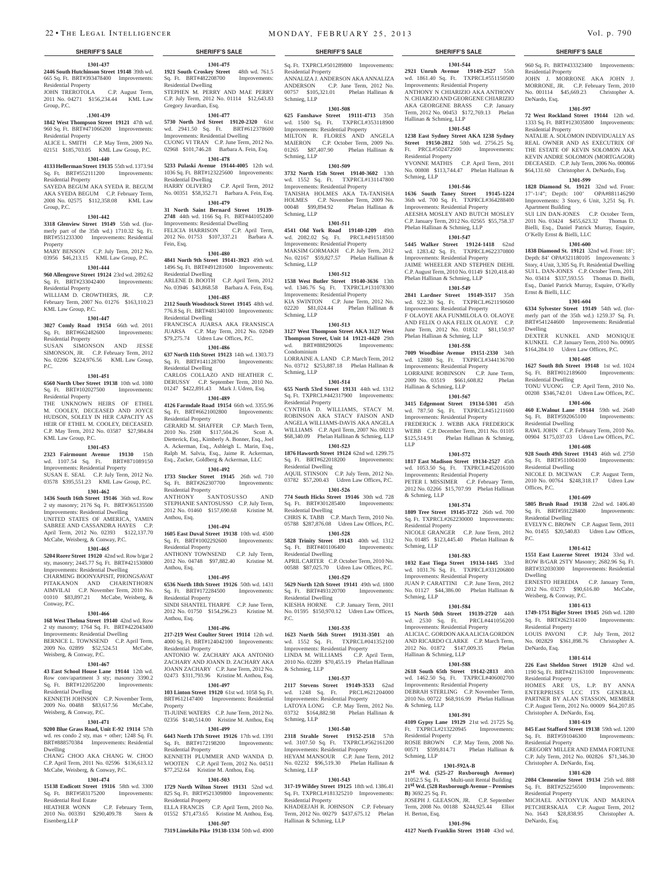### **1301-437 2446 South Hutchinson Street 19148** 39th wd. **1921 South Croskey Street** 48th wd. 761.5 665 Sq. Ft. BRT#393478400 Improvements:

Residential Property JOHN TREROTOLA C.P. August Term, 2011 No. 04271 \$156,234.44 KML Law

Group, P.C. **.1301-439**

# **1842 West Thompson Street 19121** 47th wd. 960 Sq. Ft. BRT#471066200 Improvements:

Residential Property ALICE L. SMITH C.P. May Term, 2009 No. 02151 \$185,703.05 KML Law Group, P.C.

# **1301-440**

**4133 Hellerman Street 19135** 55th wd. 1373.94 Sq. Ft. BRT#552111200 Improvements: Residential Property SAYEDA BEGUM AKA SYEDA R. BEGUM AKA SYEDA BEGUM C.P. February Term, 2008 No. 02575 \$112,358.08 KML Law

### **1301-442**

Group, P.C.

**3318 Glenview Street 19149** 55th wd. (formerly part of the 35th wd.) 1710.32 Sq. Ft. BRT#551233300 Improvements: Residential

### Property MARY BENSON C.P. July Term, 2012 No. 03956 \$46,213.15 KML Law Group, P.C.

### **1301-444**

**960 Allengrove Street 19124** 23rd wd. 2892.62 Sq. Ft. BRT#233042400 Improvements: Residential Property

WILLIAM D. CROWTHERS, JR. C.P. February Term, 2007 No. 01276 \$163,110.23 KML Law Group, P.C.

### **1301-447**

**3027 Comly Road 19154** 66th wd. 2011 Sq. Ft. BRT#662482600 Improvements: Residential Property

SUSAN SIMONSON AND JESSE SIMONSON, JR. C.P. February Term, 2012 No. 02206 \$224,976.56 KML Law Group, P.C.

### **1301-451**

**6560 North Uber Street 19138** 10th wd. 1080 Sq. Ft. BRT#102027500 Improvements: Residential Property

THE UNKNOWN HEIRS OF ETHEL M. COOLEY, DECEASED AND JOYCE HUDSON, SOLELY IN HER CAPACITY AS HEIR OF ETHEL M. COOLEY, DECEASED. C.P. May Term, 2012 No. 03587 \$27,984.84 KML Law Group, P.C.

### **1301-453**

**2323 Fairmount Avenue 19130** 15th wd. 1107.54 Sq. Ft. BRT#871089150 Improvements: Residential Property SUSAN E. SEAL C.P. July Term, 2012 No. 03578 \$395,551.23 KML Law Group, P.C.

### **1301-462**

**1436 South 16th Street 19146** 36th wd. Row 2 sty masonry; 2176 Sq. Ft. BRT#365135500 Improvements: Residential Dwelling UNITED STATES OF AMERICA, YAMIN SABREE AND CASSANDRA HAYES C.P. April Term, 2012 No. 02393 \$122,137.70 McCabe, Weisberg, & Conway, P.C.

### **1301-465**

**5204 Rorer Street 19120** 42nd wd. Row b/gar 2 sty, masonry; 2445.77 Sq. Ft. BRT#421530800 Improvements: Residential Dwelling CHARMING BOONYAPISIT, PHONGSAVAT PITAKANON AND CHARINTHORN AIMVILAI C.P. November Term, 2010 No. 01010 \$83,897.21 McCabe, Weisberg, & Conway, P.C.

### **1301-466**

**168 West Thelma Street 19140** 42nd wd. Row 2 sty masonry; 1764 Sq. Ft. BRT#422043400 Improvements: Residential Dwelling BERNICE L. TOWNSEND C.P. April Term, 2009 No. 02899 \$52,524.51 McCabe, Weisberg, & Conway, P.C.

### **1301-467**

**43 East School House Lane 19144** 12th wd. Row conv/apartment 3 sty; masonry 3390.2 Sq. Ft. BRT#122052200 Improvements: Residential Dwelling

KENNETH JOHNSON C.P. November Term, 2009 No. 00488 \$83,617.56 McCabe, Weisberg, & Conway, P.C.

### **1301-471**

**9200 Blue Grass Road, Unit E-92 19114** 57th wd. res condo 2 sty, mas + other; 1248 Sq. Ft. BRT#888570384 Improvements: Residential Dwelling CHANG CHOO AKA CHANG W. CHOO

C.P. April Term, 2011 No. 02596 \$136,613.12 McCabe, Weisberg, & Conway, P.C.

# **1301-474**

**15138 Endicott Street 19116** 58th wd. 3300 Sq. Ft. BRT#583175200 Improvements: Residential Real Estate

HEATHER WONN C.P. February Term, 2010 No. 003391 \$290,409.78 Stern & Eisenberg,LLP

**1301-507 7319 Limekiln Pike 19138-1334** 50th wd. 4900

ELLA FRANCIS C.P. April Term, 2010 No. 01552 \$71,473.65 Kristine M. Anthou, Esq.

**1301-475** Sq. Ft. BRT#482208700 Improvements:

STEPHEN M. PERRY AND MAE PERRY C.P. July Term, 2012 No. 01114 \$12,643.83

**1301-477 5730 North 3rd Street 19120-2320** 61st wd. 2941.50 Sq. Ft. BRT#612378600 Improvements: Residential Dwelling CUONG VI TRAN C.P. June Term, 2012 No. 02968 \$101,746.28 Barbara A. Fein, Esq. **1301-478 5233 Pulaski Avenue 19144-4005** 12th wd. 1036 Sq. Ft. BRT#123225600 Improvements:

HARRY OLIVERO C.P. April Term, 2012 No. 00351 \$58,352.71 Barbara A. Fein, Esq. **1301-479 31 North Saint Bernard Street 19139- 2748** 44th wd. 1166 Sq. Ft. BRT#441052400 Improvements: Residential Dwelling FELICIA HARRISON C.P. April Term, 2012 No. 01753 \$107,337.21 Barbara A.

**1301-480 4841 North 9th Street 19141-3923** 49th wd. 1496 Sq. Ft. BRT#491281600 Improvements:

ARLENE D. BOOTH C.P. April Term, 2012 No. 03946 \$43,868.58 Barbara A. Fein, Esq. **1301-485 2112 South Woodstock Street 19145** 48th wd. 776.8 Sq. Ft. BRT#481340100 Improvements:

FRANCISCA JUARSA AKA FRANSISCA JUARSA C.P. May Term, 2012 No. 02049 \$79,275.74 Udren Law Offices, P.C. **1301-486 637 North 11th Street 19123** 14th wd. 1303.73 Sq. Ft. BRT#141128700 Improvements:

CARLOS COLLAZO AND HEATHER C. DERUSSY C.P. September Term, 2010 No. 01247 \$422,891.43 Mark J. Udren, Esq. **1301-489 4126 Farmdale Road 19154** 66th wd. 3355.96 Sq. Ft. BRT#6621002800 Improvements:

GERARD M. SHAFFER C.P. March Term, 2010 No. 2508 \$117,504.26 Scott A. Dietterick, Esq., Kimberly A. Bonner, Esq., Joel A. Ackerman, Esq., Ashleigh L. Marin, Esq., Ralph M. Salvia, Esq., Jaime R. Ackerman, Esq., Zucker, Goldberg & Ackerman, LLC **1301-492 1733 Stocker Street 19145** 26th wd. 710 Sq. Ft. BRT#262307700 Improvements:

STEPHANIE SANTOSUSSO C.P. July Term, 2012 No. 01460 \$157,690.68 Kristine M.

**1301-494 1605 East Duval Street 19138** 10th wd. 4500 Sq. Ft. BRT#1002292600 Improvements:

ANTHONY TOWNSEND C.P. July Term, 2012 No. 04748 \$97,882.40 Kristine M.

**1301-495 6536 North 18th Street 19126** 50th wd. 1431 Sq. Ft. BRT#172284500 Improvements:

SINDI SHANTEL THARPE C.P. June Term, 2012 No. 01750 \$154,296.23 Kristine M.

**1301-496 217-219 West Coulter Street 19114** 12th wd. 4000 Sq. Ft. BRT#124042100 Improvements:

ANTONIO W. ZACHARY AKA ANTONIO ZACHARY AND JOANN D. ZACHARY AKA JOANN ZACHARY C.P. June Term, 2012 No. 02473 \$311,793.96 Kristine M. Anthou, Esq. **1301-497 103 Linton Street 19120** 61st wd. 1058 Sq. Ft. BRT#612147400 Improvements: Residential

TI-JUINE WATERS C.P. June Term, 2012 No. 02356 \$140,514.00 Kristine M. Anthou, Esq **1301-499 6443 North 17th Street 19126** 17th wd. 1391 Sq. Ft. BRT#172198200 Improvements:

KENNETH PLUMMER AND WANDA D. WOOTEN C.P. April Term, 2012 No. 04511 \$77,252.64 Kristine M. Anthou, Esq. **1301-503 1729 North Wilton Street 19131** 52nd wd. 825 Sq. Ft. BRT#521309800 Improvements:

SANTOSUSSO AND

Residential Dwelling

Gregory Javardian, Esq.

Residential Dwelling

Fein, Esq.

Residential Dwelling

Residential Dwelling

Residential Dwelling

Residential Property

Residential Property<br>ANTHONY S

Residential Property

Residential Property

Residential Property

Residential Property

Residential Property

Anthou, Esq.

Anthou, Esq.

Anthou, Esq.

Property

## Sq. Ft. TXPRCL#501289800 Improvements:

Residential Property ANNALIZA J. ANDERSON AKA ANNALIZA ANDERSON C.P. June Term, 2012 No. 00757 \$105,321.01 Phelan Hallinan & Schmieg, LLP

### **1301-508**

**625 Fanshawe Street 19111-4713** 35th wd. 1500 Sq. Ft. TXPRCL#353118900 Improvements: Residential Property MILTON R. FLORES AND ANGELA MAIERON C.P. October Term, 2009 No. 01265 \$87,407.90 Phelan Hallinan & Schmieg, LLP

### **1301-509**

**3732 North 15th Street 19140-3602** 13th wd. 1552 Sq. Ft. TXPRCL#131147800 Improvements: Residential Property TANISHA HOLMES AKA TA-TANISHA HOLMES C.P. November Term, 2009 No. 00048 \$99,894.92 Phelan Hallinan & Schmieg, LLP

# **1301-511**

**4541 Old York Road 19140-1209** 49th wd. 2082.02 Sq. Ft. PRCL#491518500 Improvements: Residential Property MAKSIM GORMAKH C.P. July Term, 2012 No. 02167 \$59,827.57 Phelan Hallinan & Schmieg, LLP

## **1301-512**

**1538 West Butler Street 19140-3636** 13th wd. 1346.76 Sq. Ft. TXPRCL#131078300 Improvements: Residential Property KIA SWINTON C.P. June Term, 2012 No. 02220 \$81,024.44 Phelan Hallinan & Schmieg, LLP

### **1301-513**

**3127 West Thompson Street AKA 3127 West Thompson Street, Unit 14 19121-4420** 29th<br>wd. BRT#888290026 Improvements: BRT#888290026 Condominium LORRAINE A. LAND C.P. March Term, 2012 No. 03712 \$253,887.18 Phelan Hallinan &

Schmieg, LLP **1301-514 655 North 53rd Street 19131** 44th wd. 1312 Sq. Ft. TXPRCL#442317900 Improvements:

Residential Property CYNTHIA D. WILLIAMS, STACY M. ROBINSON AKA STACY FAISON AND ANGELA WILLIAMS-DAVIS AKA ANGELA WILLIAMS C.P. April Term, 2007 No. 00213 \$68,340.09 Phelan Hallinan & Schmieg, LLP

**1301-523 1876 Haworth Street 19124** 62nd wd. 1299.75 Sq. Ft. BRT#622018200 Improvements: Residential Dwelling AQUIL STINSON C.P. July Term, 2012 No.

03782 \$57,200.43 Udren Law Offices, P.C. **1301-526 774 South Hicks Street 19146** 30th wd. 728 Sq. Ft. BRT#301285400 Improvements: Residential Dwelling

CHRIS K. TABB C.P. March Term, 2010 No. 05788 \$287,876.08 Udren Law Offices, P.C. **1301-528**

**5828 Trinity Street 19143** 40th wd. 1312 Sq. Ft. BRT#401106400 Improvements: Residential Dwelling

APRIL CARTER C.P. October Term, 2010 No. 00588 \$87,025.70 Udren Law Offices, P.C. **1301-529**

**5629 North 12th Street 19141** 49th wd. 1800 Sq. Ft. BRT#493120700 Improvements: Residential Dwelling KIESHA HORNE C.P. January Term, 2011

No. 01595 \$150,970.12 Udren Law Offices, P.C.

### **1301-535**

**1623 North 56th Street 19131-3501** 4th wd. 1552 Sq. Ft. TXPRCL#041352100 Improvements: Residential Property

LINDA M. WILLIAMS C.P. April Term, 2010 No. 02289 \$70,455.19 Phelan Hallinan & Schmieg, LLP

# **1301-537**

**2117 Stevens Street 19149-3533** 62nd wd. 1248 Sq. Ft. PRCL#621204000 Improvements: Residential Property LATOYA LONG C.P. May Term, 2012 No. 03732 \$164,882.98 Phelan Hallinan & Schmieg, LLP

### **1301-540**

**2318 Strahle Street 19152-2518** 57th wd. 3107.50 Sq. Ft. TXPRCL#562161200 Improvements: Residential Property HEYAM MANSOUR C.P. June Term, 2012 No. 02232 \$96,519.30 Phelan Hallinan & Schmieg, LLP

### **1301-543**

**317-19 Wildey Street 19125** 18th wd. 1386.41 Sq. Ft. TXPRCL#181325210 Improvements: Residential Property KHADEEJAH R. JOHNSON C.P. February Term, 2012 No. 00279 \$437,675.12 Phelan Hallinan & Schmieg, LLP

### **1301-596 4127 North Franklin Street 19140** 43rd wd.

**B)** 3692.25 Sq. Ft.

H. Berton, Esq.

### **SHERIFF'S SALE SHERIFF'S SALE SHERIFF'S SALE SHERIFF'S SALE SHERIFF'S SALE**

960 Sq. Ft. BRT#433323400 Improvements:

JOHN J. MORRONE AKA JOHN J. MORRONE, JR. C.P. February Term, 2010 No. 001114 \$45,669.23 Christopher A.

**1301-597 72 West Rockland Street 19144** 12th wd. 1333 Sq. Ft. BRT#123035800 Improvements:

NATALIE A. SOLOMON INDIVIDUALLY AS REAL OWNER AND AS EXECUTRIX OF THE ESTATE OF KEVIN SOLOMON AKA KEVIN ANDRE SOLOMON (MORTGAGOR) DECEASED. C.P. July Term, 2006 No. 000866 \$64,131.60 Christopher A. DeNardo, Esq. **1301-599 1828 Diamond St. 19121** 32nd wd. Front: 17'-1/4"; Depth: 100' OPA#881146290 Improvements: 3 Story, 6 Unit, 3,251 Sq. Ft.

SUI LIN DAN-JONES C.P. October Term, 2011 No. 03424 \$455,623.32 Thomas D. Bielli, Esq., Daniel Patrick Murray, Esquire,

**1301-600 1838 Diamond St. 19121** 32nd wd. Front: 18'; Depth: 84' OPA#321180105 Improvements: 3 Story, 4 Unit, 3,305 Sq. Ft. Residential Dwelling SUI L. DAN-JONES C.P. October Term, 2011 No. 03414 \$337,593.55 Thomas D. Bielli, Esq., Daniel Patrick Murray, Esquire, O'Kelly

**1301-604 6334 Sylvester Street 19149** 54th wd. (formerly part of the 35th wd.) 1259.37 Sq. Ft. BRT#541244600 Improvements: Residential

DEXTER KUNKEL AND MONIQUE KUNKEL C.P. January Term, 2010 No. 00905 \$164,284.10 Udren Law Offices, P.C. **1301-605 1627 South 8th Street 19148** 1st wd. 1024 Sq. Ft. BRT#012189600 Improvements:

TONU VUONG C.P. April Term, 2010 No. 00208 \$346,742.01 Udren Law Offices, P.C. **1301-606 460 E.Walnut Lane 19144** 59th wd. 2640 Sq. Ft. BRT#592065100 Improvements:

RAWL JOHN C.P. February Term, 2010 No. 00904 \$175,037.03 Udren Law Offices, P.C. **1301-608 928 South 49th Street 19143** 46th wd. 2750 Sq. Ft. BRT#511004100 Improvements:

NICOLE D. MCEWAN C.P. August Term, 2010 No. 00764 \$248,318.17 Udren Law

**1301-609 5805 Brush Road 19138** 22nd wd. 1406.40<br>Sq. Ft. BRT#591228400 Improvements:

EVELYN C. BROWN C.P. August Term, 2011 No. 01455 \$20,540.83 Udren Law Offices,

**1301-612 1551 East Luzerne Street 19124** 33rd wd. ROW B/GAR 2STY Masonry; 2682.96 Sq. Ft. BRT#332030300 Improvements: Residential

ERNESTO HEREDIA C.P. January Term, 2012 No. 03273 \$90,616.80 McCabe,

**1301-613 1749-1751 Bigler Street 19145** 26th wd. 1280 Sq. Ft. BRT#262314100 Improvements:

LOUIS PAVONI C.P. July Term, 2012 No. 002829 \$361,898.76 Christopher A.

**1301-614 226 East Sheldon Street 19120** 42nd wd. 1190 Sq. Ft. BRT#421163100 Improvements:

HOMES ARE US, L.P. BY ANNA ENTERPRISES LCC ITS GENERAL PARTNER BY ALAN STASSON, MEMBER C.P. August Term, 2012 No. 00009 \$64,207.85

**1301-619 845 East Stafford Street 19138** 59th wd. 1200 Sq. Ft. BRT#591046300 Improvements:

GREGORY MILLER AND EMMA FORTUNE C.P. July Term, 2012 No. 002826 \$71,346.30

**1301-620 2084 Clementine Street 19134** 25th wd. 888 Sq. Ft. BRT#252256500 Improvements:

MICHAEL ANTONYUK AND MARINA PETCHERSKAIA C.P. August Term, 2012 No. 1643 \$28,838.95 Christopher A.

Residential Property

Residential Property

Apartment Building

Ernst & Bielli, LLC

Residential Dwelling

Residential Dwelling

Residential Dwelling

Sq. Ft. BRT#591228400 Residential Dwelling

Weisberg, & Conway, P.C.

Residential Property

Residential Property

Residential Property

Residential Property

DeNardo, Esq.

Christopher A. DeNardo, Esq.

Christopher A. DeNardo, Esq.

DeNardo, Esq.

Offices, P.C.

P.C.

Dwelling

Dwelling

 $O'$ Kelly Ernst & Bielli, LLC

DeNardo, Esq.

**1301-544 2921 Unruh Avenue 19149-2527** 55th wd. 1861.40 Sq. Ft. TXPRCL#551150500 Improvements: Residential Property ANTHONY N CHIARIZIO AKA ANTHONY N. CHIARZIO AND GEORGENE CHIARIZIO AKA GEORGENE BRASS C.P. January Term, 2012 No. 00453 \$172,769.13 Phelan Hallinan & Schmieg, LLP

### **1301-545**

**1238 East Sydney Street AKA 1238 Sydney Street 19150-2812** 50th wd. 2756.25 Sq. Ft. PRCL#502472500 Improvements: Residential Property YVONNE MATHIS C.P. April Term, 2011

No. 00808 \$113,744.47 Phelan Hallinan & Schmieg, LLP

# **1301-546**

**1636 South Taney Street 19145-1224**  36th wd. 700 Sq. Ft. TXPRCL#364288400 Improvements: Residential Property AEESHA MOSLEY AND BUTCH MOSLEY C.P. January Term, 2012 No. 02565 \$55,758.37 Phelan Hallinan & Schmieg, LLP

# **1301-547**

**5445 Walker Street 19124-1418** 62nd wd. 1283.42 Sq. Ft. TXPRCL#622370800 Improvements: Residential Property JAIME WHEELER AND STEPHEN DIEHL C.P. August Term, 2010 No. 01149 \$120,418.40 Phelan Hallinan & Schmieg, LLP

# **1301-549**

**2841 Lardner Street 19149-3517** 35th wd. 922.30 Sq. Ft. TXPRCL#621190600 Improvements: Residential Property F OLAOYE AKA FUNMILOLA O. OLAOYE AND FELIX O AKA FELIX OLAOYE C.P. June Term, 2012 No. 01832 \$81,150.97 Phelan Hallinan & Schmieg, LLP

**1301-558 7009 Woodbine Avenue 19151-2330** 34th wd. 12880 Sq. Ft. TXPRCL#344136700 Improvements: Residential Property LORRAINE ROBINSON C.P. June Term, 2009 No. 03519 \$661,608.82 Phelan Hallinan & Schmieg, LLP **1301-567**

# **3415 Edgemont Street 19134-5301** 45th

wd. 787.50 Sq. Ft. TXPRCL#451211600 Improvements: Residential Property FREDERICK J. WEBB AKA FREDERICK WEBB C.P. December Term, 2011 No. 01105 \$125,514.91 Phelan Hallinan & Schmieg, LLP

### **1301-572**

**1817 East Madison Street 19134-2527** 45th wd. 1053.50 Sq. Ft. TXPRCL#452016100 Improvements: Residential Property PETER I. MISSIMER C.P. February Term, 2012 No. 02266 \$15,707.99 Phelan Hallinan & Schmieg, LLP

# **1301-574**

**1809 Tree Street 19145-3722** 26th wd. 700 Sq. Ft. TXPRCL#262230000 Improvements: Residential Property

NICOLE GRANGER C.P. June Term, 2012 No. 01485 \$123,445.40 Phelan Hallinan & Schmieg, LLP

### **1301-583**

**1032 East Tioga Street 19134-1445** 33rd wd. 1031.76 Sq. Ft. TXPRCL#331206800 Improvements: Residential Property JUAN P. CARATTINI C.P. June Term, 2012 No. 01127 \$44,386.00 Phelan Hallinan & Schmieg, LLP

### **1301-584**

**15 North 50th Street 19139-2720** 44th wd. 2530 Sq. Ft. PRCL#441056200 Improvements: Residential Property ALICIA C. GORDON AKA ALICIA GORDON AND RICARDO CLARKE C.P. March Term, 2012 No. 01872 \$147,009.35 Phelan Hallinan & Schmieg, LLP

# **1301-588**

**2618 South 65th Street 19142-2813** 40th wd. 1462.50 Sq. Ft. TXPRCL#406002700 Improvements: Residential Property DEBRAH STERLING C.P. November Term, 2010 No. 00722 \$68,916.99 Phelan Hallinan

& Schmieg, LLP **1301-591**

### **4109 Gypsy Lane 19129** 21st wd. 21725 Sq. TXPRCL#213220945 Improvements

Residential Property ROSIE BROWN C.P. May Term, 2008 No. 00571 \$599,814.71 Phelan Hallinan & Schmieg, LLP

**1301-592A-B 21st Wd. (525-27 Roxborough Avenue)** 11052.5 Sq. Ft. Multi-unit Rental Building **21st Wd. (528 Roxborough Avenue – Premises** 

JOSEPH J. GLEASON, JR. C.P. September Term, 2008 No. 00188 \$244,925.44 Elliot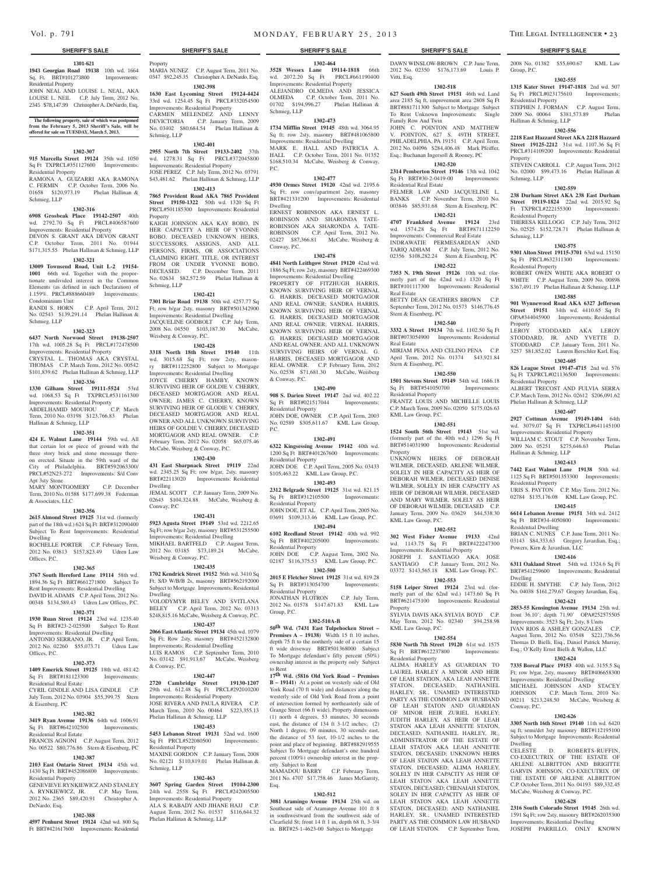### **1301-621**

**1943 Georgian Road 19138** 10th wd. 1664 Sq. Ft. BRT#101273800 Improvements: Residential Property

JOHN NEAL AND LOUISE L. NEAL, AKA LOUISE L. NEIL C.P. July Term, 2012 No. 2345 \$78,147.99 Christopher A. DeNardo, Esq.

# **The following property, sale of which was postponed from the February 5, 2013 Sheriff's Sale, will be offered for sale on TUESDAY, March 5, 2013.**

### **1302-307**

**915 Marcella Street 19124** 35th wd. 1050 Sq Ft TXPRCL#351127600 Improvements: Residential Property RAMONA A. GUIZARRI AKA RAMONA

C. FERMIN C.P. October Term, 2006 No. 01658 \$120,973.19 Phelan Hallinan & Schmieg, LLP

### **1302-316**

**6908 Grosbeak Place 19142-2507** 40th wd. 2792.70 Sq Ft PRCL#406587600 Improvements: Residential Property DEVON S. GRANT AKA DEVON GRANT C.P. October Term, 2011 No. 01944

\$171,315.55 Phelan Hallinan & Schmieg, LLP **1302-321**

### **13009 Townsend Road, Unit L-2 19154- 1001** 66th wd. Together with the proportionate undivided interest in the Common Elements (as defined in such Declaration) of 1.159%. PRCL#888660489 Improvements: Condominium Unit

RANDI S. HORN C.P. April Term, 2012 No. 02543 \$139,291.14 Phelan Hallinan & Schmieg, LLP

### **1302-323**

**6437 North Norwood Street 19138-2507**  17th wd. 1005.28 Sq Ft PRCL#172478500 Improvements: Residential Property CRYSTAL L. THOMAS AKA CRYSTAL THOMAS C.P. March Term, 2012 No. 00542

### \$101,839.62 Phelan Hallinan & Schmieg, LLP **1302-336**

**1330 Gilham Street 19111-5524** 53rd wd. 1068.53 Sq Ft TXPRCL#531161300 Improvements: Residential Property<br>ABDELHAMID MOUHOU C.P. March ABDELHAMID MOUHOU

Term, 2010 No. 03198 \$123,766.83 Phelan Hallinan & Schmieg, LLP

### **1302-351**

**424 E. Walnut Lane 19144** 59th wd. All that certain lot or piece of ground with the three story brick and stone messuage thereon erected. Situate in the 59th ward of the City of Philadelphia. BRT#592063300/ PRCL#52N23-272 Improvements: S/d Conv Apt 3sty Stone

MARY MONTGOMERY C.P. December Term, 2010 No. 01588 \$177,699.38 Federman & Associates, LLC

### **1302-356**

**2615 Almond Street 19125** 31st wd. (formerly part of the 18th wd.) 624 Sq Ft BRT#312090400 Subject To Rent Improvements: Residential Dwelling

ROCHELLE PORTER C.P. February Term, 2012 No. 03813 \$157,823.49 Udren Law Offices, P.C.

### **1302-365**

**3767 South Hereford Lane 19114** 58th wd. 1894.36 Sq Ft BRT#661271800 Subject To Rent Improvements: Residential Dwelling DAVID H. ADAMS C.P. April Term, 2012 No. 00348 \$134,589.43 Udren Law Offices, P.C.

### **1302-371**

### **1930 Ruan Street 19124** 23rd wd. 1235.40 Sq Ft BRT#23-2-025500 Subject To Rent Improvements: Residential Dwelling ANTONIO SERRANO, JR. C.P. April Term,

2012 No. 02260 \$55,073.71 Udren Law Offices, P.C. **1302-373**

### **1409 Emerick Street 19125** 18th wd. 481.42 Sq Ft BRT#181123300 Improvements: Residential Real Estate

CYRIL GINDLE AND LISA GINDLE C.P. July Term, 2012 No. 03904 \$55,399.75 Stern & Eisenberg, PC

### **1302-382 3419 Ryan Avenue 19136** 64th wd. 1606.91

Residential Property

DeNardo, Esq.

Sq Ft BRT#642102500 Improvements:

### Residential Real Estate FRANCIS AGNONI C.P. August Term, 2012 No. 00522 \$80,776.86 Stern & Eisenberg, PC **1302-387**

GENEVIEVE RYNKIEWICZ AND STANLEY A. RYNKIEWICZ, JR. C.P. May Term, 2012 No. 2365 \$89,420.91 Christopher A.

**1302-388 4597 Penhurst Street 19124** 42nd wd. 800 Sq Ft BRT#421617600 Improvements: Residential

**2103 East Ontario Street 19134** 45th wd. 1430 Sq Ft BRT#452086800 Improvements: Schmieg, LLP

24th wd. 2558 Sq Ft PRCL#242005500 Improvements: Residential Property ALA S. RABADY AND JIHANE HAJJ C.P. August Term, 2012 No. 01537 \$116,644.32 Phelan Hallinan & Schmieg, LLP

BELEY C.P. April Term, 2012 No. 03313

**2066 East Atlantic Street 19134** 45th wd. 1079 Sq Ft; Row 2sty, masonry BRT#452132800 Improvements: Residential Dwelling LUIS RAMOS C.P. September Term, 2010 No. 03142 \$91,913.67 McCabe, Weisberg & Conway, P.C.

### **1302-447**

**2720 Cambridge Street 19130-1207**  29th wd. 612.48 Sq Ft PRCL#292010200 Improvements: Residential Property JOSE RIVERA AND PAULA RIVERA C.P. March Term, 2010 No. 00464 \$223,355.13 Phelan Hallinan & Schmieg, LLP

### **1302-453**

**5453 Lebanon Street 19131** 52nd wd. 1600 No. 02121 \$110,819.01 Phelan Hallinan &

### **1302-463**

0347 \$92,245.35 Christopher A. DeNardo, Esq. **1302-398 1630 East Lycoming Street 19124-4424** 

33rd wd. 1254.45 Sq Ft PRCL#332054500 Improvements: Residential Property CARMEN MELENDEZ AND LENNY DEVICTORIA C.P. January Term, 2009 No. 03402 \$80,684.54 Phelan Hallinan & Schmieg, LLP

# **1302-401**

**Property** 

**2955 North 7th Street 19133-2402** 37th wd. 1278.31 Sq Ft PRCL#372045800 Improvements: Residential Property JOSE PEREZ C.P. July Term, 2012 No. 03791 \$43,481.62 Phelan Hallinan & Schmieg, LLP

# **1302-413**

**7865 Provident Road AKA 7865 Provident Street 19150-1322** 50th wd. 1320 Sq Ft PRCL#501185300 Improvements: Residential Property

KAIGH JOHNSON AKA KAY BOBO, IN HER CAPACITY A HEIR OF YVONNE BOBO, DECEASED UNKNOWN HEIRS, SUCCESSORS, ASSIGNS, AND ALL PERSONS, FIRMS, OR ASSOCIATIONS CLAIMING RIGHT, TITLE, OR INTEREST FROM OR UNDER YVONNE BOBO, DECEASED. C.P. December Term, 2011 No. 02634 \$82,572.59 Phelan Hallinan & Schmieg, LLP

### **1302-421**

**7301 Briar Road 19138** 50th wd. 4257.77 Sq Ft; row b/gar 2sty, masonry BRT#501342900 Improvements: Residential Dwelling JACQUELINE GODBOLT C.P. July Term, 2008 No. 04550 \$103,187.30 McCabe, Weisberg & Conway, P.C.

### **1302-428**

**3318 North 18th Street 19140** 11th wd. 3015.68 Sq Ft; row 2sty, masonry BRT#112252800 Subject to Mortgage

Improvements: Residential Dwelling JOYCE CHERRY HAMBY, KNOWN SURVIVING HEIR OF GOLDIE V. CHERRY, DECEASED MORTGAGOR AND REAL OWNER; JAMES C. CHERRY, KNOWN SURVIVING HEIR OF GLODIE V. CHERRY, DECEASED MORTGAGOR AND REAL OWNER AND ALL UNKNOWN SURVIVING HEIRS OF GOLDIE V. CHERRY, DECEASED MORTGAGOR AND REAL OWNER. C.P. February Term, 2012 No. 02058 \$65,075.46 McCabe, Weisberg & Conway, P.C.

### **1302-430**

**431 East Sharpnack Street 19119** 22nd wd. 2345.25 Sq Ft; row b/gar, 2sty, masonry BRT#22113020 Improvements: Residential Dwelling JEMAL SCOTT C.P. January Term, 2009 No.

02643 \$104,324.88 McCabe, Weisberg & Conway, P.C **1302-431**

**5923 Agusta Street 19149** 53rd wd. 2212.65 Sq Ft; row b/gar 2sty, masonry BRT#531255500 Improvements: Residential Dwelling MIKHAEL BARTFELD C.P. August Term, 2012 No. 03185 \$73,189.24 McCabe, Weisberg & Conway, P.C.

### **1302-435**

**1702 Kendrick Street 19152** 56th wd. 3410 Sq Ft; S/D W/B/B 2s, masonry BRT#562192000 Subject to Mortgage Improvements: Residential Dwelling VOLODYMYR BELEY AND SVITLANA

\$248,815.16 McCabe, Weisberg & Conway, P.C. **1302-437**

Sq Ft PRCL#522080500 Improvements: Residential Property MAXINE GORDON C.P. January Term, 2008

**3607 Spring Garden Street 19104-2300** 

MARIA NUNEZ C.P. August Term, 2011 No. **3528 Wessex Lane 19114-1818** 66th wd. 2072.20 Sq Ft PRCL#661190400 Improvements: Residential Property

ALEJANDRO OLMEDA AND JESSICA OLMEDA C.P. October Term, 2011 No. 01702 \$194,996.27 Phelan Hallinan & Schmieg, LLP **1302-473**

**1302-464**

DAWN WINSLOW-BROWN C.P. June Term, 2012 No. 02350 \$176,173.69 Louis P. 2008 No. 01382 \$55,690.67 KML Law

**1302-555 1315 Kater Street 19147-1818** 2nd wd. 507 Sq Ft PRCL#023175610 Improvements:

STEPHEN J. FORMAN C.P. August Term, 2009 No. 00064 \$381,573.89 Phelan

**1302-556 2218 East Hazzard Street AKA 2218 Hazzard Street 19125-2212** 31st wd. 1107.36 Sq Ft PRCL#314109200 Improvements: Residential

STEVEN CARROLL C.P. August Term, 2012 No. 02000 \$99,473.16 Phelan Hallinan &

**1302-559 238 Durham Street AKA 238 East Durham Street 19119-1824** 22nd wd. 2015.92 Sq<br>Ft TXPRCL#222155300 Improvements:

THERESA KELLOGG C.P. July Term, 2012 No. 02525 \$152,728.71 Phelan Hallinan &

**1302-575 9301 Alton Street 19115-3701** 63rd wd. 15150 Sq Ft PRCL#632311300 Improvements:

ROBERT OWEN WHITE AKA ROBERT O WHITE C.P. August Term, 2009 No. 00898 \$367,491.19 Phelan Hallinan & Schmieg, LLP **1302-585 901 Wynnewood Road AKA 6327 Jefferson Street 19151** 34th wd. 4410.65 Sq Ft OPA#344045900 Improvements: Residential

LEROY STODDARD AKA LEROY STODDARD, JR. AND YVETTE D. STODDARD C.P. January Term, 2011 No. 3257 \$81,852.02 Lauren Berschler Karl, Esq. **1302-605 826 League Street 19147-4715** 2nd wd. 576 Sq Ft TXPRCL#021136500 Improvements:

ALBERT TRECOST AND FULVIA SERRA C.P. March Term, 2012 No. 02612 \$206,091.62

**1302-613 7442 East Walnut Lane 19138** 50th wd. 1125 Sq Ft BRT#501353300 Improvements:

URIS S. PAYTON C.P. May Term, 2012 No. 02784 \$135,176.08 KML Law Group, P.C. **1302-615 6614 Lebanon Avenue 19151** 34th wd. 2412 Sq Ft BRT#34-4050800 Improvements:

BRIAN C. NUNES C.P. June Term, 2011 No. 03143 \$84,333.63 Gregory Javardian, Esq.;

**1302-616 6311 Oakland Street** 54th wd. 1324.6 Sq Ft BRT#541259600 Improvements: Residential

EDDIE H. SMYTHE C.P. July Term, 2012 No. 04038 \$161,279.67 Gregory Javardian, Esq. **1302-621 2853-55 Kensington Avenue 19134** 25th wd. front 36.10'; depth 71.90' OPA#252575505 Improvements: 3523 Sq Ft; 2sty, 8 Units IVAN RIOS & ASHLEY GONZALES C.P. August Term, 2012 No. 03548 \$221,736.56 Thomas D. Bielli, Esq., Daniel Patrick Murray, Esq.; O'Kelly Ernst Bielli & Wallen, LLC **1302-624 7335 Boreal Place 19153** 40th wd. 3155.5 Sq Ft; row b/gar, 2sty, masonry BRT#406658300 Improvements: Residential Dwelling MICHAEL JOHNSON AND STACEY<br>JOHNSON C.P. March Term, 2010 No.

C.P. March Term, 2010 No.

00211 \$213,248.50 McCabe, Weisberg &

**1302-626 3305 North 16th Street 19140** 11th wd. 6420 sq ft; semi/det 3sty masonry BRT#112195100 Subject to Mortgage Improvements: Residential

CELESTE D. ROBERTS-RUFFIN, CO-EXECUTRIX OF THE ESTATE OF ARLENE ALBRITTON AND BRIGITTE GARVIN JOHNSON, CO-EXECUTRIX OF THE ESTATE OF ARLENE ALBRITTON C.P. October Term, 2011 No. 04193 \$89,332.45 McCabe, Weisberg & Conway, P.C. **1302-628 2316 South Colorado Street 19145** 26th wd. 1591 Sq Ft; row 2sty, masonry BRT#262035300 Improvements: Residential Dwelling JOSEPH PARRILLO, ONLY KNOWN

Group, P.C.

Property

Schmieg, LLP

Schmieg, LLP

Property

Residential Property

Residential Property

Phelan Hallinan & Schmieg, LLP **1302-607 2927 Cottman Avenue 19149-1404** 64th wd. 3079.07 Sq Ft TXPRCL#641145100 Improvements: Residential Property WILLIAM C. STOUT C.P. November Term, 2009 No. 05251 \$275,646.63 Phelan

Hallinan & Schmieg, LLP

Residential Property

Residential Dwelling

Dwelling

Conway, P.C.

Dwelling

Powers, Kirn & Javardian, LLC

Residential Property

Hallinan & Schmieg, LLP

Ft TXPRCL#222155300 Residential Property

**1302-518 627 South 49th Street 19151** 46th wd. Land area 2185 Sq ft, improvement area 2808 Sq Ft BRT#881711300 Subject to Mortgage Subject To Rent Unknown Improvements: Single

JOHN C. POINTON AND MATTHEW V. POINTON, 627 S. 49TH STREET, PHILADELPHIA, PA 19151 C.P. April Term, 2012 No. 04096 \$284,406.48 Mark Pfeiffer, Esq.; Buchanan Ingersoll & Rooney, PC **1302-520 2314 Pemberton Street 19146** 13th wd. 1042 Sq Ft BRT#30-2-0419-00 Improvements:

FELMER LAW AND JACQUELINE L. BANKS C.P. November Term, 2010 No. 003846 \$85,931.68 Stern & Eisenberg, PC **1302-521 4707 Frankford Avenue 19124** 23rd wd. 1574.28 Sq Ft BRT#871112250 Improvements: Commercial Real Estate INDRAWATIE PERMESARDIAN AND TARIQ ADHAM C.P. July Term, 2012 No. 02356 \$108,282.24 Stern & Eisenberg, PC **1302-522 7353 N. 19th Street 19126** 10th wd. (formerly part of the 42nd wd.) 1320 Sq Ft BRT#101117300 Improvements: Residential

BETTY DEAN GEATHERS BROWN C.P. September Term, 2012 No. 01573 \$146,776.45

**1302-540 3332 A Street 19134** 7th wd. 1102.50 Sq Ft BRT#073054900 Improvements: Residential

MIRIAM PENA AND CELINO PENA C.P. April Term, 2012 No. 01374 \$43,921.84

**1302-550 1501 Stevens Street 19149** 54th wd. 1686.18 Sq Ft BRT#541050700 Improvements:

FRANTZ LOUIS AND MICHELLE LOUIS C.P. March Term, 2009 No. 02050 \$175,026.63

**1302-551 1524 South 56th Street 19143** 51st wd. (formerly part of the 40th wd.) 1296 Sq Ft BRT#514031900 Improvements: Residential

UNKNOWN HEIRS OF DEBORAH WILMER, DECEASED, ARLENE WILMER, SOLELY IN HER CAPACITY AS HEIR OF DEBORAH WILMER, DECEASED DENISE WILMER, SOLELY IN HER CAPACITY AS HEIR OF DEBORAH WILMER, DECEASED AND MARY WILMER, SOLELY AS HEIR OF DEBORAH WILMER, DECEASED C.P. January Term, 2009 No. 03629 \$44,538.30

**1302-552 302 West Fisher Avenue 19133** 42nd wd. 1143.75 Sq Ft BRT#422247300 Improvements: Residential Property JOSEPH J. SANTIAGO AKA JOSE SANTIAGO C.P. January Term, 2012 No. 03372 \$143,565.18 KML Law Group, P.C. **1302-553 5158 Leiper Street 19124** 23rd wd. (formerly part of the 62nd wd.) 1473.60 Sq Ft BRT#621475100 Improvements: Residential

SYLVIA DAVIS AKA SYLVIA BOYD C.P. May Term, 2012 No. 02340 \$94,258.98

**1302-554 5830 North 7th Street 19120** 61st wd. 1575 Sq Ft BRT#612237800 Improvements:

ALIMA HARLEY AS GUARDIAN TO LAUREL HARLEY A MINOR AND HEIR OF LEAH STATION, AKA LEAH ANNETTE STATON, DECEASED; NATHANIEL HARLEY, SR., UNAMED INTERESTED PARTY AS THE COMMON LAW HUSBAND OF LEAH STATON AND GUARDIAN OF MINOR HEIR ZURIEL HARLEY; JUDITH HARLEY, AS HEIR OF LEAH STATON AKA LEAH ANNETTE STATON, DECEASED; NATHANIEL HARLEY, JR., ADMINISTRATOR OF THE ESTATE OF LEAH STATON AKA LEAH ANNETTE STATON, DECEASED; UNKNOWN HEIRS OF LEAH STATON AKA LEAH ANNETTE STATON, DECEASED: ALIMA HARLEY SOLELY IN HER CAPACITY AS HEIR OF LEAH STATON AKA LEAH ANNETTE STATON, DECEASED; CHENAIAH STATON, SOLEY IN HER CAPACITY AS HEIR OF LEAH STATON AKA LEAH ANNETTE STATON, DECEASED; AND NATHANIEL HARLEY, SR., UNAMED INTERESTED PARTY AS THE COMMON LAW HUSBAND OF LEAH STATON. C.P. September Term,

Vitti, Esq.

Family Row And Twin

Residential Real Estate

Real Estate

Real Estate

Stern & Eisenberg, PC

Stern & Eisenberg, PC.

Residential Property

KML Law Group, P.C.

KML Law Group, P.C.

Property

Property

KML Law Group, P.C.

Residential Property

**1734 Mifflin Street 19145** 48th wd. 3064.95 Sq ft; row 2sty, masonry BRT#481065800 Improvements: Residential Dwelling MARK E. HALL AND PATRICIA A. HALL C.P. October Term, 2011 No. 01352 \$168,510.34 McCabe, Weisberg & Conway, P.C.

### **1302-477**

**4930 Ormes Street 19120** 42nd wd. 2195.6 Sq Ft; row conv/apartment 2sty, masonry BRT#421331200 Improvements: Residential Dwelling

ERNEST ROBINSON AKA ERNEST L. ROBINSON AND SHARONDA TATE-ROBINSON AKA SHARONDA A. TATE-ROBINSON C.P. April Term, 2012 No. 02427 \$87,366.81 McCabe, Weisberg & Conway, P.C.

### **1302-478**

**4841 North Leithgow Street 19120** 42nd wd. 1886 Sq Ft; row 2sty, masonry BRT#422469300 Improvements: Residential Dwelling PROPERTY OF FITZHUGH HARRIS. KNOWN SURVIVING HEIR OF VERNAL G. HARRIS, DECEASED MORTGAGOR AND REAL OWNER; SANDRA HARRIS, KNOWN SURVIVING HEIR OF VERNAL G. HARRIS, DECEASED MORTGAGOR AND REAL OWNER; VERNAL HARRIS, KNOWN SURVIVING HEIR OF VERNAL G. HARRIS, DECEASED MORTGAGOR AND REAL OWNER; AND ALL UNKNOWN SURVIVING HEIRS OF VERNAL G. HARRIS, DECEASED MORTGAGOR AND REAL OWNER. C.P. February Term, 2012 No. 02538 \$71,681.30 McCabe, Weisberg & Conway, P.C.

### **1302-490**

**908 S. Darien Street 19147** 2nd wd. 402.22 Sq Ft BRT#021517044 Improvements: Sq Ft BRT#021517044 Residential Property JOHN DOE, OWNER C.P. April Term, 2003

No. 02589 \$305,611.67 KML Law Group,  $PC$ .

### **1302-491**

**6322 Kingsessing Avenue 19142** 40th wd. 1200 Sq Ft BRT#401267600 Improvements: Residential Property JOHN DOE C.P. April Term, 2005 No. 03433

# \$105,463.22 KML Law Group, P.C.

**1302-493**

**2312 Belgrade Street 19125** 31st wd. 821.15 Sq Ft BRT#312105500 Improvements: Residential Property JOHN DOE, ET AL C.P. April Term, 2005 No.

03691 \$109,313.46 KML Law Group, P.C. **1302-494**

**6102 Reedland Street 19142** 40th wd. 992 Sq Ft BRT#402205000 Improvements: Residential Property<br>JOHN DOE C.P. C.P. August Term, 2002 No.

02187 \$116,375.53 KML Law Group, P.C. **1302-500**

**2015 E Fletcher Street 19125** 31st wd. 819.28 Sq Ft BRT#313054700 Improvements: Residential Property JONATHAN FLOTRON C.P. July Term,

2012 No. 01578 \$147.671.83 KML Law Group, P.C. **1302-510A-B**

**50th Wd. (7431 East Tulpehocken Street – Premises A – 19138**) Width 15 ft 10 inches, depth 75 ft to the northerly side of a certain 15 ft wide driveway BRT#501368000 Subject To Mortgage defendant's fifty percent (50%) ownership interest in the property only Subject to Rent

**17th Wd. (5816 Old York Road – Premises B – 19141)** At a point on westerly side of Old York Road (70 ft wide) and distances along the westerly side of Old York Road from a point of intersection formed by northeasterly side of Grange Street (66 ft wide). Property dimensions (1) north 4 degrees, 53 minutes, 30 seconds east, the distance of 134 ft 3-1/2 inches; (2) North 1 degree, 09 minutes, 30 seconds east, the distance of 53 feet, 10-1/2 inches to the point and place of beginning. BRT#882919555 Subject To Mortgage defendant's one hundred percent (100%) ownership interest in the property Subject to Rent

### MAMADOU BARRY C.P. February Term 2011 No. 4707 \$17,758.46 James McGarrity, Esq.

in southwestward from the southwest side of Clearfield St; front 14 ft 1 in, depth 68 ft, 3-3/4 in. BRT#25-1-4623-00 Subject to Mortgage

### **1302-512 3081 Aramingo Avenue 19134** 25th wd. on Southeast side of Aramingo Avenue 101 ft 8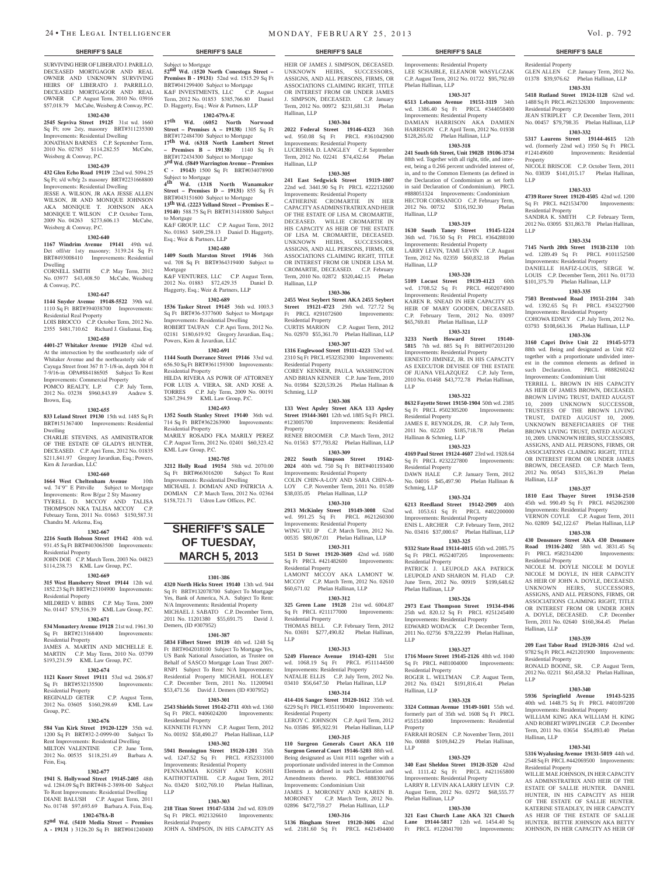SURVIVING HEIR OF LIBERATO J. PARILLO, DECEASED MORTGAGOR AND REAL OWNER AND UNKNOWN SURVIVING HEIRS OF LIBERATO J. PARRILLO, DECEASED MORTGAGOR AND REAL OWNER C.P. August Term, 2010 No. 03916 \$57,018.79 McCabe, Weisberg & Conway, P.C.

### **1302-630**

**2545 Sepviva Street 19125** 31st wd. 1660 Sq Ft; row 2sty, masonry BRT#311235300 Improvements: Residential Dwelling JONATHAN BARNES C.P. September Term,

2010 No. 02785 \$114,282.55 McCabe, Weisberg & Conway, P.C. **17th Wd. (6318 North Lambert Street – Premises B – 19138)** 1140 Sq Ft BRT#172434300 Subject to Mortgage **3rd Wd. (5849 Warrington Avenue – Premises** 

# **1302-639**

**432 Glen Echo Road 19119** 22nd wd. 5094.25 Sq Ft; s/d w/b/g 2s masonry BRT#2231668800 Improvements: Residential Dwelling

JESSE A. WILSON, JR AKA JESSE ALLEN WILSON, JR AND MONIQUE JOHNSON AKA MONIQUE T. JOHNSON AKA MONIQUE T. WILSON C.P. October Term, 2009 No. 04263 \$273,606.13 McCabe, Weisberg & Conway, P.C.

### **1302-640**

**1167 Windrim Avenue 19141** 49th wd. Det off/str 1sty masonry; 3139.24 Sq Ft BRT#493008410 Improvements: Residential Dwelling

CORNELL SMITH C.P. May Term, 2012 No. 03977 \$43,408.50 McCabe, Weisberg & Conway, P.C.

### **1302-647**

**1144 Snyder Avenue 19148-5522** 39th wd. 1110 Sq Ft BRT#394038700 Improvements: Residential Real Property

LOIS BROCCO C.P. October Term, 2012 No. 2355 \$481,710.62 Richard J. Giulianai, Esq.

### **1302-650**

**4401-27 Whitaker Avenue 19120** 42nd wd. At the intersection by the southeasterly side of Whitaker Avenue and the northeasterly side of Cayuga Street front 367 ft 7-1/8-in, depth 304 ft 7-9/16-in OPA#884186505 Subject To Rent Improvements: Commercial Property POMCO REALTY, L.P. C.P. July Term, 2012 No. 03238 \$960,843.89 Andrew S.

Brown, Esq. **1302-655**

### **833 Leland Street 19130** 15th wd. 1485 Sq Ft BRT#151367400 Improvements: Residential Dwelling

CHARLIE STEVENS, AS AMINISTRATOR OF THE ESTATE OF GLADYS HUNTER, DECEASED. C.P. Apri Term, 2012 No. 01835 \$211,841.97 Gregory Javardian, Esq.; Powers, Kirn & Javardian, LLC

# **1302-660**

**1664 West Cheltenham Avenue** 10th wd. 74'9" E Pittville Subject to Mortgage Improvements: Row B/gar 2 Sty Masonry TYRELL D. MCCOY AND TALISA THOMPSON NKA TALISA MCCOY C.P. February Term, 2011 No. 01663 \$150,587.31 Chandra M. Arkema, Esq.

### **1302-667**

**2216 South Hobson Street 19142** 40th wd. 931.45 Sq Ft BRT#403063500 Improvements: Residential Property JOHN DOE C.P. March Term, 2003 No. 04823

\$114,238.73 KML Law Group, P.C. **1302-669**

# **315 West Hansberry Street 19144** 12th wd.

1852.23 Sq Ft BRT#123104900 Improvements: Residential Property MILDRED V. BIBBS C.P. May Term, 2009

No. 01447 \$79,516.39 KML Law Group, P.C. **1302-671**

### **534 Monastery Avenue 19128** 21st wd. 1961.30

Sq Ft BRT#213168400 Improvements: Residential Property

### JAMES A. MARTIN AND MICHELLE E. MARTIN C.P. May Term, 2010 No. 03799

\$193,231.59 KML Law Group, P.C.

### **1302-674**

**1121 Knorr Street 19111** 53rd wd. 2606.87 Sq Ft BRT#532135500 Improvements: Residential Property REGINALD GETER C.P. August Term,

2012 No. 03605 \$160,298.69 KML Law Group, P.C.

### **1302-676**

**584 Van Kirk Street 19120-1229** 35th wd. 1200 Sq Ft BRT#32-2-0999-00 Subject To Rent Improvements: Residential Dwelling MILTON VALENTINE C.P. June Term, 2012 No. 00535 \$118,251.49 Barbara A. Fein, Esq.

### **1302-677**

**1941 S. Hollywood Street 19145-2405** 48th wd. 1284.09 Sq Ft BRT#48-2-3898-00 Subject To Rent Improvements: Residential Dwelling DIANE BALUSH C.P. August Term, 2011 No. 01748 \$97,693.69 Barbara A. Fein, Esq.

### **1302-678A-B**

**52nd Wd. (5410 Media Street – Premises A - 19131 )** 3126.20 Sq Ft BRT#041240400

Subject to Mortgage<br>**52<sup>nd</sup> Wd. (1520 North Conestoga Street – Premises B - 19131)** 52nd wd. 1515.29 Sq Ft BRT#041299400 Subject to Mortgage K&F INVESTMENTS, LLC C.P. August Term, 2012 No. 01853 \$385,766.80 Daniel D. Haggerty, Esq.; Weir & Partners, LLP **1302-679A-E 17th Wd. (6052 North Norwood Street – Premises A – 19138)** 1305 Sq Ft BRT#172484700 Subject to Mortgage

**C - 19143)** 1500 Sq Ft BRT#034078900

K&F GROUP, LLC C.P. August Term, 2012 No. 01863 \$409,258.13 Daniel D. Haggerty,

**1302-680 1409 South Marston Street 19146** 36th wd. 708 Sq Ft BRT#364319400 Subject to

K&F VENTURES, LLC C.P. August Term, 2012 No. 01883 \$72,429.35 Daniel D. Haggerty, Esq.; Weir & Partners, LLP **1302-689 1536 Tasker Street 19145** 36th wd. 1003.3 Sq Ft BRT#36-5377600 Subject to Mortgage Improvements: Residential Dwelling ROBERT TAUFAN C.P. Apri Term, 2012 No. 02181 \$180,619.92 Gregory Javardian, Esq.;

**1302-691 1144 South Dorrance Street 19146** 33rd wd. 656.50 Sq Ft BRT#361159300 Improvements:

HILDA RIVERA AS POWR OF ATTORNEY FOR LUIS A. VIERA, SR. AND JOSE A. TORRES C.P. July Term, 2009 No. 00191 \$267,294.59 KML Law Group, P.C. **1302-693 1352 South Stanley Street 19140** 36th wd. 714 Sq Ft BRT#362263900 Improvements:

MARILY ROSADO FKA MARILY PEREZ C.P. August Term, 2012 No. 02401 \$60,323.42

**1302-705 3212 Holly Road 19154** 58th wd. 2070.00 Sq Ft BRT#663016200 Subject To Rent Improvements: Residential Dwelling MICHAEL J. DOMIAN AND PATRICIA A. DOMIAN C.P. March Term, 2012 No. 02364 \$158,721.71 Udren Law Offices, P.C.

**SHERIFF'S SALE OF TUESDAY, March 5, 2013** 

**1301-386 4320 North Hicks Street 19140** 13th wd. 944 Sq Ft BRT#132078700 Subject To Mortgage Yes, Bank of America, N.A. Subject To Rent: N/A Improvements: Residential Property MICHAEL J. SABATO C.P. December Term, 2011 No. 11201380 \$55,691.75 David J.

**1301-387 5834 Filbert Street 19139** 4th wd. 1248 Sq Ft BRT#042018100 Subject To Mortgage Yes, US Bank National Association, as Trustee on Behalf of SASCO Mortgage Loan Trust 2007- RNP1 Subject To Rent: N/A Improvements: Residential Property MICHAEL HOLLEY C.P. December Term, 2011 No. 11200941 \$53,471.56 David J. Demers (ID #307952) **1303-301 2543 Shields Street 19142-2711** 40th wd. 1360 Sq Ft PRCL #406024200 Improvements:

No. 00192 \$58,490.27 Phelan Hallinan, LLP **1303-302 5941 Bennington Street 19120-1201** 35th wd. 1247.52 Sq Ft PRCL #352331000 Improvements: Residential Property PENNAMMA KOSHY AND KOSHI KAITHOTTATHIL C.P. August Term, 2012 No. 03420 \$102,769.10 Phelan Hallinan,

**1303-303 218 Titan Street 19147-5334** 2nd wd. 839.09 Sq Ft PRCL #021326610 Improvements:

JOHN A. SIMPSON, IN HIS CAPACITY AS

C.P. August Term, 201

**4th Wd. (1318 North Wanamaker Street – Premises D – 19131)** 855 Sq Ft BRT#043151600 Subject to Mortgage **13th Wd. (2223 Yelland Street – Premises E – 19140)** 588.75 Sq Ft BRT#131418800 Subject

Subject to Mortgage<br>4<sup>th</sup> W<sub>d</sub> (1318)

Esq.; Weir & Partners, LLP

Powers, Kirn & Javardian, LLC

Residential Property

Residential Property

KML Law Group, P.C.

Demers, (ID #307952)

Residential Property<br>KENNETH FLYNN

Residential Property

LLP

to Mortgage

Mortgage

HEIR OF JAMES J. SIMPSON, DECEASED. UNKNOWN HEIRS, SUCCESSORS, ASSIGNS, AND ALL PERSONS, FIRMS, OR ASSOCIATIONS CLAIMING RIGHT, TITLE OR INTEREST FROM OR UNDER JAMES J. SIMPSON, DECEASED. C.P. January Term, 2012 No. 00972 \$231,681.31 Phelan Hallinan, LLP

### **1303-304**

**2022 Federal Street 19146-4323** 36th wd. 950.08 Sq Ft PRCL #361042900 Improvements: Residential Property LUCRESHA D. LANGLEY C.P. September Term, 2012 No. 02241 \$74,432.64 Phelan Hallinan, LLP

### **1303-305**

**241 East Sedgwick Street 19119-1807**  22nd wd. 3441.90 Sq Ft PRCL #222132600 Improvements: Residential Property

CATHERINE CROMARTIE IN HER CAPACITY AS ADMINSTRATRIX AND HEIR OF THE ESTATE OF LISA M. CROMARTIE, DECEASED. WILLIE CROMARTIE IN HIS CAPACITY AS HEIR OF THE ESTATE OF LISA M. CROMARTIE, DECEASED. UNKNOWN HEIRS, SUCCESSORS, ASSIGNS, AND ALL PERSONS, FIRMS, OR ASSOCIATIONS CLAIMING RIGHT, TITLE OR INTEREST FROM OR UNDER LISA M. CROMARTIE, DECEASED. C.P. February Term, 2010 No. 02872 \$320,442.15 Phelan Hallinan, LLP

### **1303-306**

**2455 West Seybert Street AKA 2455 Seybert Street 19121-4723** 29th wd. 727.72 Sq<br>Ft PRCL #291072600 Improvements: Ft PRCL #291072600 Residential Property CURTIS MARION C.P. August Term, 2012 No. 02970 \$55,361.70 Phelan Hallinan, LLP

**1303-307 1316 Englewood Street 19111-4223** 53rd wd. 2310 Sq Ft PRCL #532352300 Improvements:

Residential Property COREY KENNER, PAULA WASHINGTON AND BRIAN KENNER C.P. June Term, 2010 No. 01984 \$220,539.26 Phelan Hallinan & Schmieg, LLP

### **1303-308**

**133 West Apsley Street AKA 133 Apsley Street 19144-3601** 12th wd. 1885 Sq Ft PRCL<br>#123005700 **Improvements:** Residential Improvements: Residential Property RENEE BROOMER C.P. March Term, 2012

No. 01563 \$77,793.82 Phelan Hallinan, LLP **1303-309**

### **2022 South Simpson Street 19142- 2024** 40th wd. 750 Sq Ft BRT#401193400 Improvements: Residential Property COLIN CHIN-A-LOY AND SARA CHIN-A-

LOY C.P. November Term, 2011 No. 01589 \$38,035.05 Phelan Hallinan, LLP **1303-310**

**2913 McKinley Street 19149-3008** 62nd wd. 991.25 Sq Ft PRCL #621260300 Improvements: Residential Property WING YIU IP C.P. March Term, 2012 No. 00535 \$80,067.01 Phelan Hallinan, LLP

### **1303-311**

**5151 D Street 19120-3609** 42nd wd. 1680 Sq Ft PRCL #421482600 Improvements: Residential Property LAMONT MCCOY AKA LAMONT W. MCCOY C.P. March Term, 2012 No. 02610

### \$60,671.02 Phelan Hallinan, LLP **1303-312**

**325 Green Lane 19128** 21st wd. 6004.87 Sq Ft PRCL #211177000 Improvements: Residential Property THOMAS BELL C.P. February Term, 2012 No. 03691 \$277,490.82 Phelan Hallinan,

### **1303-313**

LLP

**5249 Florence Avenue 19143-4201** 51st wd. 1068.19 Sq Ft PRCL #511144500 Improvements: Residential Property NATALIE ELLIS C.P. July Term, 2012 No. 03410 \$56,647.50 Phelan Hallinan, LLP

# **1303-314**

**414-416 Sanger Street 19120-1612** 35th wd. 6229 Sq Ft PRCL #351190400 Improvements: Residential Property LEROY C. JOHNSON C.P. April Term, 2012 No. 03586 \$95,922.91 Phelan Hallinan, LLP

**1303-315 110 Surgeon Generals Court AKA 110 Surgeon General Court 19146-5203** 88th wd. Being designated as Unit #111 together with a proportionate undivided interest in the Common

Elements as defined in such Declaration and Amendments thereto. PRCL #888300766 Improvements: Condominium Unit JAMES J. MORONEY AND KAREN B. MORONEY C.P. March Term, 2012 No.

### 02896 \$472,759.27 Phelan Hallinan, LLP **1303-316**

**5136 Bingham Street 19120-3606** 42nd wd. 2181.60 Sq Ft PRCL #421494400

### **SHERIFF'S SALE SHERIFF'S SALE SHERIFF'S SALE SHERIFF'S SALE SHERIFF'S SALE**

Improvements: Residential Property LEE SCHAIBLE, ELEANOR WASYLCZAK C.P. August Term, 2012 No. 01722 \$95,792.69 Phelan Hallinan, LLP

Residential Property

Residential Property

Residential Property

Hallinan, LLP

Residential Property

Hallinan, LLP

Hallinan, LLP

Residential Property

LLP

Residential Property

**1303-337 1810 East Thayer Street 19134-2510**  45th wd. 990.49 Sq Ft PRCL #452062300 Improvements: Residential Property VERNON COYLE C.P. August Term, 2011 No. 02809 \$42,122.67 Phelan Hallinan, LLP **1303-338 430 Densmore Street AKA 430 Densmore Road 19116-2402** 58th wd. 3831.45 Sq Ft PRCL #582314200 Improvements:

NICOLE M. DOYLE NICOLE M DOYLE NICOLE M DOYLE, IN HER CAPACITY AS HEIR OF JOHN A. DOYLE, DECEAESD. UNKNOWN HEIRS, SUCCESSORS, ASSIGNS, AND ALL PERSONS, FIRMS, OR ASSOCIATIONS CLAIMING RIGHT, TITLE OR INTEREST FROM OR UNDER JOHN A. DOYLE, DECEASED. C.P. December Term, 2011 No. 02640 \$160,364.45 Phelan

**1303-339 209 East Tabor Road 19120-3016** 42nd wd. 9782 Sq Ft PRCL #421201900 Improvements:

RONALD BOONE, SR. C.P. August Term, 2012 No. 02211 \$61,458.32 Phelan Hallinan,

**1303-340 5936 Springfield Avenue 19143-5235**  40th wd. 1448.75 Sq Ft PRCL #401097200 Improvements: Residential Property WILLIAM KING AKA WILLIAM H. KING AND ROBERT WIPPLINGER C.P. December Term, 2011 No. 03654 \$54,893.40 Phelan

**1303-341 5316 Wyalusing Avenue 19131-5019** 44th wd. 2548 Sq Ft PRCL #442069500 Improvements:

WILLIE MAE JOHNSON, IN HER CAPACITY AS ADMINSTRATRIX AND HEIR OF THE ESTATE OF SALLIE HUNTER. DANIEL HUNTER, IN HIS CAPACITY AS HEIR OF THE ESTATE OF SALLIE HUNTER. KATERINE STEADLEY, IN HER CAPACITY AS HEIR OF THE ESTATE OF SALLIE HUNTER. BETTIE JOHNSON AKA BETTY JOHNSON, IN HER CAPACITY AS HEIR OF

Property

LLP

LLP

GLEN ALLEN C.P. January Term, 2012 No. 01378 \$39,976.62 Phelan Hallinan, LLP **1303-331 5418 Rutland Street 19124-1128** 62nd wd. 1488 Sq Ft PRCL #621326300 Improvements:

JEAN STRIPLET C.P. December Term, 2011 No. 00457 \$79,798.35 Phelan Hallinan, LLP **1303-332 5317 Laurens Street 19144-4615** 12th wd. (formerly 22nd wd.) 1950 Sq Ft PRCL #124149600 Improvements: Residential

NICOLE BRISCOE C.P. October Term, 2011 No. 03839 \$141,015.17 Phelan Hallinan,

**1303-333 4739 Rorer Street 19120-4505** 42nd wd. 1200 Sq Ft PRCL #421534700 Improvements:

SANDRA K. SMITH C.P. February Term, 2012 No. 03095 \$31,863.78 Phelan Hallinan,

**1303-334 7145 North 20th Street 19138-2130** 10th wd. 1289.49 Sq Ft PRCL #101152500 Improvements: Residential Property DANIELLE HAFIZ-LOUIS, SERGE W. LOUIS C.P. December Term, 2011 No. 01733 \$101,375.70 Phelan Hallinan, LLP **1303-335 7503 Brentwood Road 19151-2104** 34th wd. 1392.65 Sq Ft PRCL #343227900 Improvements: Residential Property COHOWA EDNEY C.P. July Term, 2012 No. 03793 \$108,663.36 Phelan Hallinan, LLP **1303-336 3160 Capri Drive Unit 22 19145-5773**  88th wd. Being and designated as Unit #22 together with a proportionate undivided interest in the common elements as defined in such Declaration. PRCL #888260242 Improvements: Condominium Unit TERRILL L. BROWN IN HIS CAPACITY AS HEIR OF JAMES BROWN, DECEASED. BROWN LIVING TRUST, DATED AUGUST 10, 2009 UNKNOWN SUCCESSOR, TRUSTEES OF THE BROWN LIVING TRUST, DATED AUGUST 10, 2009. UNKNOWN BENEFICIARIES OF THE BROWN LIVING TRUST, DATED AUGUST 10, 2009. UNKNOWN HEIRS, SUCCESSORS, ASSIGNS, AND ALL PERSONS, FIRMS, OR ASSOCIATIONS CLAIMING RIGHT, TITLE OR INTEREST FROM OR UNDER JAMES BROWN, DECEASED. C.P. March Term, 2012 No. 00543 \$315,361.39 Phelan

### **1303-317**

**6513 Lebanon Avenue 19151-3119** 34th wd. 1386.40 Sq Ft PRCL #344058400 Improvements: Residential Property DAMIAN HARRISON AKA DAMIEN HARRISON C.P. April Term, 2012 No. 01938 \$128,265.02 Phelan Hallinan, LLP

### **1303-318**

**241 South 6th Street, Unit 1902B 19106-3734**  88th wd. Together with all right, title, and interest, being a 0.266 percent undivided interest of, in, and to the Common Elements (as defined in the Declaration of Condominium as set forth in said Declaration of Condominium). PRCL #888051324 Improvements: Condominium HECTOR CORSANICO C.P. February Term,<br>2012 No. 00732 \$316.192.30 Phelan 2012 No. 00732 \$316,192.30 Hallinan, LLP

### **1303-319**

**1630 South Taney Street 19145-1224**  36th wd. 716.50 Sq Ft PRCL #364288100 Improvements: Residential Property LARRY LEVIN, TAMI LEVIN C.P. August Term, 2012 No. 02359 \$60,832.18 Phelan Hallinan, LLP

### **1303-320**

**5109 Locust Street 19139-4123** 60th wd. 1708.52 Sq Ft PRCL #602074900 Improvements: Residential Property KAREN R. SNEAD IN HER CAPACITY AS HEIR OF MARY GOODEN, DECEASED. C.P. February Term, 2012 No. 03097 \$65,769.81 Phelan Hallinan, LLP

### **1303-321**

**3233 North Howard Street 19140- 5815** 7th wd. 885 Sq Ft BRT#072031200 Improvements: Residential Property ERNESTO JIMINEZ, JR. IN HIS CAPACITY AS EXECUTOR DEVISEE OF THE ESTATE OF JUANA VELAZQUEZ C.P. July Term, 2010 No. 01468 \$43,772.78 Phelan Hallinan, LLP

### **1303-322**

**8632 Fayette Street 19150-1904** 50th wd. 2385 Sq Ft PRCL #502305200 Improvements:

Residential Property JAMES E. REYNOLDS, JR. C.P. July Term, 2011 No. 02220 \$185,718.78 Phelan

# Hallinan & Schmieg, LLP **1303-323**

**4169 Paul Street 19124-4607** 23rd wd. 1928.64 Sq Ft PRCL #232227800 Improvements: Residential Property

DAWN HALE C.P. January Term, 2012 No. 04016 \$45,497.90 Phelan Hallinan & Schmieg, LLP

# **1303-324**

**6213 Reedland Street 19142-2909** 40th wd. 1053.61 Sq Ft PRCL #402200000 Improvements: Residential Property ENIS L. ARCHER C.P. February Term, 2012 No. 03416 \$37,000.67 Phelan Hallinan, LLP **1303-325**

### **9332 State Road 19114-4015** 65th wd. 2085.75

Sold State From 19721 1111 112<br>Sq Ft PRCL #652407205 Improvements: Residential Property PATRICK J. LEUPOLD AKA PATRICK LEUPOLD AND SHARON M. FLAD C.P. June Term, 2012 No. 00919 \$199,648.62 Phelan Hallinan, LLP

### **1303-326**

**2973 East Thompson Street 19134-4946**  25th wd. 820.12 Sq Ft PRCL #251245400 Improvements: Residential Property EDWARD WODACK C.P. December Term, 2011 No. 02756 \$78,222.99 Phelan Hallinan, LLP

### **1303-327**

**1716 Moore Street 19145-2126** 48th wd. 1040 Sq Ft PRCL #481004000 Improvements: Residential Property

ROGER L. WELTMAN C.P. August Term, 2012 No. 03421 \$191,816.41 Phelan Hallinan, LLP

### **1303-328**

LLP

Phelan Hallinan, LLP

Ft PRCL #122041700

**3324 Cottman Avenue 19149-1601** 55th wd. formerly part of 35th wd. 1608 Sq Ft PRCL #551514900 Improvements: Residential **Property** FARRAH ROSEN C.P. November Term, 2011 No. 00888 \$109,842.29 Phelan Hallinan,

**1303-329 340 East Sheldon Street 19120-3520** 42nd wd. 1111.42 Sq Ft PRCL #421165800 Improvements: Residential Property LARRY R. LEVIN AKA LARRY LEVIN C.P. August Term, 2012 No. 02972 \$68,555.77

**1303-330 321 East Church Lane AKA 321 Church Lane 19144-5817** 12th wd. 1454.40 Sq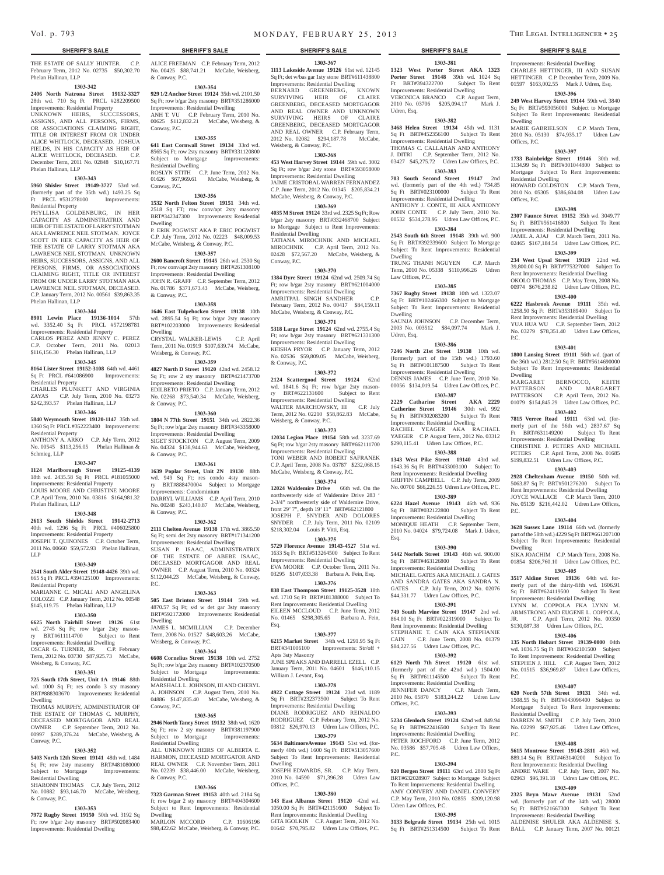THE ESTATE OF SALLY HUNTER. C.P. February Term, 2012 No. 02735 \$50,302.70 Phelan Hallinan, LLP

# **1303-342**

**2406 North Natrona Street 19132-3327**  28th wd. 710 Sq Ft PRCL #282209500 Improvements: Residential Property

UNKNOWN HEIRS, SUCCESSORS, ASSIGNS, AND ALL PERSONS, FIRMS, OR ASSOCIATIONS CLAIMING RIGHT, TITLE OR INTEREST FROM OR UNDER ALICE WHITLOCK, DECEASED. JOSHUA FIELDS, IN HIS CAPACITY AS HEIR OF ALICE WHITLOCK, DECEASED. C.P. December Term, 2011 No. 02848 \$10,167.71 Phelan Hallinan, LLP

# **1303-343**

**5960 Shisler Street 19149-3727** 53rd wd. (formerly part of the 35th wd.) 1493.25 Sq Ft PRCL #531278100 Improvements: Residential Property

PHYLLISA GOLDENBURG, IN HER CAPACITY AS ADMINSTRATRIX AND HEIR OF THE ESTATE OF LARRY STOTMAN AKA LAWRENCE NEIL STOTMAN. JOYCE SCOTT IN HER CAPACITY AS HEIR OF THE ESTATE OF LARRY STOTMAN AKA LAWRENCE NEIL STOTMAN. UNKNOWN HEIRS, SUCCESSORS, ASSIGNS, AND ALL PERSONS, FIRMS, OR ASSOCIATIONS CLAIMING RIGHT, TITLE OR INTEREST FROM OR UNDER LARRY STOTMAN AKA LAWRENCE NEIL STOTMAN, DECEASED. C.P. January Term, 2012 No. 00561 \$39,863.35 Phelan Hallinan, LLP

### **1303-344**

**8901 Lewin Place 19136-1014** 57th wd. 3352.40 Sq Ft PRCL #572198781

Improvements: Residential Property CARLOS PEREZ AND JENNY C. PEREZ C.P. October Term, 2011 No. 02013

# \$116,156.30 Phelan Hallinan, LLP

**1303-345 8164 Lister Street 19152-3108** 64th wd. 4461 Sq Ft PRCL #641086900 Improvements: Residential Property CHARLES PLUNKETT AND VIRGINIA

ZAYAS C.P. July Term, 2010 No. 03273 \$242,393.57 Phelan Hallinan, LLP **1303-346**

**5840 Weymouth Street 19120-1147** 35th wd. 1360 Sq Ft PRCL #352223400 Improvements: Residential Property ANTHONY A. ARKO C.P. July Term, 2012

No. 00545 \$113,256.05 Phelan Hallinan & Schmieg, LLP

### **1303-347**

**1124 Marlborough Street 19125-4139**  18th wd. 2435.58 Sq Ft PRCL #181055000 Improvements: Residential Property LOUIS MOORE AND CHRISTINE MOORE C.P. April Term, 2010 No. 03816 \$164,981.32 Phelan Hallinan, LLP

# **1303-348**

**2613 South Shields Street 19142-2713**  40th wd. 1296 Sq Ft PRCL #406025800 Improvements: Residential Property JOSEPH T. QUINONES C.P. October Term, 2011 No. 00660 \$59,572.93 Phelan Hallinan, LLP

### **1303-349**

**2541 South Alder Street 19148-4426** 39th wd. 665 Sq Ft PRCL #394125100 Improvements: Residential Property

MARIANNE C. MICALI AND ANGELINA COLOZZI C.P. January Term, 2012 No. 00548 \$145,119.75 Phelan Hallinan, LLP

### **1303-350**

**6625 North Fairhill Street 19126** 61st wd. 2745 Sq Ft; row b/gar 2sty mason-

### ry BRT#611114700 Subject to Rent Improvements: Residential Dwelling

OSCAR G. TURNER, JR. C.P. February Term, 2012 No. 03730 \$87,925.73 McCabe,

# Weisberg, & Conway, P.C.

**1303-351 725 South 17th Street, Unit 1A 19146** 88th wd. 1000 Sq Ft; res condo 3 sty masonry BRT#888303670 Improvements: Residential

Dwelling THOMAS MURPHY, ADMINISTRATOR OF THE ESTATE OF THOMAS C. MURPHY, DECEASED MORTGAGOR AND REAL OWNER C.P. September Term, 2012 No. 00997 \$289,376.24 McCabe, Weisberg, & Conway, P.C.

### **1303-352**

**5403 North 12th Street 19141** 48th wd. 1484 Sq Ft; row 2sty masonry BRT#481080000 Subject to Mortgage Improvements: Residential Dwelling

### SHARONN THOMAS C.P. July Term, 2012 No. 00882 \$93,146.70 McCabe, Weisberg, & Conway, P.C.

### **1303-353**

**7972 Rugby Street 19150** 50th wd. 3192 Sq Ft; row b/gar 2sty masonry BRT#502083400 Improvements: Residential Dwelling

**SHERIFF'S SALE SHERIFF'S SALE SHERIFF'S SALE SHERIFF'S SALE SHERIFF'S SALE**

### ALICE FREEMAN C.P. February Term, 2012 No. 00425 \$88,741.21 McCabe, Weisberg, & Conway, P.C. **1303-354**

**929 1/2 Anchor Street 19124** 35th wd. 2101.50 Sq Ft; row b/gar 2sty masonry BRT#351286000 Improvements: Residential Dwelling ANH T. VU C.P. February Term, 2010 No. 00625 \$112,832.21 McCabe, Weisberg, & Conway, P.C.

# **1303-355**

**641 East Cornwall Street 19134** 33rd wd. 8565 Sq Ft; row 2sty masonry BRT#331120800 Subject to Mortgage Improvements: Residential Dwelling ROSLYN STITH C.P. June Term, 2012 No. 01626 \$67,969.61 McCabe, Weisberg, & Conway, P.C.

### **1303-356**

**1532 North Felton Street 19151** 34th wd. 2518 Sq FT; row conv/apt 2sty masonry BRT#342347300 Improvements: Residential Dwelling P. ERIK POGWIST AKA P. ERIC POGWIST

C.P. July Term, 2012 No. 02223 \$48,009.53 McCabe, Weisberg, & Conway, P.C.

### **1303-357**

**2600 Bancroft Street 19145** 26th wd. 2530 Sq Ft; row conv/apt 2sty masonry BRT#261308100 Improvements: Residential Dwelling JOHN R. GRAFF C.P. September Term, 2012 No. 01786 \$371,673.43 McCabe, Weisberg, & Conway, P.C.

### **1303-358**

**1646 East Tulpehocken Street 19138** 10th wd. 2895.54 Sq Ft; row b/gar 2sty masonry BRT#102203000 Improvements: Residential

Dwelling CRYSTAL WALKER-LEWIS C.P. April Term, 2011 No. 01919 \$107,639.74 McCabe, Weisberg, & Conway, P.C.

# **1303-359**

**4827 North D Street 19120** 42nd wd. 2458.12 Sq Ft; row 2 sty masonry BRT#421473700 Improvements: Residential Dwelling EDILBETO PRIETO C.P. January Term, 2012 No. 02268 \$73,540.34 McCabe, Weisberg, & Conway, P.C.

**1303-360**

**1804 N 77th Street 19151** 34th wd. 2822.36 Sq Ft; row b/gar 2sty masonry BRT#343358000 Improvements: Residential Dwelling SIGET STOCKTON C.P. August Term, 2009 No. 04324 \$138,944.63 McCabe, Weisberg, & Conway, P.C.

### **1303-361**

**1639 Poplar Street, Unit 2N 19130** 88th wd. 949 Sq Ft; res condo 4sty masonry BRT#888470004 Subject to Mortgage Improvements: Condominium DARRYL WILLIAMS C.P. April Term, 2010 No. 00248 \$243,140.87 McCabe, Weisberg, & Conway, P.C.

### **1303-362**

**2111 Chelten Avenue 19138** 17th wd. 3865.50 Sq Ft; semi det 2sty masonry BRT#171341200 Improvements: Residential Dwelling SUSAN P. ISAAC, ADMINISTRATRIX OF THE ESTATE OF ABEBE ISAAC, DECEASED MORTGAGOR AND REAL

OWNER C.P. August Term, 2010 No. 00324 \$112,044.23 McCabe, Weisberg, & Conway, P.C.

# **1303-363**

**505 East Brinton Street 19144** 59th wd. 4870.57 Sq Ft; s/d w det gar 3sty masonry BRT#592172000 Improvements: Residential Dwelling JAMES L. MCMILLIAN C.P. December

Term, 2008 No. 01527 \$48,603.26 McCabe, Weisberg, & Conway, P.C.

# **1303-364**

**6608 Cornelius Street 19138** 10th wd. 2752 Sq Ft; row b/gar 2sty masonry BRT#102370500<br>Subject to Mortgage Improvements: Subject to Mortgage Residential Dwelling MARSHALL L. JOHNSON, III AND CHERYL A. JOHNSON C.P. August Term, 2010 No. 04886 \$147,835.40 McCabe, Weisberg, & Conway, P.C.

### **1303-365**

**2946 North Taney Street 19132** 38th wd. 1620 Sq Ft; row 2 sty masonry BRT#381197900<br>Subject to Mortgage Improvements: Subject to Mortgage Residential Dwelling ALL UNKNOWN HEIRS OF ALBERTA E.

HARMON, DECEASED MORTGATOR AND REAL OWNER C.P. November Term, 2011 No. 02239 \$38,446.00 McCabe, Weisberg, & Conway, P.C.

### **1303-366**

**7323 Garman Street 19153** 40th wd. 2184 Sq ft; row b/gar 2 sty masonry BRT#404304600 Subject to Rent Improvements: Residential Dwelling

MARLON MCCORD C.P. 11606196 \$98,422.62 McCabe, Weisberg, & Conway, P.C. **1303-367**

**1303-381 1323 West Porter Street AKA 1323 Porter Street 19148** 39th wd. 1024 Sq Ft BRT#394322700 Subject To Rent Improvements: Residential Dwelling VERONICA BRANCO C.P. August Term, 2010 No. 03706 \$205,094.17 Mark J.

Improvements: Residential Dwelling CHARLES HETTINGER, III AND SUSAN HETTINGER C.P. December Term, 2009 No. 01597 \$163,002.55 Mark J. Udren, Esq. **1303-396 249 West Harvey Street 19144** 59th wd. 3840 Sq Ft BRT#593056000 Subject to Mortgage Subject To Rent Improvements: Residential

MARIE GABRIELSON C.P. March Term, 2010 No. 05130 \$74,935.17 Udren Law

**1303-397 1733 Bainbridge Street 19146** 30th wd. 1134.99 Sq Ft BRT#301044800 Subject to Mortgage Subject To Rent Improvements:

HOWARD GOLDSTON C.P. March Term, 2010 No. 05305 \$386,604.08 Udren Law

**1303-398 2307 Faunce Street 19152** 35th wd. 3049.77 Sq Ft BRT#561416800 Subject To Rent Improvements: Residential Dwelling JAMIL A. AJAJ C.P. March Term, 2011 No. 02465 \$167,184.54 Udren Law Offices, P.C. **1303-399 234 West Upsal Street 19119** 22nd wd. 39,800.00 Sq Ft BRT#775327000 Subject To Rent Improvements: Residential Dwelling OKOLO THOMAS C.P. May Term, 2008 No. 00974 \$676,238.82 Udren Law Offices, P.C. **1303-400 6222 Hasbrook Avenue 19111** 35th wd. 1258.50 Sq Ft BRT#353189400 Subject To Rent Improvements: Residential Dwelling YUA HUA WU C.P. September Term, 2012 No. 03279 \$78,351.40 Udren Law Offices,

**1303-401 1800 Lansing Street 19111** 56th wd. (part of the 36th wd.) 2812.50 Sq Ft BRT#5614690000 Subject To Rent Improvements: Residential

PATTERSON AND MARGARET PATTERSON C.P. April Term, 2012 No. 01079 \$154,845.29 Udren Law Offices, P.C. **1303-402 7815 Verree Road 19111** 63rd wd. (formerly part of the 56th wd.) 2837.67 Sq Ft BRT#631149200 Subject To Rent Improvements: Residential Dwelling CHRISTINE J. PETERS AND MICHAEL PETERS C.P. April Term, 2008 No. 01685 \$199,832.51 Udren Law Offices, P.C. **1303-403 2928 Cheltenham Avenue 19150** 50th wd. 5063.87 Sq Ft BRT#501276200 Subject To Rent Improvements: Residential Dwelling JOYCE WALLACE C.P. March Term, 2010 No. 05139 \$216,442.02 Udren Law Offices,

**1303-404 3628 Sussex Lane 19114** 66th wd. (formerly part of the 58th wd.) 4229 Sq Ft BRT#661207100 Subject To Rent Improvements: Residential

SIKA JOACHIM C.P. March Term, 2008 No. 01854 \$206,760.10 Udren Law Offices, P.C. **1303-405 3517 Aldine Street 19136** 64th wd. formerly part of the thirty-fifth wd. 1606.91 Sq Ft BRT#624119500 Subject To Rent Improvements: Residential Dwelling LYNN M. COPPOLA FKA LYNN M. ARMSTRONG AND EUGENE L. COPPOLA, JR. C.P. April Term, 2012 No. 00350 \$130,087.38 Udren Law Offices, P.C. **1303-406 135 North Hobart Street 19139-0000** 04th wd. 1036.75 Sq Ft BRT#042101500 Subject To Rent Improvements: Residential Dwelling STEPHEN J. HILL C.P. August Term, 2012 No. 01515 \$36,969.87 Udren Law Offices,

**1303-407 620 North 57th Street 19131** 34th wd. 1508.55 Sq Ft BRT#043096400 Subject to Mortgage Subject To Rent Improvements:

DARREN M. SMITH C.P. July Term, 2010 No. 02299 \$67,925.46 Udren Law Offices,

**1303-408 5615 Montrose Street 19143-2811** 46th wd. 889.14 Sq Ft BRT#463140200 Subject To Rent Improvements: Residential Dwelling ANDRE WARE C.P. July Term, 2007 No. 02963 \$96,391.18 Udren Law Offices, P.C. **1303-409 2325 Bryn Mawr Avenue 19131** 52nd wd. (formerly part of the 34th wd.) 28000 Sq Ft BRT#521667300 Subject To Rent Improvements: Residential Dwelling ALDENISE SHULER AKA ALDENISE S. BALL C.P. January Term, 2007 No. 00121

MARGARET BERNOCCO,

Dwelling

Offices, P.C.

Offices, P.C.

P.C.

Dwelling

P.C.

Dwelling

P.C.

P.C.

Residential Dwelling

Residential Dwelling

**1303-382 3468 Helen Street 19134** 45th wd. 1131 Sq Ft BRT#452356100 Subject To Rent Improvements: Residential Dwelling THOMAS C. CALLAHAN AND ANTHONY J. DITRI C.P. September Term, 2012 No. 03427 \$45,275.72 Udren Law Offices, P.C. **1303-383 703 South Second Street 19147** 2nd wd. (formerly part of the 4th wd.) 734.85 Sq Ft BRT#023100000 Subject To Rent Improvements: Residential Dwelling ANTHONY J. CONTE, III AKA ANTHONY JOHN CONTE C.P. July Term, 2010 No. 00532 \$534,278.95 Udren Law Offices, P.C. **1303-384 2543 South 6th Street 19148** 39th wd. 900 Sq Ft BRT#392339600 Subject To Mortgage Subject To Rent Improvements: Residential

TRUNG THANH NGUYEN C.P. March Term, 2010 No. 05338 \$110,996.26 Udren

**1303-385 7367 Rugby Street 19138** 10th wd. 1323.07 Sq Ft BRT#102466300 Subject to Mortgage Subject To Rent Improvements: Residential

SAUNJA JOHNSON C.P. December Term, 2003 No. 003512 \$84,097.74 Mark J.

**1303-386 7246 North 21st Street 19138** 10th wd. (formerly part of the 15th wd.) 1793.60 Sq Ft BRT#101187500 Subject To Rent Improvements: Residential Dwelling DENNIS JAMES C.P. June Term, 2010 No. 00056 \$134,019.54 Udren Law Offices, P.C. **1303-387 2229 Catharine Street AKA 2229 Catherine Street 19146** 30th wd. 992 Sq Ft BRT#302083200 Subject To Rent Improvements: Residential Dwelling RACHEL YEAGER AKA RACHAEL YAEGER C.P. August Term, 2012 No. 03312 \$290,115.41 Udren Law Offices, P.C. **1303-388 1343 West Pike Street 19140** 43rd wd. 1643.36 Sq Ft BRT#433003100 Subject To Rent Improvements: Residential Dwelling GRIFFIN CAMPBELL C.P. July Term, 2009 No. 00700 \$66,226.55 Udren Law Offices, P.C. **1303-389 6224 Hazel Avenue 19143** 46th wd. 936 Sq Ft BRT#032122800 Subject To Rent Improvements: Residential Dwelling MONIQUE HEATH C.P. September Term, 2010 No. 04024 \$79,724.08 Mark J. Udren,

**1303-390 5442 Norfolk Street 19143** 46th wd. 900.00 Sq Ft BRT#463126800 Subject To Rent Improvements: Residential Dwelling MICHAEL GATES AKA MICHAEL J. GATES AND SANDRA GATES AKA SANDRA N. GATES C.P. July Term, 2012 No. 02076 \$44,331.77 Udren Law Offices, P.C. **1303-391 749 South Marvine Street 19147** 2nd wd. 864.00 Sq Ft BRT#022319000 Subject To Rent Improvements: Residential Dwelling STEPHANIE T. CAIN AKA STEPHANIE CAIN C.P. June Term, 2008 No. 01379 \$84,227.56 Udren Law Offices, P.C. **1303-392 6129 North 7th Street 19120** 61st wd. (formerly part of the 42nd wd.) 1504.00 Sq Ft BRT#611145500 Subject To Rent Improvements: Residential Dwelling JENNIFER DANCY C.P. March Term, 2010 No. 05870 \$183,244.22 Udren Law

**1303-393 5234 Glenloch Street 19124** 62nd wd. 849.94 Sq Ft BRT#622416500 Subject To Rent Improvements: Residential Dwelling PETER ROCHFORD C.P. June Term, 2012 No. 03586 \$57,705.48 Udren Law Offices,

**1303-394 920 Bergen Street 19111** 63rd wd. 2800 Sq Ft BRT#632028907 Subject to Mortgage Subject To Rent Improvements: Residential Dwelling AMY CONVERY AND DANIEL CONVERY C.P. May Term, 2010 No. 02855 \$209,120.98

**1303-395 3133 Belgrade Street 19134** 25th wd. 1015 Sq Ft BRT#251314500 Subject To Rent

Udren Law Offices, P.C.

Udren, Esq.

Dwelling

Dwelling

Udren, Esq.

Esq.

Offices, P.C.

 $PC$ .

Law Offices, P.C.

**1113 Lakeside Avenue 19126** 61st wd. 12145 Sq Ft; det w/bas gar 1sty stone BRT#611438800 Improvements: Residential Dwelling BERNARD GREENBERG, KNOWN SURVIVING HEIR OF CLAIRE GREENBERG, DECEASED MORTGAGOR AND REAL OWNER AND UNKNOWN SURVIVING HEIRS OF CLAIRE GREENBERG, DECEASED MORTGAGOR AND REAL OWNER C.P. February Term, 2012 No. 02082 \$294,187.78 McCabe, Weisberg, & Conway, P.C.

### **1303-368**

**453 West Harvey Street 19144** 59th wd. 3002 Sq Ft; row b/gar 2sty stone BRT#593058000 Improvements: Residential Dwelling JAIME CRISTOBAL WARREN FERNANDEZ C.P. June Term, 2012 No. 01345 \$205,834.21 McCabe, Weisberg, & Conway, P.C.

### **1303-369**

**4035 M Street 19124** 33rd wd. 2325 Sq Ft; Row b/gar 2sty masonry BRT#332468700 Subject to Mortgage Subject to Rent Improvements: Residential Dwelling TATIANA MIROCHNIK AND MICHAEL

MIROCHNIK C.P. April Term, 2012 No. 02428 \$72,567.20 McCabe, Weisberg, & Conway, P.C. **1303-370**

**1384 Dyre Street 19124** 62nd wd. 2509.74 Sq Ft; row b/gar 2sty masonry BRT#621004000 Improvements: Residential Dwelling AMRITPAL SINGH SANDHER C.P. February Term, 2012 No. 00417 \$84,159.11 McCabe, Weisberg, & Conway, P.C. **1303-371**

**5318 Large Street 19124** 62nd wd. 2755.4 Sq Ft; row b/gar 2sty masonry BRT#621331300 Improvements: Residential Dwelling KEISHA PRYOR C.P. January Term, 2012 No. 02536 \$59,809.05 McCabe, Weisberg, & Conway, P.C.

### **1303-372**

**2124 Scattergood Street 19124** 62nd wd. 1841.6 Sq Ft; row b/gar 2sty masonry BRT#622131600 Subject to Rent Improvements: Residential Dwelling WALTER MARCHOWSKY, III C.P. July Term, 2012 No. 02210 \$58,862.83 McCabe, Weisberg, & Conway, P.C.

### **1303-373**

**12034 Legion Place 19154** 58th wd. 3237.69 Sq Ft; row b/gar 2sty masonry BRT#662111700 Improvements: Residential Dwelling TONI WEBER AND ROBERT SAFRANEK C.P. April Term, 2008 No. 03787 \$232,068.15 McCabe, Weisberg, & Conway, P.C.

# **1303-374**

**12024 Waldemire Drive** 66th wd. On the northwesterly side of Waldemire Drive 283 ' 2-3/4" northwesterly side of Waldemire Drive, front 29' 7", depth 19' 11" BRT#662121800 JOSEPH F. SNYDER AND DOLORES SNYDER C.P. July Term, 2011 No. 02109 \$218,302.04 Louis P. Vitti, Esq.

### **1303-375**

**5729 Florence Avenue 19143-4527** 51st wd. 1633 Sq Ft BRT#513264500 Subject To Rent Improvements: Residential Dwelling EVA MOORE C.P. October Term, 2011 No. 03295 \$107,033.38 Barbara A. Fein, Esq.

### **1303-376**

**838 East Thompson Street 19125-3528** 18th wd. 1710 Sq Ft BRT#181388000 Subject To Rent Improvements: Residential Dwelling EILEEN MCCLOUD C.P. June Term, 2012 No. 01465 \$298,305.65 Barbara A. Fein, Esq.

### **1303-377**

**6215 Market Street** 34th wd. 1291.95 Sq Ft BRT#341006100 Improvements: Str/off + Apts 3sty Masonry JUNE SPEAKS AND DARRELL EZELL C.P.

January Term, 2011 No. 04601 \$146,110.15 William J. Levant, Esq.

# **1303-378**

**4922 Cottage Street 19124** 23rd wd. 1189 Sq Ft BRT#232373500 Subject To Rent Improvements: Residential Dwelling DIANE RODRIGUEZ AND REINALDO RODRIGUEZ C.P. February Term, 2012 No.

# 03812 \$26,970.13 Udren Law Offices, P.C. **1303-379 5634 BaltimoreAvenue 19143** 51st wd. (for-

merly 40th wd.) 1600 Sq Ft BRT#513057600 Subject To Rent Improvements: Residential Dwelling JOSEPH EDWARDS, SR. C.P. May Term,

2010 No. 04590 \$71,396.28 Udren Law Offices, P.C.

**143 East Albanus Street 19120** 42nd wd. 1050.00 Sq Ft BRT#421151600 Subject To Rent Improvements: Residential Dwelling GITA IGOLKIN C.P. August Term, 2012 No. 01642 \$70,795.82 Udren Law Offices, P.C.

### **1303-380**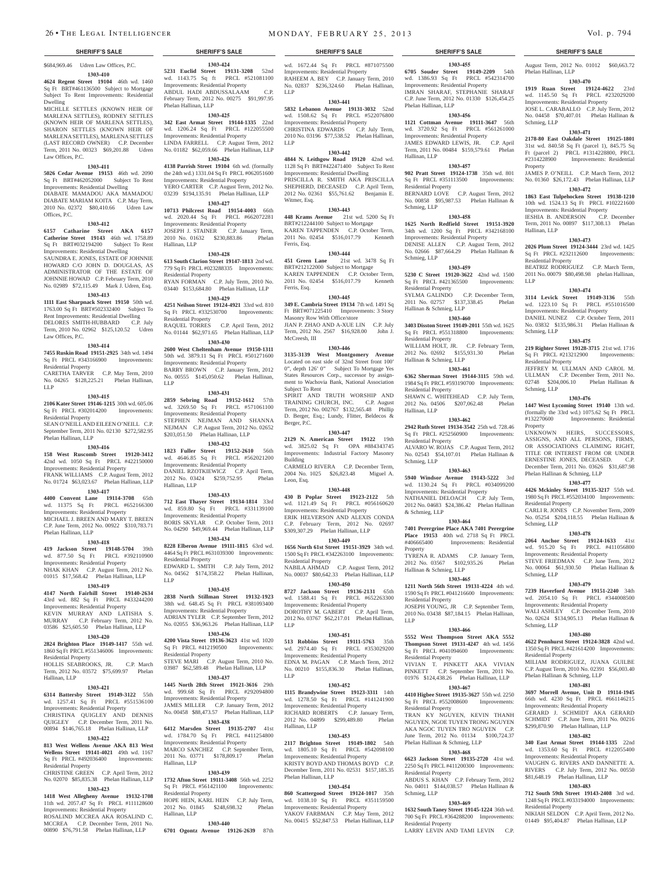\$684,969.46 Udren Law Offices, P.C.

### **1303-410**

**4624 Regent Street 19104** 46th wd. 1460 Sq Ft BRT#461136500 Subject to Mortgage Subject To Rent Improvements: Residential Dwelling

MICHLLE SETTLES (KNOWN HEIR OF MARLENA SETTLES), RODNEY SETTLES (KNOWN HEIR OF MARLENA SETTLES), SHARON SETTLES (KNOWN HEIR OF MARLENA SETTLES), MARLENA SETTLES (LAST RECORD OWNER) C.P. December Term, 2011 No. 00323 \$69,201.88 Udren Law Offices, P.C.

### **1303-411**

**5026 Cedar Avenue 19153** 46th wd. 2090 Sq Ft BRT#462052000 Subject To Rent Improvements: Residential Dwelling

DIABATE MAMADOU AKA MAMADOU DIABATE MARIAM KOITA C.P. May Term, 2010 No. 02372 \$80,410.66 Udren Law Offices, P.C.

### **1303-412**

**6157 Catharine Street AKA 6157 Catherine Street 19143** 46th wd. 1758.89 Sq Ft BRT#032194200 Subject To Rent Improvements: Residential Dwelling SAUNDRA E. JONES, ESTATE OF JOHNNIE HOWARD C/O JOHN D. DOUGLAS, AS ADMINISTRATOR OF THE ESTATE OF JOHNNIE HOWAD C.P. February Term, 2010 No. 02989 \$72,115.49 Mark J. Udren, Esq.

### **1303-413**

**1111 East Sharpnack Street 19150** 50th wd. 1763.00 Sq Ft BRT#502332400 Subject To Rent Improvements: Residential Dwelling DELORES SMITH-HUBBARD C.P. July Term, 2010 No. 02962 \$125,120.52 Udren Law Offices, P.C.

### **1303-414**

**7455 Ruskin Road 19151-2925** 34th wd. 1494 Sq Ft PRCL #343166900 Improvements: Residential Property

CARETHA TARVER C.P. May Term, 2010 No. 04265 \$128,225.21 Phelan Hallinan, LLP

### **1303-415**

**2106 Kater Street 19146-1215** 30th wd. 605.06 Sq Ft PRCL #302014200 Improvements:

Residential Property SEAN O'NEILL AND EILEEN O'NEILL C.P. September Term, 2011 No. 02130 \$272,582.95

### Phelan Hallinan, LLP **1303-416**

**158 West Ruscomb Street 19120-3412**  42nd wd. 1050 Sq Ft PRCL #422150000 Improvements: Residential Property FRANK WILLIAMS C.P. August Term, 2012 No. 01724 \$63,023.67 Phelan Hallinan, LLP

# **1303-417**

**4400 Convent Lane 19114-3708** 65th wd. 11375 Sq Ft PRCL #652166300 Improvements: Residential Property MICHAEL J. BREEN AND MARY T. BREEN C.P. June Term, 2012 No. 00922 \$310,783.71 Phelan Hallinan, LLP

### **1303-418**

**419 Jackson Street 19148-5704** 39th wd. 877.50 Sq Ft PRCL #392110900 Improvements: Residential Property

NHAK KHAN C.P. August Term, 2012 No. 01015 \$17,568.42 Phelan Hallinan, LLP **1303-419**

**4147 North Fairhill Street 19140-2634**  43rd wd. 882 Sq Ft PRCL #433244200 Improvements: Residential Property KEVIN MURRAY AND LATISHA S. MURRAY C.P. February Term, 2012 No. 03586 \$25,605.50 Phelan Hallinan, LLP

### **1303-420**

**2824 Brighton Place 19149-1417** 55th wd. 1860 Sq Ft PRCL #551346006 Improvements:

Residential Property HOLLIS SEABROOKS, JR. C.P. March Term, 2012 No. 03572 \$75,699.97 Phelan Hallinan, LLP

### **1303-421**

**6314 Battersby Street 19149-3122** 55th wd. 1257.41 Sq Ft PRCL #551536100 Improvements: Residential Property CHRISTINA QUIGLEY AND DENNIS QUIGLEY C.P. December Term, 2011 No. 00894 \$146,765.18 Phelan Hallinan, LLP

### **1303-422**

**813 West Wellens Avenue AKA 813 West Wellens Street 19141-4021** 49th wd. 1167 Sq Ft PRCL #492036400 Improvements: Residential Property

CHRISTINE GREEN C.P. April Term, 2012 No. 02070 \$85,835.38 Phelan Hallinan, LLP **1303-423**

**1418 West Allegheny Avenue 19132-1708**  11th wd. 2057.47 Sq Ft PRCL #111128600 Improvements: Residential Property ROSALIND MCCREA AKA ROSALIND C. MCCREA C.P. December Term, 2011 No. 00890 \$76,791.58 Phelan Hallinan, LLP

**1303-424 5231 Euclid Street 19131-3208** 52nd wd. 1143.75 Sq ft PRCL #521081100 Wd.  $1143.75 \text{ sq}$  is  $1143.75 \text{ sq}$  in  $1143.75 \text{ sq}$  in  $1143.75 \text{ sq}$  in  $1143.75 \text{ sq}$  is  $1143.75 \text{ sq}$  in  $1143.75 \text{ sq}$  in  $1143.75 \text{ sq}$  in  $1143.75 \text{ sq}$  in  $1143.75 \text{ sq}$  in  $1143.75 \text{ sq}$  in  $1143.75 \text{ sq}$  in ABDUL HADI ABDUSSALAAM C.P. February Term, 2012 No. 00275 \$91,997.95 wd. 1672.44 Sq Ft PRCL #871075500 Improvements: Residential Property RAHEEM A. BEY C.P. January Term, 2010 No. 02837 \$236,324.60 Phelan Hallinan, LLP

Phelan Hallinan, LLP

Hallinan, LLP

Residential Property

Residential Property

LLP

Hallinan, LLP

Residential Property

Residential Property

Hallinan, LLP

Hallinan, LLP

Residential Property

LLP

**1303-425 342 East Armat Street 19144-1335** 22nd wd. 1206.24 Sq Ft PRCL #122055500 Improvements: Residential Property LINDA FARRELL C.P. August Term, 2012 No. 01182 \$62,059.66 Phelan Hallinan, LLP **1303-426 4138 Parrish Street 19104** 6th wd. (formally the 24th wd.) 1331.04 Sq Ft PRCL #062051600 Improvements: Residential Property YERO CARTER C.P. August Term, 2012 No. 03239 \$194,135.91 Phelan Hallinan, LLP **1303-427 10713 Philcrest Road 19154-4003** 66th wd. 2020.44 Sq Ft PRCL #662072281 Improvements: Residential Property JOSEPH J. STAINER C.P. January Term, 2010 No. 01632 \$230,883.86 Phelan

**1303-428**

779 Sq Ft PRCL #023288335 Improvements:

RYAN FORMAN C.P. July Term, 2010 No. 03440 \$153,684.80 Phelan Hallinan, LLP **1303-429 4251 Neilson Street 19124-4921** 33rd wd. 810 Sq Ft PRCL #332530700 Improvements:

RAQUEL TORRES C.P. April Term, 2012 No. 01144 \$62,971.65 Phelan Hallinan, LLP **1303-430 2600 West Cheltenham Avenue 19150-1311**  50th wd. 3879.11 Sq Ft PRCL #501271600 Improvements: Residential Property BARRY BROWN C.P. January Term, 2012 No. 00555 \$145,050.62 Phelan Hallinan,

**1303-431 2859 Sebring Road 19152-1612** 57th wd. 3269.50 Sq Ft PRCL #571061100 Improvements: Residential Property STEPHEN NEJMAN AND SHANNA NEJMAN C.P. August Term, 2012 No. 02652 \$203,051.50 Phelan Hallinan, LLP **1303-432 1823 Fuller Street 19152-2610** 56th wd. 4646.85 Sq Ft PRCL #562021200 Improvements: Residential Property DANIEL RZOTKIEWICZ C.P. April Term, 2012 No. 03424 \$259,752.95 Phelan

**1303-433**

**1303-434 8228 Elberon Avenue 19111-1815** 63rd wd. 4464 Sq Ft PRCL #631039300 Improvements:

EDWARD L. SMITH C.P. July Term, 2012 No. 04562 \$174,358.22 Phelan Hallinan,

**1303-435 2838 North Stillman Street 19132-1923**  38th wd. 648.45 Sq Ft PRCL #381093400 Improvements: Residential Property ADRIAN TYLER C.P. September Term, 2012 No. 02055 \$36,963.26 Phelan Hallinan, LLP **1303-436 4200 Vista Street 19136-3623** 41st wd. 1020 Sq Ft PRCL #412190500 Improvements:

STEVE MARI C.P. August Term, 2010 No. 03987 \$62,589.48 Phelan Hallinan, LLP **1303-437 1445 North 28th Street 19121-3616** 29th wd. 999.68 Sq Ft PRCL #292094800 Improvements: Residential Property JAMES MILLER C.P. January Term, 2012 No. 00458 \$88,473.57 Phelan Hallinan, LLP **1303-438 Marsden Street 19135-2707** wd. 1784.70 Sq Ft PRCL #411254800 Improvements: Residential Property MARCO SANCHEZ C.P. September Term, 2011 No. 03771 \$178,809.17 Phelan

**1303-439 1732 Afton Street 19111-3408** 56th wd. 2252 Sq Ft PRCL #561421100 Improvements:

HOPE HEIN, KARL HEIN C.P. July Term,<br>2012 No. 01845 \$248,698.32 Phelan 2012 No. 01845 \$248,698.32

**1303-440 6701 Ogontz Avenue 19126-2639** 87th

Improvements: Residential Property

# **1303-441**

**5832 Lebanon Avenue 19131-3032** 52nd wd. 1508.62 Sq Ft PRCL #522076800 Improvements: Residential Property CHRISTINA EDWARDS C.P. July Term, 2010 No. 03196 \$77,538.52 Phelan Hallinan, LLP

### **1303-442**

**4844 N. Leithgow Road 19120** 42nd wd. 1128 Sq Ft BRT#422471400 Subject To Rent Improvements: Residential Dwelling PRISCILLA R. SMITH AKA PRISCILLA SHEPHERD, DECEASED C.P. April Term, 2012 No. 02361 \$55,761.62 Benjamin E. Witmer, Esq.

### **1303-443**

**448 Krams Avenue** 21st wd. 5200 Sq Ft BRT#212244100 Subject to Mortgage KAREN TAPPENDEN C.P. October Term, 2011 No. 02454 \$516,017.79 Kenneth Ferris, Esq.

**1303-444**

# **613 South Clarion Street 19147-1813** 2nd wd.

**451 Green Lane** 21st wd. 3478 Sq Ft BRT#212122000 Subject to Mortgage KAREN TAPPENDEN C.P. October Term,<br>2011 No. 02454 \$516.017.79 Kenneth 2011 No. 02454 \$516,017.79 Ferris, Esq.

### **1303-445**

**349 E. Cambria Street 19134** 7th wd. 1491 Sq Ft BRT#071225410 Improvements: 3 Story Masonry Row With Office/store JIAN P. ZHAO AND A-XUE LIN C.P. July Term, 2012 No. 2567 \$16,928.00 John J. McCreesh, III

### **1303-446**

**3135-3139 West Montgomery Avenue**  Located on east side of 32nd Street front 100' 0", depth 126' 0" Subject To Mortgage Yes States Resources Corp., successor by assignment to Wachovia Bank, National Association Subject To Rent

SPIRIT AND TRUTH WORSHIP AND TRAINING CHURCH, INC. C.P. August Term, 2012 No. 002767 \$132,565.48 Phillip D. Berger, Esq.; Lundy, Flitter, Beldecos & Berger, P.C.

### **1303-447**

**2129 N. American Street 19122** 19th wd. 3825.02 Sq Ft OPA #884343745 Improvements: Industrial Factory Masonry Building CARMELO RIVERA C.P. December Term, 2004 No. 1025 \$26,823.48 Miguel A. Leon, Esq.

**1303-448**

**712 East Thayer Street 19134-1814** 33rd wd. 859.80 Sq Ft PRCL #331139100 BORIS SKYLAR C.P. October Term, 2011 No. 04290 \$49,969.44 Phelan Hallinan, LLP **430 B Poplar Street 19123-2122** 5th wd. 1121.49 Sq Ft PRCL #056160620 Improvements: Residential Property ERIK HELVERSON AND ALEXIS CONDA C.P. February Term, 2012 No. 02697 \$309,307.29 Phelan Hallinan, LLP **1303-449**

**1656 North 61st Street 19151-3929** 34th wd. 1500 Sq Ft PRCL #342263100 Improvements: Residential Property NABILA AHMAD C.P. August Term, 2012 No. 00037 \$80,642.33 Phelan Hallinan, LLP

### **1303-450**

**8727 Jackson Street 19136-2131** 65th wd. 1588.41 Sq Ft PRCL #652263300 Improvements: Residential Property DOROTHY M. GABERT C.P. April Term, 2012 No. 03767 \$62,217.01 Phelan Hallinan, LLP

### **1303-451**

**513 Robbins Street 19111-5763** 35th wd. 2974.40 Sq Ft PRCL #353029200 Improvements: Residential Property EDNA M. PAGAN C.P. March Term, 2012 No. 00210 \$155,836.30 Phelan Hallinan, LLP

### **1303-452**

**1115 Brandywine Street 19123-3311** 14th wd. 1278.50 Sq Ft PRCL #141241900 Improvements: Residential Property RICHARD ROBERTS C.P. January Term,<br>2012 No. 04899 \$299,489.80 Phelan 2012 No. 04899 \$299,489.80 Hallinan, LLP

### **1303-453**

**2117 Brighton Street 19149-1802** 54th wd. 1805.10 Sq Ft PRCL #542098100 Improvements: Residential Property KRISTY BOYD AND THOMAS BOYD C.P. December Term, 2011 No. 02531 \$157,185.35 Phelan Hallinan, LLP

### **1303-454**

**860 Scattergood Street 19124-1017** 35th wd. 1038.10 Sq Ft PRCL #351159500 Improvements: Residential Property YAKOV FARBMAN C.P. May Term, 2012

# No. 00415 \$52,847.53 Phelan Hallinan, LLP

### **SHERIFF'S SALE SHERIFF'S SALE SHERIFF'S SALE SHERIFF'S SALE SHERIFF'S SALE**

**1303-455 6705 Souder Street 19149-2209** 54th wd. 1386.93 Sq Ft PRCL #542314700 Improvements: Residential Property IMRAN SHARAF, STEPHANIE SHARAF C.P. June Term, 2012 No. 01330 \$126,454.25 Phelan Hallinan, LLP

August Term, 2012 No. 01012 \$60,663.72

**1303-470 1919 Ruan Street 19124-4622** 23rd wd. 1145.50 Sq Ft PRCL #232029200 Improvements: Residential Property JOSE L. CARABALLO C.P. July Term, 2012 No. 04458 \$70,407.01 Phelan Hallinan &

**1303-471 2178-80 East Oakdale Street 19125-1801**  31st wd. 840.58 Sq Ft (parcel 1), 845.75 Sq Ft (parcel 2) PRCL #1314228800, PRCL #2314228900 Improvements: Residential

JAMES P. O'NEILL C.P. March Term, 2012 No. 01360 \$26,172.43 Phelan Hallinan, LLP **1303-472 1863 East Tulpehocken Street 19138-1210**  10th wd. 1524.13 Sq Ft PRCL #102221600 Improvements: Residential Property IESHIA B. ANDERSON C.P. December Term, 2011 No. 00897 \$117,308.13 Phelan

**1303-473 2026 Plum Street 19124-3444** 23rd wd. 1425 Sq Ft PRCL #232112600 Improvements:

BEATRIZ RODRIGUEZ C.P. March Term, 2011 No. 00079 \$80,498.98 phelan Hallinan,

**1303-474 3114 Levick Street 19149-3136** 55th wd. 1223.10 Sq Ft PRCL #551016500 Improvements: Residential Property DANIEL NUNEZ C.P. October Term, 2011 No. 03832 \$135,986.31 Phelan Hallinan &

**1303-475 219 Righter Street 19128-3715** 21st wd. 1716 Sq Ft PRCL #213212900 Improvements:

JEFFREY M. ULLMAN AND CAROL M. ULLMAN C.P. December Term, 2011 No. 02748 \$204,006.10 Phelan Hallinan &

**1303-476 1447 West Lycoming Street 19140** 13th wd. (formally the 33rd wd.)  $1075.62$  Sq Ft PRCL  $\#132270600$  Improvements: Residential

UNKNOWN HEIRS, SUCCESSORS, ASSIGNS, AND ALL PERSONS, FIRMS, OR ASSOCIATIONS CLAIMING RIGHT, TITLE OR INTEREST FROM OR UNDER ERNESTINE JONES, DECEASED. C.P. December Term, 2011 No. 03626 \$31,687.98

CARLI R. JONES C.P. November Term, 2009 No. 05254 \$204,118.55 Phelan Hallinan &

**1303-478 2064 Anchor Street 19124-1633** 41st wd. 915.20 Sq Ft PRCL #411056800 Improvements: Residential Property STEVE FRIEDMAN C.P. June Term, 2012 No. 00064 \$61,930.50 Phelan Hallinan &

**1303-479 7239 Haverford Avenue 19151-2240** 34th wd. 2054.10 Sq Ft PRCL #344008500 Improvements: Residential Property WALI ASHLEY C.P. December Term, 2010 No. 02624 \$134,905.13 Phelan Hallinan &

**1303-480 4622 Pennhurst Street 19124-3828** 42nd wd. 1350 Sq Ft PRCL #421614200 Improvements:

MILIAM RODRIGUEZ, JUANA GUILBE C.P. August Term, 2010 No. 02391 \$56,003.40

**1303-481 3697 Morrell Avenue, Unit D 19114-1945**  66th wd. 4230 Sq Ft PRCL #661146215 Improvements: Residential Property GERARD J. SCHMIDT AKA GERARD SCHMIDT C.P. June Term, 2011 No. 00216 \$299,870.90 Phelan Hallinan, LLP **1303-482 340 East Armat Street 19144-1335** 22nd wd. 1353.60 Sq Ft PRCL #122055400 Improvements: Residential Property VAUGHN G. RIVERS AND DANNETTE A. RIVERS C.P. July Term, 2012 No. 00550 \$81,648.19 Phelan Hallinan, LLP **1303-483 712 South 59th Street 19143-2408** 3rd wd. 1248 Sq Ft PRCL #033194000 Improvements:

NIKIAH SELDON C.P. April Term, 2012 No. 01449 \$95,404.87 Phelan Hallinan, LLP

Phelan Hallinan & Schmieg, LLP **1303-477 4426 Mckinley Street 19135-3217** 55th wd. 1980 Sq Ft PRCL #552034100 Improvements:

Residential Property

Schmieg, LLP

Schmieg, LLP

Schmieg, LLP

Residential Property

Residential Property

Phelan Hallinan & Schmieg, LLP

Improvements: Residential

Phelan Hallinan, LLP

Schmieg, LLP

Property

Hallinan, LLP

Schmieg, LLP

Schmieg, LLP

Property

Residential Property

LLP

Residential Property

### **1303-456**

**1121 Cottman Avenue 19111-3647** 56th wd. 3720.92 Sq Ft PRCL #561261000 Improvements: Residential Property JAMES EDWARD LEWIS, JR. C.P. April Term, 2011 No. 00484 \$159,579.61 Phelan Hallinan, LLP

### **1303-457**

**902 Pratt Street 19124-1738** 35th wd. 801 Sq Ft PRCL #351113500 Improvements: Residential Property BERNARD LOVE C.P. August Term, 2012

No. 00858 \$95,987.53 Phelan Hallinan & Schmieg, LLP **1303-458**

### **1625 North Redfield Street 19151-3920**

34th wd. 1200 Sq Ft PRCL #342168100 Improvements: Residential Property DENISE ALLEN C.P. August Term, 2012 No. 02666 \$87,664.29 Phelan Hallinan & Schmieg, LLP

### **1303-459**

**5230 C Street 19120-3622** 42nd wd. 1500 Sq Ft PRCL #421365500 Improvements: Residential Property SYLMA GALINDO C.P. December Term,

2011 No. 02757 \$137,338.45 Phelan Hallinan & Schmieg, LLP **1303-460**

**3403 Disston Street 19149-2011** 55th wd. 1625 Sq Ft PRCL #551318800 Improvements: Residential Property

WILLIAM HOLT, JR. C.P. February Term, 2012 No. 02692 \$155,931.30 Phelan Hallinan & Schmieg, LLP

### **1303-461**

**6362 Sherman Street 19144-3115** 59th wd. 1984 Sq Ft PRCL #593190700 Improvements: Residential Property SHAWN C. WHITEHEAD C.P. July Term,

2012 No. 04506 \$207,062.48 Phelan Hallinan, LLP **1303-462**

**2942 Ruth Street 19134-3542** 25th wd. 728.46 Sq Ft PRCL #252560900 Improvements:

Residential Property ALVARO W. ROJAS C.P. August Term, 2012 No. 02543 \$54,107.01 Phelan Hallinan & Schmieg, LLP

### **1303-463**

**5940 Windsor Avenue 19143-5222** 3rd wd. 1130.24 Sq Ft PRCL #034099200 Improvements: Residential Property NATHANIEL DELOACH C.P. July Term, 2012 No. 04683 \$24,386.42 Phelan Hallinan & Schmieg, LLP

### **1303-464 7401 Perergrine Place AKA 7401 Perergrine**

**Place 19153** 40th wd. 2718 Sq Ft PRCL<br>#406665400 Improvements: Residential Improvements: Residential Property TYRENA R. ADAMS C.P. January Term, 2012 No. 03567 \$102,935.26 Phelan Hallinan & Schmieg, LLP

### **1303-465 1211 North 56th Street 19131-4224** 4th wd.

1590 Sq Ft PRCL #041216600 Improvements: Residential Property

JOSEPH YOUNG, JR C.P. September Term, 2010 No. 03438 \$87,184.15 Phelan Hallinan, LLP

### **1303-466**

**5552 West Thompson Street AKA 5552 Thompson Street 19131-4247** 4th wd. 1456 Sq Ft PRCL #041094600 Improvements: Residential Property VIVIAN T. PINKETT AKA VIVIAN PINKETT C.P. September Term, 2011 No.

01976 \$124,438.26 Phelan Hallinan, LLP **1303-467**

### **4410 Higbee Street 19135-3627** 55th wd. 2250 Sq Ft PRCL #552008600 Improvements:

TRAN KY NGUYEN, KEVIN THANH NGUYEN, NGOE TUYEN TRONG NGUYEN AKA NGOC TUYEN TRO NGUYEN June Term, 2012 No. 01134 \$100,724.37

**1303-468 6623 Jackson Street 19135-2720** 41st wd. 2250 Sq Ft PRCL #411200300 Improvements:

ABDUS S. KHAN C.P. February Term, 2012 No. 04011 \$144,038.57 Phelan Hallinan &

**1303-469 1632 South Taney Street 19145-1224** 36th wd. 700 Sq Ft PRCL #364288200 Improvements:

LARRY LEVIN AND TAMI LEVIN C.P.

Residential Property

Residential Property

Residential Property

Schmieg, LLP

Phelan Hallinan & Schmieg, LLP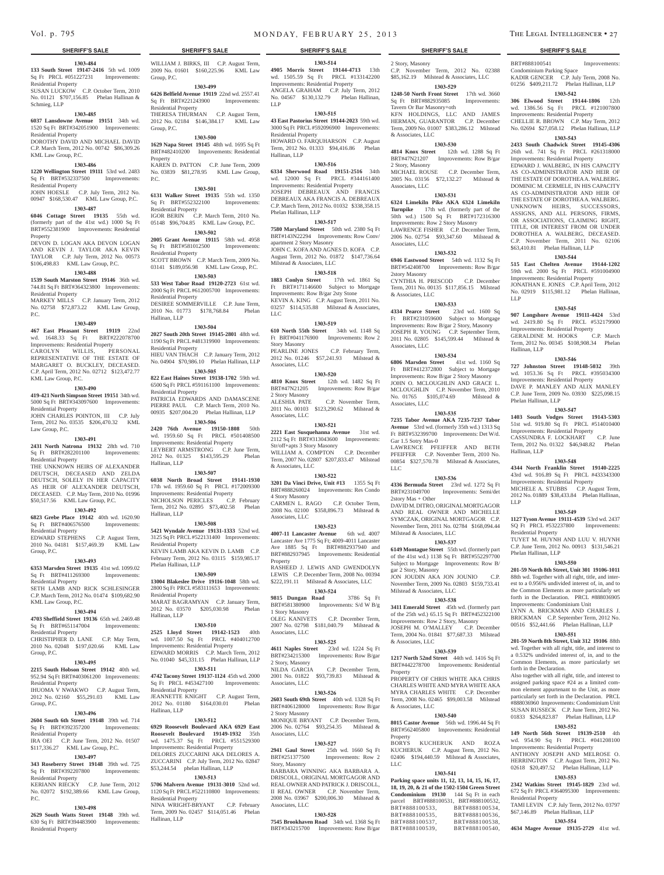### **1303-484**

**133 South Street 19147-2416** 5th wd. 1009 Sq Ft PRCL #051227231 Improvements: Residential Property

SUSAN LUCKOW C.P. October Term, 2010 No. 01121 \$707,156.85 Phelan Hallinan & Schmieg, LLP

### **1303-485**

**6037 Lansdowne Avenue 19151** 34th wd. 1520 Sq Ft BRT#342051900 Improvements: Residential Property

DOROTHY DAVID AND MICHAEL DAVID C.P. March Term, 2012 No. 00742 \$86,309.26 **1629 Napa Street 19145** 48th wd. 1695 Sq Ft

WILLIAM J. BIRKS, III C.P. August Term, 2009 No. 01601 \$160,225.96 KML Law

**1303-499 6426 Belfield Avenue 19119** 22nd wd. 2557.41 Sq Ft BRT#221243900 Improvements:

THERESA THURMAN C.P. August Term, 2012 No. 02184 \$146,384.17 KML Law

**1303-500**

BRT#482410200 Improvements: Residential

KAREN D. PATTON C.P. June Term, 2009 No. 03839 \$81,278.95 KML Law Group,

**1303-501 6131 Walker Street 19135** 55th wd. 1350 Sq Ft BRT#552322100 Improvements:

IGOR BERIN C.P. March Term, 2010 No. 05148 \$96,704.85 KML Law Group, P.C. **1303-502 2005 Grant Avenue 19115** 58th wd. 4958 Sq Ft BRT#581012500 Improvements:

SCOTT BROWN C.P. March Term, 2009 No. 03141 \$189,056.98 KML Law Group, P.C. **1303-503 533 West Tabor Road 19120-2723** 61st wd. 2000 Sq Ft PRCL #612005700 Improvements:

DESIREE SOMMERVILLE C.P. June Term, 2010 No. 01773 \$178,768.84 Phelan

**1303-504 2027 South 20th Street 19145-2801** 48th wd. 1190 Sq Ft PRCL #481319900 Improvements:

HIEU VAN THACH C.P. January Term, 2012 No. 04904 \$70,986.10 Phelan Hallinan, LLP **1303-505 822 East Haines Street 19138-1702** 59th wd. 6500 Sq Ft PRCL #591161100 Improvements:

PATRICIA EDWARDS AND DAMASCENE PIERRE PAUL C.P. March Term, 2010 No. 00935 \$207,004.20 Phelan Hallinan, LLP **1303-506 2420 76th Avenue 19150-1808** 50th wd. 1959.60 Sq Ft PRCL #501408500 Improvements: Residential Property LEYBERT ARMSTRONG C.P. June Term, 2012 No. 01325 \$143,595.29 Phelan

**1303-507 6038 North Broad Street 19141-1930**  17th wd. 1959.60 Sq Ft PRCL #172009300 Improvements: Residential Property NICHOLSON PERICLES C.P. February Term, 2012 No. 02895 \$73,402.58 Phelan

**1303-508 5421 Wyndale Avenue 19131-1333** 52nd wd. 3125 Sq Ft PRCL #522131400 Improvements:

KEVIN LAMB AKA KEVIN D. LAMB C.P. February Term, 2012 No. 03115 \$159,985.17

**1303-509 13004 Blakeslee Drive 19116-1048** 58th wd. 2800 Sq Ft PRCL #583111653 Improvements:

MARAT BAGRAMYAN C.P. January Term, 2012 No. 03570 \$205,030.98 Phelan

**1303-510 2525 Lloyd Street 19142-1523** 40th wd. 1007.50 Sq Ft PRCL #404012700 Improvements: Residential Property EDWARD MORRIS C.P. March Term, 2012 No. 01040 \$45,331.15 Phelan Hallinan, LLP **1303-511 4742 Tacony Street 19137-1124** 45th wd. 2000 Sq Ft PRCL #453427100 Improvements:

JEANNETTE KNIGHT C.P. August Term, 2012 No. 01180 \$164,030.01 Phelan

**1303-512 6929 Roosevelt Boulevard AKA 6929 East Roosevelt Boulevard 19149-1932** 35th wd. 1475.37 Sq Ft PRCL #551529300 Improvements: Residential Property DELORES ZUCCARINI AKA DELORES A. ZUCCARINI C.P. July Term, 2012 No. 02847 \$53,244.54 phelan Hallinan, LLP **1303-513 5706 Malvern Avenue 19131-3010** 52nd wd. 1120 Sq Ft PRCL #522110800 Improvements:

NINA WRIGHT-BRYANT C.P. February Term, 2009 No. 02457 \$114,051.46 Phelan

Group, P.C.

Group, P.C.

Property

P.C.

Residential Property

Residential Property

Residential Property

Residential Property

Residential Property

Residential Property

Hallinan, LLP

Hallinan, LLP

Residential Property

Phelan Hallinan, LLP

Residential Property

Residential Property

Residential Property

Hallinan, LLP

Hallinan, LLP

Hallinan, LLP

Hallinan, LLP

### KML Law Group, P.C. **1303-486**

**1220 Wellington Street 19111** 53rd wd. 2483 Sq Ft BRT#532337500 Improvements:

Residential Property JOHN HOESLE C.P. July Term, 2012 No. 00947 \$168,530.47 KML Law Group, P.C.

### **1303-487**

**6046 Cottage Street 19135** 55th wd. (formerly part of the 41st wd.) 1000 Sq Ft BRT#552381900 Improvements: Residential Property

DEVON D. LOGAN AKA DEVON LOGAN AND KEVIN J. TAYLOR AKA KEVIN TAYLOR C.P. July Term, 2012 No. 00573 \$106,498.83 KML Law Group, P.C.

### **1303-488**

**1539 South Marston Street 19146** 36th wd. 744.81 Sq Ft BRT#364323800 Improvements: Residential Property MARKEY MILLS C.P. January Term, 2012

No. 02758 \$72,873.22 KML Law Group, P.C.

### **1303-489**

**467 East Pleasant Street 19119** 22nd wd. 1648.33 Sq Ft BRT#222078700 Improvements: Residential Property CAROLYN WILLIS, PERSONAL REPRESENTATIVE OF THE ESTATE OF

MARGARET O. BUCKLEY, DECEASED. C.P. April Term, 2012 No. 02712 \$123,472.77 KML Law Group, P.C.

### **1303-490**

**419-421 North Simpson Street 19151** 34th wd. 5000 Sq Ft BRT#343097600 Improvements: Residential Property

JOHN CHARLES POINTON, III C.P. July Term, 2012 No. 03535 \$206,470.32 KML Law Group, P.C.

### **1303-491**

**2431 North Natrona 19132** 28th wd. 710 Sq Ft BRT#282201100 Improvements:

Residential Property THE UNKNOWN HEIRS OF ALEXANDER DEUTSCH, DECEASED AND ZELDA DEUTSCH, SOLELY IN HER CAPACITY AS HEIR OF ALEXANDER DEUTSCH, DECEASED. C.P. May Term, 2010 No. 01996 \$50,517.56 KML Law Group, P.C.

### **1303-492**

**6823 Grebe Place 19142** 40th wd. 1620.90 Sq Ft BRT#406576500 Improvements: Residential Property EDWARD STEPHENS C.P. August Term,

2010 No. 04181 \$157,469.39 KML Law Group, P.C.

### **1303-493**

**6353 Marsden Street 19135** 41st wd. 1099.02 Sq Ft BRT#411269300 Improvements: Residential Property

SETH LAMB AND RICK SCHLESINGER C.P. March Term, 2012 No. 01474 \$109,682.90 KML Law Group, P.C.

### **1303-494**

**4703 Sheffield Street 19136** 65th wd. 2469.48 Sq Ft BRT#651147004 Improvements: Residential Property CHRISTIPHER D. LANE C.P. May Term,

2010 No. 02048 \$197,020.66 KML Law Group, P.C.

### **1303-495**

**2215 South Hobson Street 19142** 40th wd. 952.94 Sq Ft BRT#403061200 Improvements: Residential Property IHUOMA V NWAKWO C.P. August Term, 2012 No. 02160 \$55,291.03 KML Law

### Group, P.C. **1303-496**

**2604 South 6th Street 19148** 39th wd. 714 Sq Ft BRT#392357200 Improvements:

Residential Property IRA OEI C.P. June Term, 2012 No. 01507 \$117,336.27 KML Law Group, P.C.

# **1303-497**

### **343 Roseberry Street 19148** 39th wd. 725 Sq Ft BRT#392207800 Residential Property

KERIANN RIECKY C.P. June Term, 2012 No. 02072 \$192,389.66 KML Law Group,  $PC$ 

### **1303-498**

**2629 South Watts Street 19148** 39th wd. 630 Sq Ft BRT#394483900 Improvements: Residential Property

**1303-514 4905 Morris Street 19144-4713** 13th wd. 1505.59 Sq Ft PRCL #133142200 Improvements: Residential Property ANGELA GRAHAM C.P. July Term, 2012 No. 04567 \$130,132.79 Phelan Hallinan, LLP

### **1303-515**

**43 East Pastorius Street 19144-2023** 59th wd. 3000 Sq Ft PRCL #592096900 Improvements: Residential Property HOWARD O. FARQUHARSON C.P. August Term, 2012 No. 01333 \$94,416.86 Phelan Hallinan, LLP

### **1303-516**

**6334 Sherwood Road 19151-2516** 34th wd. 12000 Sq Ft PRCL #344161400 Improvements: Residential Property JOSEPH DEBREAUX AND FRANCIS DEBREAUX AKA FRANCIS A. DEBREAUX C.P. March Term, 2012 No. 01032 \$338,358.15 Phelan Hallinan, LLP

### **1303-517**

**7580 Maryland Street** 50th wd. 2380 Sq Ft BRT#143N22294 Improvements: Row Conv/ apartment 2 Story Masonry JOHN C. KOFA AND AGNES D. KOFA C.P. August Term, 2012 No. 01872 \$147,736.64 Milstead & Associates, LLC

### **1303-518**

**1883 Conlyn Street** 17th wd. 1861 Sq Ft BRT#171146600 Subject to Mortgage Improvements: Row B/gar 2sty Stone KEVIN A. KING C.P. August Term, 2011 No. 03257 \$114,535.88 Milstead & Associates, LLC

### **1303-519**

**610 North 55th Street** 34th wd. 1148 Sq Ft BRT#041176900 Improvements: Row 2 Story Masonry PEARLINE JONES C.P. February Term, 2012 No. 01246 \$57,241.93 Milstead & Associates, LLC

# **1303-520**

**4810 Knox Street** 12th wd. 1482 Sq Ft BRT#47N21205 Improvements: Row B/gar 2 Story Masonry ALESHIA PATE C.P. November Term, 2011 No. 00103 \$123,290.62 Milstead & Associates, LLC

### **1303-521**

**2221 East Susquehanna Avenue** 31st wd. 2112 Sq Ft BRT#313043600 Improvements: Str/off+apts 3 Story Masonry WILLIAM A. COMPTON C.P. December Term, 2007 No. 02807 \$207,833.47 Milstead & Associates, LLC

### **1303-522**

**3201 Da Vinci Drive, Unit #13** 1355 Sq Ft BRT#888260024 Improvements: Res Condo 4 Story Masonry CARMEN L. RAGO C.P. October Term,

### 2008 No. 02100 \$358,896.73 Milstead &

**1303-523**

Associates, LLC

Associates, LLC

**4007-11 Lancaster Avenue** 6th wd. 4007 Lancaster Ave 1775 Sq Ft; 4009-4011 Lancaster Ave 1885 Sq Ft BRT#882937940 and BRT#882937945 Improvements: Residential Property

RASHEED J. LEWIS AND GWENDOLYN LEWIS C.P. December Term, 2008 No. 00394 \$222,191.11 Milstead & Associates, LLC

# **1303-524**

**9815 Dungan Road** 3786 Sq Ft BRT#581380900 Improvements: S/d W B/g 1 Story Masonry OLEG KANIVETS C.P. December Term, 2007 No. 02798 \$181,040.79 Milstead &

# **1303-525**

**4611 Naples Street** 23rd wd. 1224 Sq Ft BRT#234215300 Improvements: Row B/gar 2 Story, Masonry NILDA GARCIA C.P. December Term, 2001 No. 01822 \$93,739.83 Milstead & Associates, LLC

### **1303-526**

**2603 South 69th Street** 40th wd. 1328 Sq Ft BRT#406128000 Improvements: Row B/gar 2 Story Masonry MONIQUE BRYANT C.P. December Term, 2006 No. 02764 \$93,254.35 Milstead & Associates, LLC

### **1303-527**

**2941 Gaul Street** 25th wd. 1660 Sq Ft BRT#251377500 Improvements: Row 2 Story, Masonry BARBARA WINNING AKA BARBARA A.

DRISCOLL, ORIGINAL MORTGAGOR AND REAL OWNER AND PATRICK J. DRISCOLL, II REAL OWNER C.P. November Term, 2008 No. 03967 \$200,006.30 Milstead & Associates, LLC

### **1303-528**

**7545 Brookhaven Road** 34th wd. 1368 Sq Ft BRT#343215700 Improvements: Row B/gar

BRT#888100541 Improvements:

KADIR GENCER C.P. July Term, 2008 No. 01256 \$409,211.72 Phelan Hallinan, LLP **1303-542 306 Elwood Street 19144-1806** 12th wd. 1386.56 Sq Ft PRCL #121007800 Improvements: Residential Property CHELLIE R. BROWN C.P. May Term, 2012 No. 02694 \$27,058.12 Phelan Hallinan, LLP **1303-543 2433 South Chadwick Street 19145-4306**  26th wd. 741 Sq Ft PRCL #261318000 Improvements: Residential Property EDWARD J. WALBERG, IN HIS CAPACITY AS CO-ADMINISTRATOR AND HEIR OF THE ESTATE OF DOROTHEA A. WALBERG. DOMINIC M. CERMELE, IN HIS CAPACITY AS CO-ADMINISTRATOR AND HEIR OF THE ESTATE OF DOROTHEA A. WALBERG. UNKNOWN HEIRS, SUCCESSORS, ASSIGNS, AND ALL PERSONS, FIRMS, OR ASSOCIATIONS, CLAIMING RIGHT, TITLE, OR INTEREST FROM OR UNDER DOROTHEA A. WALBERG, DECEASED. C.P. November Term, 2011 No. 02106 \$63,410.81 Phelan Hallinan, LLP **1303-544 515 East Chelten Avenue 19144-1202**  59th wd. 2000 Sq Ft PRCL #591004900 Improvements: Residential Property JONATHAN E. JONES C.P. April Term, 2012 No. 02919 \$115,981.12 Phelan Hallinan,

**1303-545 907 Longshore Avenue 19111-4424** 53rd wd. 2419.80 Sq Ft PRCL #532179900 Improvements: Residential Property GERALDINE M. HOOKS C.P. March Term, 2012 No. 00345 \$108,908.34 Phelan

**1303-546 727 Johnston Street 19148-5032** 39th wd. 1053.36 Sq Ft PRCL #395034300 Improvements: Residential Property DAVE P. MANLEY AND ALIX MANLEY C.P. June Term, 2009 No. 03930 \$225,098.15

**1303-547 1403 South Vodges Street 19143-5303**  51st wd. 919.80 Sq Ft PRCL #514010400 Improvements: Residential Property CASSUNDRA F. LOCKHART C.P. June Term, 2012 No. 01322 \$46,948.82 Phelan

**1303-548 4344 North Franklin Street 19140-2225**  43rd wd. 916.89 Sq Ft PRCL #433343300 Improvements: Residential Property MICHELE A. STUBBS C.P. August Term, 2012 No. 01889 \$38,433.84 Phelan Hallinan,

**1303-549 1127 Tyson Avenue 19111-4539** 53rd wd. 2437 SQ Ft PRCL #532237800 Improvements:

TUYET M. HUYNH AND LUU V. HUYNH C.P. June Term, 2012 No. 00913 \$131,546.21

**1303-550 201-59 North 8th Street, Unit 301 19106-1011**  88th wd. Together with all right, title, and interest to a 0.956% undivided interest of, in, and to the Common Elements as more particularly set forth in the Declaration. PRCL #888036905 Improvements: Condominium Unit LYNN A. BRICKMAN AND CHARLES J. BRICKMAN C.P. September Term, 2012 No. 00516 \$52,441.66 Phelan Hallinan, LLP **1303-551 201-59 North 8th Street, Unit 312 19106** 88th wd. Together with all right, title, and interest to a 0.532% undivided interest of, in, and to the Common Elements, as more particularly set

Also together with all right, title, and interest to assigned parking space #24 as a limited common element appurtenant to the Unit, as more particularly set forth in the Declaration. PRCL #888036960 Improvements: Condominium Unit SUSAN RUSSECK C.P. June Term, 2012 No. 01833 \$264,823.87 Phelan Hallinan, LLP **1303-552 149 North 56th Street 19139-2510** 4th wd. 954.90 Sq Ft PRCL #041208100 Improvements: Residential Property ANTHONY JOSEPH AND MELROSE O. HERRINGTON C.P. August Term, 2012 No. 02618 \$20,497.52 Phelan Hallinan, LLP **1303-553 2342 Watkins Street 19145-1829** 23rd wd. 672 Sq Ft PRCL #364095300 Improvements:

TAMI LEVIN C.P. July Term, 2012 No. 03797 \$67,146.89 Phelan Hallinan, LLP **1303-554 4634 Magee Avenue 19135-2729** 41st wd.

Condominium Parking Space

2 Story, Masonry C.P. November Term, 2012 No. 02388 \$85,162.19 Milstead & Associates, LLC **1303-529**

**1248-50 North Front Street** 17th wd. 3660 Sq Ft BRT#882935085 Improvements: Tavern Or Bar Masonry+oth KFN HOLDINGS, LLC AND JAMES HERMAN, GUARANTOR C.P. December Term, 2009 No. 01007 \$383,286.12 Milstead

# **1303-530**

& Associates, LLC

**4814 Knox Street** 12th wd. 1288 Sq Ft BRT#47N21207 Improvements: Row B/gar 2 Story, Masonry MICHAEL ROUSE C.P. December Term, 2005 No. 03156 \$72,132.27 Milstead & Associates, LLC

### **1303-531**

**6324 Limekiln Pike AKA 6324 Limekiln Turnpike** 17th wd. (formerly part of the 50th wd.) 1500 Sq Ft BRT#172316300 Improvements: Row 2 Story Masonry LAWRENCE FISHER C.P. December Term, 2006 No. 02754 \$93,347.60 Milstead & Associates, LLC

### **1303-532 6946 Eastwood Street** 54th wd. 1132 Sq Ft

BRT#542408700 Improvements: Row B/gar 2story Masonry CYNTHIA H. PRESCOD C.P. December Term, 2011 No. 00135 \$117,856.15 Milstead & Associates, LLC

LLP

Hallinan, LLP

Phelan Hallinan, LLP

Hallinan, LLP

Residential Property

Phelan Hallinan, LLP

forth in the Declaration.

Residential Property

LLP

### **1303-533**

**4334 Pearce Street** 23rd wd. 1600 Sq Ft BRT#231059600 Subject to Mortgage Improvements: Row B/gar 2 Story, Masonry JOSEPH R. YOUNG C.P. September Term, 2011 No. 02805 \$145,599.44 Milstead & Associates, LLC

### **1303-534**

**6806 Marsden Street** 41st wd. 1160 Sq Ft BRT#412372800 Subject to Mortgage Improvements: Row B/gar 2 Story Masonry JOHN O. MCLOUGHLIN AND GRACE L. MCLOUGHLIN C.P. November Term, 2010 No. 01765 \$105,074.69 Milstead & Associates, LLC

## **1303-535**

**7235 Tabor Avenue AKA 7235-7237 Tabor Avenue** 53rd wd. (formerly 35th wd.) 1313 Sq Ft BRT#532399700 Improvements: Det W/d. Gar 1.5 Sotry Mas-0 LAWRENCE PFEIFFER AND BETH PFEIFFER C.P. November Term, 2010 No. 00854 \$327,570.78 Milstead & Associates, LLC

### **1303-536**

**4336 Bermuda Street** 23rd wd. 1272 Sq Ft BRT#231049700 Improvements: Semi/det 2story Mas + Other DAVID M. DITRO, ORIGINAL MORTGAGOR AND REAL OWNER AND MICHELLE SYMCZAK, ORIGINAL MORTGAGOR C.P. November Term, 2011 No. 02784 \$168,094.44 Milstead & Associates, LLC

### **1303-537**

& Associates, LLC

& Associates, LLC

BRT#888100533,<br>BRT#888100535,

BRT#888100539,

Property

Property

LLC

**6149 Montague Street** 55th wd. (formerly part of the 41st wd.) 1138 Sq Ft BRT#552297700 Subject to Mortgage Improvements: Row B/ gar 2 Story, Masonry

JON JOUDIN AKA JON JOUNIO C.P. November Term, 2009 No. 02803 \$159,733.41 Milstead & Associates, LLC **1303-538**

**3411 Emerald Street** 45th wd. (formerly part of the 25th wd.) 65.15 Sq Ft BRT#452322100 Improvements: Row 2 Story, Masonry JOSEPH M. O'MALLEY C.P. December Term, 2004 No. 01841 \$77,687.33 Milstead

**1303-539 1217 North 52nd Street** 44th wd. 1416 Sq Ft BRT#442278700 Improvements: Residential

PROPERTY OF CHRIS WHITE AKA CHRIS CHARLES WHITE AND MYRA WHITE AKA MYRA CHARLES WHITE C.P. December Term, 2008 No. 02465 \$99,003.58 Milstead

**1303-540 8015 Castor Avenue** 56th wd. 1996.44 Sq Ft BRT#562405800 Improvements: Residential

BORYS KUCHERUK AND ROZA KUCHERUK C.P. August Term, 2012 No. 02406 \$194,440.59 Milstead & Associates,

**1303-541 Parking space units 11, 12, 13, 14, 15, 16, 17, 18, 19, 20, & 21 of the 1502-1504 Green Street Condominium 19130** 144 Sq Ft in each parcel BRT#888100531, BRT#888100532,<br>BRT#888100533, BRT#888100534,

BRT#888100537, BRT#888100538,<br>BRT#888100539, BRT#888100540.

BRT#888100535, BRT#888100536,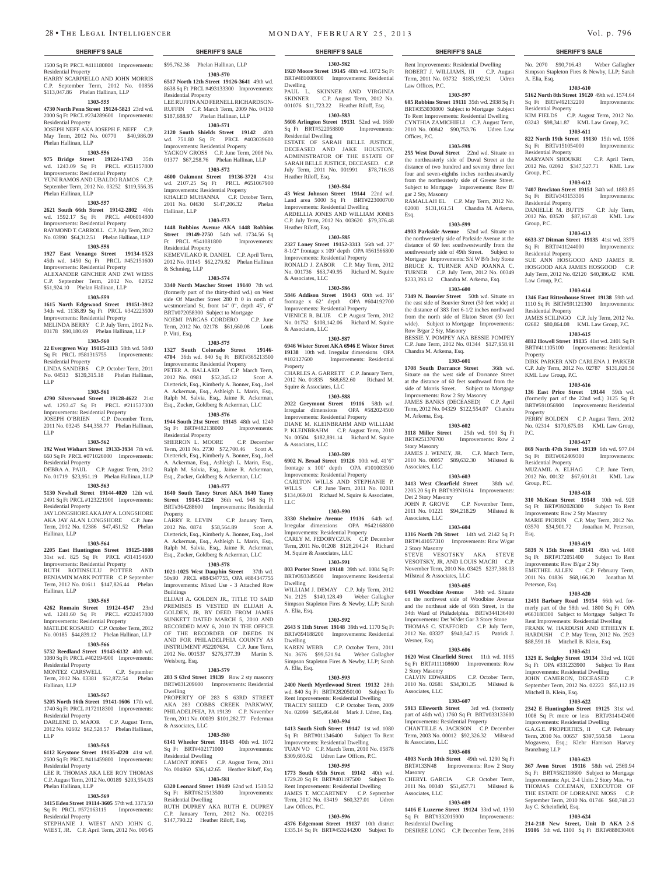1500 Sq Ft PRCL #411180800 Improvements: \$95,762.36 Phelan Hallinan, LLP Residential Property

HARRY SCARPIELLO AND JOHN MORRIS C.P. September Term, 2012 No. 00856 \$113,047.86 Phelan Hallinan, LLP

### **1303-555**

**4730 North Penn Street 19124-5823** 23rd wd. 2000 Sq Ft PRCL #234289600 Improvements: Residential Property

JOSEPH NEFF AKA JOSEPH F. NEFF C.P. May Term, 2012 No. 00770 \$40,986.09 Phelan Hallinan, LLP

### **1303-556**

**975 Bridge Street 19124-1743** 35th wd. 1243.09 Sq Ft PRCL #351157800 Improvements: Residential Property YUNI RAMOS AND UBALDO RAMOS C.P. September Term, 2012 No. 03252 \$119,556.35 Phelan Hallinan, LLP

### **1303-557**

**2621 South 66th Street 19142-2802** 40th wd. 1592.17 Sq Ft PRCL #406014800 Improvements: Residential Property RAYMOND T. CARROLL C.P. July Term, 2012 No. 03990 \$64,312.51 Phelan Hallinan, LLP

# **1303-558**

**1927 East Venango Street 19134-1523**  45th wd. 1450 Sq Ft PRCL #452151600 Improvements: Residential Property ALEXANDER GINCHER AND ZWI WEISS C.P. September Term, 2012 No. 02052 \$51,924.10 Phelan Hallinan, LLP

### **1303-559**

**1615 North Edgewood Street 19151-3912**  34th wd. 1138.89 Sq Ft PRCL #342223500 Improvements: Residential Property MELINDA BERRY C.P. July Term, 2012 No.

### 03178 \$90,180.69 Phelan Hallinan, LLP **1303-560**

**22 Evergreen Way 19115-2113** 58th wd. 5040 Sq Ft PRCL #581315755 Improvements: Residential Property

LINDA SANDERS C.P. October Term, 2011 No. 04513 \$139,315.18 Phelan Hallinan, LLP

### **1303-561**

**4790 Silverwood Street 19128-4622** 21st wd. 1293.47 Sq Ft PRCL #211537300 Improvements: Residential Property

JOSEPH O'BRIEN C.P. December Term, 2011 No. 03245 \$44,358.77 Phelan Hallinan, LLP

### **1303-562**

**192 West Wishart Street 19133-3934** 7th wd. 660 Sq Ft PRCL #071026000 Improvements: Residential Property

### DEBRA A. PAUL C.P. August Term, 2012 No. 01719 \$23,951.19 Phelan Hallinan, LLP

**1303-563**

### **5130 Newhall Street 19144-4020** 12th wd. 2491 Sq Ft PRCL #123221900 Improvements: Residential Property JAY LONGSHORE AKA JAY A. LONGSHORE AKA JAY ALAN LONGSHORE C.P. June Term, 2012 No. 02386 \$47,451.52 Phelan Hallinan, LLP

### **1303-564**

**2205 East Huntington Street 19125-1808**  31st wd. 825 Sq Ft PRCL #314154600 Improvements: Residential Property RUTH ROTINSULU POTTER AND BENJAMIN MARK POTTER C.P. September Term, 2012 No. 01611 \$147,826.44 Phelan Hallinan, LLP

### **1303-565**

**4262 Romain Street 19124-4547** 23rd wd. 1241.60 Sq Ft PRCL #232457800 Improvements: Residential Property MATILDE ROSARIO C.P. October Term, 2012

No. 00185 \$44,839.12 Phelan Hallinan, LLP **1303-566**

### **5732 Reedland Street 19143-6132** 40th wd. 1080 Sq Ft PRCL #402194900 Improvements: Residential Property

MONTEZ CARSWELL C.P. September Term, 2012 No. 03381 \$52,872.54 Phelan Hallinan, LLP

### **1303-567**

LLP

**5205 North 16th Street 19141-1606** 17th wd. 1740 Sq Ft PRCL #172118300 Improvements: Residential Property

### DARLENE D. MAJOR C.P. August Term, 2012 No. 02602 \$62,528.57 Phelan Hallinan,

### **1303-568**

**6112 Keystone Street 19135-4220** 41st wd. 2500 Sq Ft PRCL #411459800 Improvements:

### Residential Property LEE R. THOMAS AKA LEE ROY THOMAS C.P. August Term, 2012 No. 00189 \$203,554.03

Phelan Hallinan, LLP **1303-569**

**3415 Eden Street 19114-3605** 57th wd. 3373.50 Sq Ft PRCL #572163115 Improvements: Residential Property STEPHANIE J. WIEST AND JOHN G. WIEST, JR. C.P. April Term, 2012 No. 00545

# **1303-570**

**6517 North 12th Street 19126-3641** 49th wd. 8638 Sq Ft PRCL #493133300 Improvements: Residential Property LEE RUFFIN AND FERNELL RICHARDSON-RUFFIN C.P. March Term, 2009 No. 04130 \$187,688.97 Phelan Hallinan, LLP

### **1303-571**

**2120 South Shields Street 19142** 40th wd. 751.80 Sq Ft PRCL #403039600 Improvements: Residential Property YACKOV GROSS C.P. June Term, 2008 No. 01377 \$67,258.76 Phelan Hallinan, LLP **1303-572**

### **4600 Oakmont Street 19136-3720** 41st wd. 2107.25 Sq Ft PRCL #651067900 Improvements: Residential Property KHALED MUHANNA C.P. October Term, 2011 No. 04630 \$147,206.32 Phelan Hallinan, LLP

### **1303-573**

**1448 Robbins Avenue AKA 1448 Robbins Street 19149-2750** 54th wd. 1734.56 Sq Ft PRCL #541081800 Improvements: Residential Property KEMEVILAKO R. DANIEL C.P. April Term, 2012 No. 01145 \$62,279.82 Phelan Hallinan & Schmieg, LLP

### **1303-574**

**3340 North Mascher Street 19140** 7th wd. (formerly part of the thirty-third wd.) on West side Of Mascher Street 280 ft 0 in north of westmoreland St, front 14' 0", depth 45', 6" BRT#072058300 Subject to Mortgage NOEMI PARGAS CORDERO C.P. June Term, 2012 No. 02178 \$61,660.08 Louis P. Vitti, Esq.

### **1303-575**

**1327 South Colorado Street 19146- 4704** 36th wd. 840 Sq Ft BRT#365213500 Improvements: Residential Property PETER A. BALLARD C.P. March Term, 2012 No. 0981 \$52,345.12 Scott A. Dietterick, Esq., Kimberly A. Bonner, Esq., Joel A. Ackerman, Esq., Ashleigh L. Marin, Esq., Ralph M. Salvia, Esq., Jaime R. Ackerman, Esq., Zucker, Goldberg & Ackerman, LLC

### **1303-576**

**1944 South 21st Street 19145** 48th wd. 1240 Sq Ft BRT#482138000 Improvements: Residential Property SHERRON L. MOORE C.P. December

Term, 2011 No. 2730 \$72,700.46 Scott A. Dietterick, Esq., Kimberly A. Bonner, Esq., Joel A. Ackerman, Esq., Ashleigh L. Marin, Esq., Ralph M. Salvia, Esq., Jaime R. Ackerman, Esq., Zucker, Goldberg & Ackerman, LLC

### **1303-577**

**1640 South Taney Street AKA 1640 Taney Street 19145-1224** 36th wd. 948 Sq Ft BRT#364288600 Improvements: Residential Property LARRY R. LEVIN C.P. January Term,

2012 No. 0874 \$58,564.89 Scott A. Dietterick, Esq., Kimberly A. Bonner, Esq., Joel A. Ackerman, Esq., Ashleigh L. Marin, Esq., Ralph M. Salvia, Esq., Jaime R. Ackerman, Esq., Zucker, Goldberg & Ackerman, LLC

### **1303-578**

**1021-1025 West Dauphin Street** 37th wd. 50x90 PRCL #884347755, OPA #884347755 Improvements: Mixed Use - 3 Attached Row Buildings ELIJAH A. GOLDEN JR., TITLE TO SAID

PREMISES IS VESTED IN ELIJAH A. GOLDEN, JR, BY DEED FROM JAMES SUNKETT DATED MARCH 5, 2010 AND RECORDED MAY 6, 2010 IN THE OFFICE OF THE RECORDER OF DEEDS IN AND FOR PHILADELPHIA COUNTY AS INSTRUMENT #52207634. C.P. June Term, 2012 No. 001537 \$276,377.39 Martin S. Weisberg, Esq.

### **1303-579**

**283 S 63rd Street 19139** Row 2 sty masonry BRT#031209600 Improvements: Residential Dwelling

PROPERTY OF 283 S 63RD STREET AKA 283 COBBS CREEK PARKWAY, PHILADELPHIA, PA 19139 C.P. November Term, 2011 No. 00039 \$101,282.77 Federman & Associates, LLC

### **1303-580**

**6141 Wheeler Street 19143** 40th wd. 1072 Sq Ft BRT#402171000 Improvements: Residential Dwelling LAMONT JONES C.P. August Term, 2011 No. 004860 \$36,142.65 Heather Riloff, Esq.

### **1303-581 6320 Leonard Street 19149** 62nd wd. 1510.52

Sq Ft BRT#621513500 Improvements: Residential Dwelling RUTH DUPREY AKA RUTH E. DUPREY C.P. January Term, 2012 No. 002205 \$147,790.22 Heather Riloff, Esq.

### **1303-582 1920 Moore Street 19145** 48th wd. 1072 Sq Ft BRT#481008000 Improvements: Residential Dwelling

PAUL L. SKINNER AND VIRGINIA SKINNER C.P. August Term, 2012 No. 001076 \$11,723.22 Heather Riloff, Esq.

Rent Improvements: Residential Dwelling ROBERT J. WILLIAMS, III C.P. August Term, 2011 No. 03732 \$185,192.51 Udren

No. 2070 \$90,716.43 Weber Gallagher Simpson Stapleton Fires & Newby, LLP; Sarah

**1303-610 5162 North 8th Street 19120** 49th wd. 1574.64 Sq Ft BRT#492132200 Improvements:

KIM FIELDS C.P. August Term, 2012 No. 03243 \$98,341.87 KML Law Group, P.C. **1303-611 822 North 19th Street 19130** 15th wd. 1936<br>
Sq Ft BRT#151054000 Improvements:

MARYANN SHOUKRI C.P. April Term, 2012 No. 02092 \$347,527.71 KML Law

**1303-612 7407 Brockton Street 19151** 34th wd. 1883.85 Sq Ft BRT#343153306 Improvements:

DANIELLE M. BUTTS C.P. July Term, 2012 No. 03520 \$87,167.48 KML Law

**1303-613 6633-37 Ditman Street 19135** 41st wd. 3375 Sq Ft BRT#411244000 Improvements:

SUE ANN HOSGOOD AND JAMES R. HOSGOOD AKA JAMES HOSGOOD C.P. July Term, 2012 No. 02120 \$40,386.42 KML

**1303-614 1346 East Rittenhouse Street 19138** 59th wd. 1110 Sq Ft BRT#591121300 Improvements:

JAMES SCILINGO C.P. July Term, 2012 No. 02682 \$80,864.08 KML Law Group, P.C. **1303-615 4812 Howell Street 19135** 41st wd. 2401 Sq Ft BRT#411105100 Improvements: Residential

DIRK PARKER AND CARLENA J. PARKER C.P. July Term, 2012 No. 02787 \$131,820.50

**1303-616 136 East Price Street 19144** 59th wd. (formerly part of the 22nd wd.) 3125 Sq Ft BRT#591056900 Improvements: Residential

PERRY BOLDEN C.P. August Term, 2012 No. 02314 \$170,675.03 KML Law Group,

**1303-617 869 North 47th Street 19139** 6th wd. 977.04 Sq Ft BRT#062409300 Improvements:

MUZAMIL A. ELHAG C.P. June Term, 2012 No. 00132 \$67,601.81 KML Law

**1303-618 310 McKean Street 19148** 10th wd. 928 Sq Ft BRT#392028300 Subject To Rent Improvements: Row 2 Sty Masonry MARIE PIORUN C.P. May Term, 2012 No. 03570 \$34,901.72 Jonathan M. Peterson,

**1303-619 5839 N 15th Street 19141** 49th wd. 1408 Sq Ft BRT#172051400 Subject To Rent

EMETHEL ALLEN C.P. February Term, 2011 No. 01836 \$68,166.20 Jonathan M.

**1303-620 12451 Barbary Road 19154** 66th wd. formerly part of the 58th wd. 1800 Sq Ft OPA #663188300 Subject to Mortgage Subject To Rent Improvements: Residential Dwelling FRANK W. HARDUSH AND ETHELYN E. HARDUSH C.P. May Term, 2012 No. 2923 \$88,591.18 Mitchell B. Klein, Esq. **1303-621 1329 E. Sedgley Street 19134** 33rd wd. 1020 Sq Ft OPA #331233900 Subject To Rent Improvements: Residential Dwelling JOHN CAMERON, DECEASED September Term, 2012 No. 02223 \$55,112.19

**1303-622 2342 E Huntingdon Street 19125** 31st wd. 1008 Sq Ft more or less BRT#314142400 Improvements: Residential Dwelling G.A.G.E. PROPERTIES, II

Term, 2010 No. 00657 \$397,550.58 Leona Mogavero, Esq.; Klehr Harrison Harvey

**1303-623 367 Avon Street 19116** 58th wd. 2569.94 Sq Ft BRT#582118600 Subject to Mortgage Improvements: Apt. 2-4 Units 2 Story Mas. +o THOMAS COLEMAN, EXECUTOR OF THE ESTATE OF LORRAINE MOSS C.P. September Term, 2010 No. 01746 \$60,748.23

**1303-624 214-218 New Street, Unit D AKA 2-S 19106** 5th wd. 1100 Sq Ft BRT#888030406

Improvements: Row B/gar 2 Sty

A. Elia, Esq.

Group, P.C.

Group, P.C.

Residential Property

Residential Property

Law Group, P.C.

Residential Property

KML Law Group, P.C.

Residential Property

Group, P.C.

Peterson, Esq.

Mitchell B. Klein, Esq.

Branzburg LLP

Jay C. Scheinfield, Esq.

Property

Property

P.C.

Esq.

Residential Property

Sq Ft BRT#151054000 Residential Property

**1303-597 605 Robbins Street 19111** 35th wd. 2938 Sq Ft BRT#353030800 Subject to Mortgage Subject To Rent Improvements: Residential Dwelling CYNTHIA ZAMICHIELI C.P. August Term, 2010 No. 00842 \$90,753.76 Udren Law

**1303-598 255 West Duval Street** 22nd wd. Situate on the northeasterly side of Duval Street at the distance of two hundred and seventy three feet four and seven-eighths inches northeastwardly from the northeasterly side of Greene Street. Subject to Mortgage Improvements: Row B/

RAMALLAH EL C.P. May Term, 2012 No. 02008 \$131,161.51 Chandra M. Arkema,

**1303-599 4903 Parkside Avenue** 52nd wd. Situate on the northwesterly side of Parkside Avenue at the distance of 60 feet southwestwardly from the southwesterly side of 49th Street. Subject to Mortgage Improvements: S/d W B/b 3sty Stone BRUCE K. TURNER AND JOANNA C. TURNER C.P. July Term, 2012 No. 00349 \$233,393.12 Chandra M. Arkema, Esq. **1303-600** 7349 N. Bouvier Street 50th wd. Situate on the east side of Bouvier Street (50 feet wide) at the distance of 383 feet 6-1/2 inches northward from the north side of Elaton Street (50 feet wide). Subject to Mortgage Improvements:

BESSIE Y. POMPEY AKA BESSIE POMPEY C.P. June Term, 2012 No. 01344 \$127,958.91

**1303-601 1708 South Dorrance Street** 36th wd. Situate on the west side of Dorrance Street at the distance of 60 feet southward from the side of Morris Street. Subject to Mortgage Improvements: Row 2 Sty Masonry JAMES BANKS (DECEASED) C.P. April Term, 2012 No. 04329 \$122,554.07 Chandra

**1303-602 3118 Miller Street** 25th wd. 910 Sq Ft BRT#251370700 Improvements: Row 2

JAMES J. WENEY, JR. C.P. March Term, 2010 No. 00057 \$89,632.30 Milstead &

**1303-603 3413 West Clearfield Street** 38th wd. 2205.20 Sq Ft BRT#39N1614 Improvements:

JOHN P. GROVE C.P. November Term, 2011 No. 01221 \$94,218.29 Milstead &

**1303-604 1316 North 7th Street** 14th wd. 2142 Sq Ft BRT#141057310 Improvements: Row W/gar

STEVE VESOTSKY AKA STEVE VESOTSKY, JR, AND LOUIS MACRI C.P. November Term, 2010 No. 03425 \$237,388.03

**1303-605 6491 Woodbine Avenue** 34th wd. Situate on the northwest side of Woodbine Avenue and the northeast side of 66th Street, in the 34th Ward of Philadelphia. BRT#344136400 Improvements: Det W/det Gar 3 Story Stone THOMAS C. STAFFORD C.P. July Term, 2012 No. 03327 \$940,547.15 Patrick J.

**1303-606 1620 West Clearfield Street** 11th wd. 1065 Sq Ft BRT#111108600 Improvements: Row

CALVIN EDWARDS C.P. October Term 2010 No. 02681 \$34,301.35 Milstead &

**1303-607 5913 Ellsworth Street** 3rd wd. (formerly part of 46th wd.) 1760 Sq Ft BRT#033133600 Improvements: Residential Property  $CHANTIIIFA IACKSON$ 

Term, 2003 No. 00012 \$92,326.32 Milstead

**1303-608 4803 North 10th Street** 49th wd. 1290 Sq Ft BRT#133N48 Improvements: Row 2 Story

2011 No. 00340 \$51,457.71 Milstead &

**1303-609 1416 E Luzerne Street 19124** 33rd wd. 1350 Sq Ft BRT#332015900 Improvements:

DESIREE LONG C.P. December Term, 2006

C.P. October Term,

Law Offices, P.C.

Offices, P.C.

gar 2 Sty, Masonry

Row B/gar 2 Sty, Masonry

Chandra M. Arkema, Esq.

M. Arkema, Esq.

Story Masonry

Associates, LLC

Det 2 Story Masonry

Associates, LLC

2 Story Masonry

Wesner, Esq.

Story Masonry

Associates, LLC

& Associates, LLC

Masonry<br>CHERYL GARCIA

Associates, LLC

Residential Dwelling

Milstead & Associates, LLC

Esq.

### **1303-583 5608 Arlington Street 19131** 52nd wd. 1680

Sq Ft BRT#522058800 Improvements: Residential Dwelling ESTATE OF SARAH BELLE JUSTICE, DECEASED AND JAKE HOUSTON, ADMINISTRATOR OF THE ESTATE OF SARAH BELLE JUSTICE, DECEASED. C.P. July Term, 2011 No. 001991 \$78,716.93 Heather Riloff, Esq.

### **1303-584**

**43 West Johnson Street 19144** 22nd wd. Land area 5000 Sq Ft BRT#223000700 Improvements: Residential Dwelling ARDELLIA JONES AND WILLIAM JONES C.P. July Term, 2012 No. 003620 \$79,376.48 Heather Riloff, Esq.

### **1303-585**

**2327 Loney Street 19152-3313** 56th wd. 27' 8-1/2" frontage x 109' depth OPA #561566800 Improvements: Residential Property RONALD J. ZABOR C.P. May Term, 2012 No. 001736 \$63,749.95 Richard M. Squire & Associates, LLC

### **1303-586**

**5846 Addison Street 19143** 60th wd. 16' frontage x 62' depth OPA #604192700 Improvements: Residential Property VIENICE R. BLUE C.P. August Term, 2012 No. 01752 \$108,142.06 Richard M. Squire & Associates, LLC

### **1303-587**

**6946 Wister Street AKA 6946 E Wister Street**  19138 10th wd. Irregular dimensions OPA<br>#102127600 Improvements: Residential Improvements: Residential Property CHARLES A. GARRETT C.P. January Term,

2012 No. 01835 \$68,652.60 Richard M. Squire & Associates, LLC **1303-588**

**2022 Greymont Street 19116** 58th wd. Irregular dimensions OPA #582024500 Improvements: Residential Property DIANE M. KLEINBRAHM AND WILLIAM P. KLEINBRAHM C.P. August Term, 2010 No. 00504 \$182,891.14 Richard M. Squire & Associates, LLC

# **1303-589**

**6902 N. Broad Street 19126** 10th wd. 41'6" frontage x 100' depth OPA #101003500 Improvements: Residential Property CARLTON WILLS AND STEPHANIE P. WILLS C.P. June Term, 2011 No. 02011 \$134,069.01 Richard M. Squire & Associates, LLC

### **1303-590**

**3330 Shelmire Avenue 19136** 64th wd. Irregular dimensions OPA #642168800 Improvements: Residential Property

CARLY M. FEDORYCZUK C.P. December Term, 2011 No. 01208 \$128,204.24 Richard

### M. Squire & Associates, LLC

**1303-591 803 Porter Street 19148** 39th wd. 1084 Sq Ft BRT#393349500 Improvements: Residential Dwelling WILLIAM J. DEMAY C.P. July Term, 2012

No. 2125 \$140,128.49 Weber Gallagher Simpson Stapleton Fires & Newby, LLP; Sarah A. Elia, Esq.

# **1303-592**

**2643 S 11th Street 19148** 39th wd. 1170 Sq Ft BRT#394188200 Improvements: Residential Dwelling KAREN WEBB C.P. October Term, 2011 No. 3676 \$99,521.94 Weber Gallagher Simpson Stapleton Fires & Newby, LLP; Sarah A. Elia, Esq.

### **1303-593**

**2400 North Myrtlewood Street 19132** 28th wd. 840 Sq Ft BRT#282050100 Subject To Rent Improvements: Residential Dwelling TRACEY SHEED C.P. October Term, 2009 No. 02099 \$45,464.44 Mark J. Udren, Esq.

### **1303-594** 1413 South Sixth Street 19147 1st wd.

Sq Ft BRT#011346400 Subject To Rent Improvements: Residential Dwelling TUAN VO C.P. March Term, 2010 No. 05878 \$309,603.62 Udren Law Offices, P.C.

1729.20 Sq Ft BRT#401197500 Subject To Rent Improvements: Residential Dwelling JAMES T. MCCARTNEY C.P. September Term, 2012 No. 03419 \$60,327.01 Udren

**1303-596 4376 Edgemont Street 19137** 10th district 1335.14 Sq Ft BRT#453244200 Subject To

### **1303-595 1773 South 65th Street 19142** 40th wd.

Law Offices, P.C.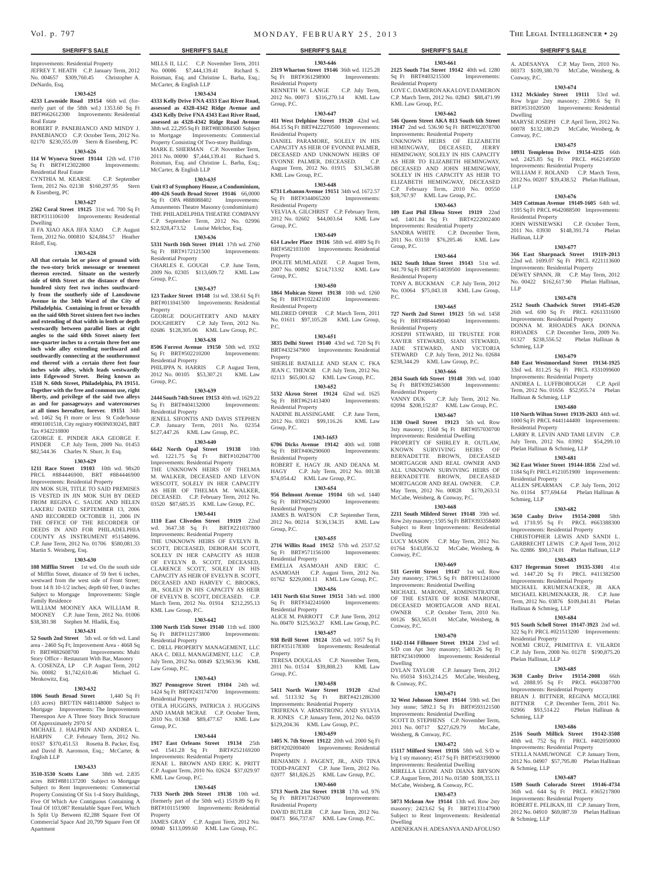Improvements: Residential Property JEFREY T. HEATH C.P. January Term, 2012 No. 004657 \$309,760.45 Christopher A. DeNardo, Esq.

### **1303-625**

**4233 Lawnside Road 19154** 66th wd. (formerly part of the 58th wd.) 1353.60 Sq Ft BRT#662612300 Improvements: Residential Real Estate ROBERT P. PANEBIANCO AND MINDY J.

PANEBIANCO C.P. October Term, 2012 No. 02170 \$230,555.09 Stern & Eisenberg, PC

# **1303-626**

**114 W Wyneva Street 19144** 12th wd. 1710 Sq Ft BRT#123022800 Improvements: Residential Real Estate CYNTHIA M. KEARSE C.P. September

Term, 2012 No. 02138 \$160,297.95 Stern & Eisenberg, PC

### **1303-627**

**2562 Coral Street 19125** 31st wd. 700 Sq Ft BRT#311106100 Improvements: Residential

Dwelling JI FA XIAO AKA JIFA XIAO C.P. August Term, 2012 No. 000810 \$24,884.57 Heather Riloff, Esq.

### **1303-628**

**All that certain lot or piece of ground with the two-story brick messuage or tenement thereon erected. Situate on the westerly side of 60th Street at the distance of three hundred sixty feet two inches southwardly from the southerly side of Lansdowne Avenue in the 34th Ward of the City of Philadelphia. Containing in front or breadth on the said 60th Street sixteen feet two inches and extending of that width in lenth or depth westwardly between parallel lines at right angles to the said 60th Street ninety feet one-quarter inches to a certain three feet one inch wide alley extending northward and southwardly connecting at the southernmost end thereof with a certain three feet four inches wide alley, which leads westwardly into Edgewood Street. Being known as 1518 N. 60th Street, Philadelphia, PA 19151. Together with the free and common use, right liberty, and privilege of the said two alleys as and for passageways and watercourses at all times hereafter, forever. 19151** 34th wd. 1462 Sq Ft more or less St Code/house #8901001518, City registry #069N030245, BRT Tax #342210800

GEORGE E. PINDER AKA GEORGE F. PINDER C.P. July Term, 2009 No. 01453 \$82,544.36 Charles N. Shurr, Jr. Esq.

### **1303-629**

**1211 Race Street 19103** 10th wd. 98x20 PRCL #884446900, BRT #884446900 Improvements: Residential Property

JIN MOK SUH, TITLE TO SAID PREMISES IS VESTED IN JIN MOK SUH BY DEED FROM REGINA C. SAUDE AND HELEN LAKERU DATED SEPTEMBER 13, 2006 AND RECORDED OCTOBER 11, 2006 IN THE OFFICE OF THE RECORDER OF DEEDS IN AND FOR PHILADELPHIA COUNTY AS INSTRUMENT #51548096. C.P. June Term, 2012 No. 01706 \$580,081.33 Martin S. Weisberg, Esq.

### **1303-630**

**108 Mifflin Street** 1st wd. On the south side of Mifflin Street, distance of 59 feet 6 inches, westward from the west side of Front Street; front 14 ft 10-1/2 inches; depth 60 feet, 0 inches Subject to Mortgage Improvements: Single Family Residence

WILLIAM MOONEY AKA WILLIAM R. MOONEY C.P. June Term, 2012 No. 01006 \$38,381.98 Stephen M. Hladik, Esq.

### **1303-631**

**52 South 2nd Street** 5th wd. or 6th wd. Land area - 2460 Sq Ft: Improvement Area - 4668 Sq Ft BRT#882608700 Improvements: Multi Story Office - Restaurant With Bar, Masonry A. COSENZA, LP C.P. August Term, 2012 No. 00082 \$1,742,610.46 Michael G. Menkowitz, Esq.

### **1303-632**

**1806 South Broad Street** 1,440 Sq Ft (.03 acres) BRT/TIN #481148000 Subject to Mortgage Improvements: The Improvements Thereupon Are A Three Story Brick Structure Of Approximately 2970 Sf

MICHAEL J. HALPRIN AND ANDREA L.<br>HARPIN C.P. February Term, 2012 No. C.P. February Term, 2012 No. 01637 \$370,451.53 Rosetta B. Packer, Esq. and David B. Aaronson, Esq.; McCarter, & English LLP

### **1303-633**

**3510-3530 Scotts Lane** 38th wd. 2.835 acres BRT#881137200 Subject to Mortgage Subject to Rent Improvements: Commercial Property Consisting Of Six 1-4 Story Buildings, Five Of Which Are Contiguous Containing A Total Of 103,087 Rentalable Squre Feet, Which Is Split Up Between 82,288 Square Feet Of Commercial Space And 20,799 Square Feet Of Apartment

MILLS II, LLC C.P. November Term, 2011 No. 00086 \$7,444,139.41 Richard S. Roisman, Esq. and Christine L. Barba, Esq.; McCarter, & English LLP

### **1303-634**

**4333 Kelly Drive FNA 4333 East River Road, assessed as 4328-4342 Ridge Avenue and 4343 Kelly Drive FNA 4343 East River Road, assessed as 4328-4342 Ridge Road Avenue**  38th wd. 22,295 Sq Ft BRT#883084500 Subject to Mortgage Improvements: Commercial Property Consisting Of Two-story Buildings MARK E. SHERMAN C.P. November Term, 2011 No. 00090 \$7,444,139.41 Richard S. Roisman, Esq. and Christine L. Barba, Esq.; McCarter, & English LLP

# **1303-635**

**Unit #3 of Symphony House, a Condominium, 400-426 South Broad Street 19146** 66,0000 Sq Ft OPA #888088402 Improvements: Amusements Theatre Masonry (condominium) THE PHILADELPHIA THEATRE COMPANY C.P. September Term, 2012 No. 02996 \$12,928,473.52 Louise Melchor, Esq.

### **1303-636**

**5331 North 16th Street 19141** 17th wd. 2760 Sq Ft BRT#172121500 Improvements: Residential Property CHARLES E. GOUGH C.P. June Term, 2009 No. 02305 \$113,609.72 KML Law Group, P.C.

### **1303-637**

**123 Tasker Street 19148** 1st wd. 338.61 Sq Ft BRT#011041500 Improvements: Residential Property GEORGE DOUGHTERTY AND MARY

DOUGHERTY C.P. July Term, 2012 No. 02686 \$128,305.06 KML Law Group, P.C. **1303-638**

**8506 Forrest Avenue 19150** 50th wd. 1932 Sq Ft BRT#502210200 Improvements:

Residential Property PHILIPPA N. HARRIS C.P. August Term, 2012 No. 00105 \$53,307.21 KML Law Group, P.C.

### **1303-639**

**2444 South 74th Street 19153** 40th wd. 1629.22 Sq Ft BRT#404132000 Improvements: Residential Property JENELL SIFONTIS AND DAVIS STEPHEN

C.P. January Term, 2011 No. 02354 \$127,447.26 KML Law Group, P.C. **1303-640**

**6642 North Opal Street 19138** 10th wd. 1221.75 Sq Ft BRT#102047700 Improvements: Residential Property THE UNKNOWN HEIRS OF THELMA M. WALKER, DECEASED AND LEVON

WESCOTT, SOLELY IN HER CAPACITY AS HEIR OF THELMA M. WALKER, DECEASED. C.P. February Term, 2012 No. 03520 \$87,685.35 KML Law Group, P.C.

**1303-641**

**1110 East Cliveden Street 19119** 22nd wd. 3647.38 Sq Ft BRT#221037800 Improvements: Residential Property THE UNKNOWN HEIRS OF EVELYN B SCOTT, DECEASED, DEBORAH SCOTT,

SOLELY IN HER CAPACITY AS HEIR OF EVELYN B. SCOTT, DECEASED, CLARENCE SCOTT, SOLELY IN HIS CAPACITY AS HEIR OF EVELYN B. SCOTT, DECEASED AND HARVEY C. BROOKS, JR., SOLELY IN HIS CAPACITY AS HEIR OF EVELYN B. SCOTT, DECEASED. C.P. March Term, 2012 No. 01914 \$212,295.13 KML Law Group, P.C.

### **1303-642**

**3300 North 15th Street 19140** 11th wd. 1800 Sq Ft BRT#112173800 Improvements: Residential Property

C. DELL PROPERTY MANAGEMENT, LLC AKA C. DELL MANAGEMENT, LLC C.P. July Term, 2012 No. 00849 \$23,963.96 KML Law Group, P.C. **1303-643**

**3927 Pennsgrove Street 19104** 24th wd. 1424 Sq Ft BRT#243174700 Improvements: Residential Property OTILA HUGGINS, PATRICIA J. HUGGINS AND JAMAR MCRAE C.P. October Term, 2010 No. 01368 \$89,477.67 KML Law Group, P.C.

# **1303-644**

**1917 East Orleans Street 19134** 25th wd. 1541.28 Sq Ft BRT#252169200 Improvements: Residential Property JENAE L. BROWN AND ERIC K. PRITT C.P. August Term, 2010 No. 02624 \$37,029.97 KML Law Group, P.C.

### **1303-645**

**7133 North 20th Street 19138** 10th wd. (formerly part of the 50th wd.) 1519.89 Sq Ft BRT#101151900 Improvements: Residential Property

JAMES GRAY C.P. August Term, 2012 No. 00940 \$113,099.60 KML Law Group, P.C.

**1303-646 2319 Wharton Street 19146** 36th wd. 1125.28 Sq Ft BRT#361298900 Improvements: Residential Property KENNETH W. LANGE C.P. July Term,

2012 No. 00073 \$316,270.14 KML Law Group, P.C. **1303-647**

**411 West Delphine Street 19120** 42nd wd. 864.15 Sq Ft BRT#422270500 Improvements: Residential Property DANIEL PARAMORE, SOLELY IN HIS CAPACITY AS HEIR OF EVONNE PALMER, DECEASED AND UNKNOWN HEIRS OF EVONNE PALMER, DECEASED. C.P. August Term, 2012 No. 01915 \$31,345.88

### **1303-648**

KML Law Group, P.C.

**6731 Lebanon Avenue 19151** 34th wd. 1672.57 Sq Ft BRT#344065200 Improvements: Residential Property VELVIA A. GILCHRIST C.P. February Term,

2012 No. 02602 \$44,003.64 KML Law Group, P.C.

# **1303-649**

**614 Lawler Place 19116** 58th wd. 4089 Sq Ft BRT#582103100 Improvements: Residential Property IPOLITE MUMLADZE C.P. August Term,

2007 No. 00892 \$214,713.92 KML Law Group, P.C. **1303-650**

**1864 Mohican Street 19138** 10th wd. 1260<br>Sq Ft BRT#102242100 Improvements: Sq Ft BRT#102242100 Residential Property MILDRED OPHER C.P. March Term, 2011

No. 01611 \$97,105.28 KML Law Group, P.C. **1303-651**

### **3835 Delhi Street 19140** 43rd wd. 720 Sq Ft

BRT#432347900 Improvements: Residential Property SHERLIE BATAILLE AND SEAN C. FKA

JEAN C. THENOR C.P. July Term, 2012 No. 02113 \$65,001.62 KML Law Group, P.C. **1303-652**

**5132 Akron Street 19124** 62nd wd. 1625 Sq Ft BRT#621413400 Improvements: Residential Property NADINE BLASSINGAME C.P. June Term, 2012 No. 03021 \$99,116.26 KML Law Group, P.C.

### **1303-1653**

**6706 Dicks Avenue 19142** 40th wd. 1088 Sq Ft BRT#406290600 Improvements: Residential Property ROBERT E. HAGY JR. AND DEANA M. HAGY C.P. July Term, 2012 No. 00138 \$74,054.42 KML Law Group, P.C.

### **1303-654**

**956 Belmont Avenue 19104** 6th wd. 1440 Sq Ft BRT#062342000 Improvements: Residential Property

JAMES B. WATSON C.P. September Term, 2012 No. 00214 \$136,134.35 KML Law Group, P.C.

### **1303-655**

**2716 Willits Road 19152** 57th wd. 2537.52 Sq Ft BRT#571156100 Residential Property

EMELIA ASAMOAH AND ERIC C. ASAMOAH C.P. August Term, 2012 No. 01762 \$229,000.11 KML Law Group, P.C. **1303-656**

**1431 North 61st Street 19151** 34th wd. 1800<br>
Sq Ft BRT#342241600 Improvements: Sq Ft BRT#342241600 Residential Property ALICE M. PARROTT C.P. June Term, 2012 No. 00470 \$125,563.27 KML Law Group, P.C.

### **1303-657**

**938 Brill Street 19124** 35th wd. 1057 Sq Ft BRT#351178300 Improvements: Residential Property TERESA DOUGLAS C.P. November Term,

2011 No. 01514 \$39,808.23 KML Law Group, P.C.

# **1303-658**

**5411 North Water Street 19120** 42nd wd. 5113.92 Sq Ft BRT#421286300 Improvements: Residential Property TRIFRENA V. ARMSTRONG AND SYLVIA R. JONES C.P. January Term, 2012 No. 04559 \$129,204.36 KML Law Group, P.C.

### **1303-659**

**1405 N. 7th Street 19122** 20th wd. 2000 Sq Ft BRT#202000400 Improvements: Residential **Property** 

BENJAMIN J. PAGENT, JR., AND TINA TODD-PAGENT C.P. June Term, 2012 No. 02077 \$81,826.25 KML Law Group, P.C.

### **1303-660**

**5713 North 21st Street 19138** 17th wd. 976 Sq Ft BRT#172437600 Improvements: Residential Property DAVID BUTLER C.P. June Term, 2012 No. 00473 \$66,737.67 KML Law Group, P.C.

A. ADESANYA C.P. May Term, 2010 No. 00373 \$109,380.70 McCabe, Weisberg, &

**1303-674 1312 Mckinley Street 19111** 53rd wd. Row b/gar 2sty masonry; 2390.6 Sq Ft BRT#531020500 Improvements: Residential

MARYSE JOSEPH C.P. April Term, 2012 No. 00078 \$132,180.29 McCabe, Weisberg, &

**1303-675 10931 Templeton Drive 19154-4235** 66th wd. 2425.85 Sq Ft PRCL #662149500 Improvements: Residential Property WILLIAM F. ROLAND C.P. March Term, 2012 No. 00207 \$39,438.52 Phelan Hallinan,

**1303-676 3419 Cottman Avenue 19149-1605** 64th wd. 1595 Sq Ft PRCL #642088500 Improvements:

2011 No. 03930 \$148,391.74 Phelan

**1303-677 366 East Sharpnack Street 19119-2013**  22nd wd. 1699.07 Sq Ft PRCL #221113600 Improvements: Residential Property DEWEY SPANN, JR C.P. May Term, 2012 No. 00422 \$162,617.90 Phelan Hallinan,

**1303-678 2512 South Chadwick Street 19145-4520**  26th wd. 690 Sq Ft PRCL #261331600 Improvements: Residential Property DONNA M. RHOADES AKA DONNA RHOADES C.P. December Term, 2009 No. 01327 \$238,556.52 Phelan Hallinan &

**1303-679 840 East Westmoreland Street 19134-1925**  33rd wd. 811.25 Sq Ft PRCL #331099600 Improvements: Residential Property ANDREA L. LUFFBOROUGH C.P. April Term, 2012 No. 01656 \$52,955.74 Phelan

**1303-680 110 North Wilton Street 19139-2633** 44th wd. 1000 Sq Ft PRCL #441144400 Improvements:

LARRY R. LEVIN AND TAMI LEVIN C.P. July Term, 2012 No. 03992 \$54,299.10

**1303-681 362 East Wister Street 19144-1856** 22nd wd. 1184 Sq Ft PRCL #121051900 Improvements:

ALLEN SPEARMAN C.P. July Term, 2012 No. 01164 \$77,694.64 Phelan Hallinan &

**1303-682 3650 Canby Drive 19154-2008** 58th wd. 1710.95 Sq Ft PRCL #663388300 Improvements: Residential Property CHRISTOPHER LEWIS AND SANDI L. GARBRECHT LEWIS C.P. April Term, 2012 No. 02886 \$90,174.01 Phelan Hallinan, LLP **1303-683 6317 Hegerman Street 19135-3301** 41st wd. 1447.20 Sq Ft PRCL #411382500 Improvements: Residential Property MICHAEL KRUMENACKER, JR AKA MICHAEL KRUMENAKER, JR. C.P. June Term, 2012 No. 03876 \$109,841.81 Phelan

**1303-684 915 South Schell Street 19147-3923** 2nd wd. 322 Sq Ft PRCL #021513200 Improvements:

NOEMI CRUZ, PRIMITIVA E. VILARDI C.P. July Term, 2008 No. 01278 \$190,875.20

**1303-685 3638 Canby Drive 19154-2008** 66th wd. 2888.95 Sq Ft PRCL #663387700 Improvements: Residential Property BRIAN J. BITTNER, REGINA MCGUIRE BITTNER C.P. December Term, 2011 No.<br>02966 \$93,514.22 Phelan Hallinan &

**1303-686 2516 South Millick Street 19142-3508**  40th wd. 752 Sq Ft PRCL #402050000 Improvements: Residential Property STELLA NAMUWONGE C.P. January Term, 2012 No. 04907 \$57,795.80 Phelan Hallinan

**1303-687 1509 South Colorado Street 19146-4734**  36th wd. 644 Sq Ft PRCL #365217800 Improvements: Residential Property ROBERT E. PELIKAN, III C.P. January Term, 2012 No. 04910 \$69,087.59 Phelan Hallinan

C.P. October Term,

Conway, P.C.

Dwelling

LLP

LLP

Conway, P.C.

Residential Property<br>JOHN WISNIEWSKI

Hallinan, LLP

Schmieg, LLP

Hallinan & Schmieg, LLP

Phelan Hallinan & Schmieg, LLP

Residential Property

Residential Property

Hallinan & Schmieg, LLP

Residential Property

Phelan Hallinan, LLP

02966 \$93,514.22 Schmieg, LLP

& Schmieg, LLP

& Schmieg, LLP

Schmieg, LLP

### **1303-661 2125 South 71st Street 19142** 40th wd. 1280 Sq Ft BRT#403215500 Improvements: Residential Property

LOVE C. DAMERON AKA LOVE DAMERON C.P. March Term, 2012 No. 02843 \$88,471.99 KML Law Group, P.C.

# **1303-662**

**546 Queen Street AKA 813 South 6th Street 19147** 2nd wd. 536.90 Sq Ft BRT#022078700 Improvements: Residential Property UNKNOWN HEIRS OF ELIZABETH HEMINGWAY, DECEASED, JERRY HEMINGWAY, SOLELY IN HIS CAPACITY AS HEIR TO ELIZABETH HEMINGWAY, DECEASED AND JOHN HEMINGWAY, SOLELY IN HIS CAPACITY AS HEIR TO ELIZABETH HEMINGWAY, DECEASED C.P. February Term, 2010 No. 00550 \$18,767.97 KML Law Group, P.C.

### **1303-663 109 East Phil Ellena Street 19119** 22nd wd. 1401.84 Sq Ft BRT#222002400

**1303-664 1632 South Ithan Street 19143** 51st wd. 941.70 Sq Ft BRT#514039500 Improvements:

TONY A. BUCKMAN C.P. July Term, 2012 No. 03064 \$75,043.18 KML Law Group,

**1303-665 727 North 2nd Street 19123** 5th wd. 1458

JOSEPH STEWARD, III TRUSTEE FOR XAVIER STEWARD, SIANI STEWARD, JADE STEWARD, AND VICTORIA STEWARD C.P. July Term, 2012 No. 02684 \$238,344.29 KML Law Group, P.C. **1303-666 2034 South 6th Street 19148** 39th wd. 1040 Sq Ft BRT#392346500 Improvements:

VANNY DUK C.P. July Term, 2012 No. 02094 \$208,152.87 KML Law Group, P.C. **1303-667 1130 Oneil Street 19123** 5th wd. Row 3sty masonry; 1568 Sq Ft BRT#057030700 Improvements: Residential Dwelling PROPERTY OF SHIRLEY R. OUTLAW, KNOWN SURVIVING HEIRS OF BERNADETTE BROWN, DECEASED MORTGAGOR AND REAL OWNER AND ALL UNKNOWN SURVIVING HEIRS OF BERNADETTE BROWN, DECEASED MORTGAGOR AND REAL OWNER. C.P. May Term, 2012 No. 00828 \$170,263.51 McCabe, Weisberg, & Conway, P.C. **1303-668 2211 South Mildred Street 19148** 39th wd. Row 2sty masonry; 1505 Sq Ft BRT#393358400 Subject to Rent Improvements: Residential

LUCY MASON C.P. May Term, 2012 No. 01764 \$143,856.32 McCabe, Weisberg, &

**1303-669 511 Gerritt Street 19147** 1st wd. Row 2sty masonry; 1796.5 Sq Ft BRT#011241000 Improvements: Residential Dwelling MICHAEL MARONE, ADMINISTRATOR OF THE ESTATE OF ROSE MARONE, DECEASED MORTGAGOR AND REAL OWNER C.P. October Term, 2010 No. 00126 \$63,565.01 McCabe, Weisberg, &

**1303-670 1142-1144 Fillmore Street 19124** 23rd wd. S/D con Apt 3sty masonry; 5403.26 Sq Ft BRT#234109000 Improvements: Residential

DYLAN TAYLOR C.P. January Term, 2012 No. 05034 \$163,214.25 McCabe, Weisberg,

**1303-671 32 West Johnson Street 19144** 59th wd. Det 3sty stone; 5892.1 Sq Ft BRT#593121500 Improvements: Residential Dwelling SCOTT D. STEPHENS C.P. November Term, 2011 No. 00717 \$227,629.79 McCabe,

**1303-672 15117 Milford Street 19116** 58th wd. S/D w b/g 1 sty masonry; 4517 Sq Ft BRT#583190900 Improvements: Residential Dwelling MIRELLA LEONE AND DIANA BRYSON C.P. August Term, 2011 No. 01580 \$108,355.11 McCabe, Weisberg, & Conway, P.C. **1303-673 5073 Mckean Ave 19144** 13th wd. Row 2sty masonry; 2423.62 Sq Ft BRT#133147900 Subject to Rent Improvements: Residential

ADENEKAN H. ADESANYA AND AFOLUSO

Improvements: Residential Property SANDRA WHITE C.P. December Term, 2011 No. 03159 \$76,205.46 KML Law

Group, P.C.

P.C.

Residential Property

Sq Ft BRT#884449040 Residential Property

Residential Property

Dwelling

Conway, P.C.

Conway, P.C.

Dwelling

Dwelling

& Conway, P.C.

Weisberg, & Conway, P.C.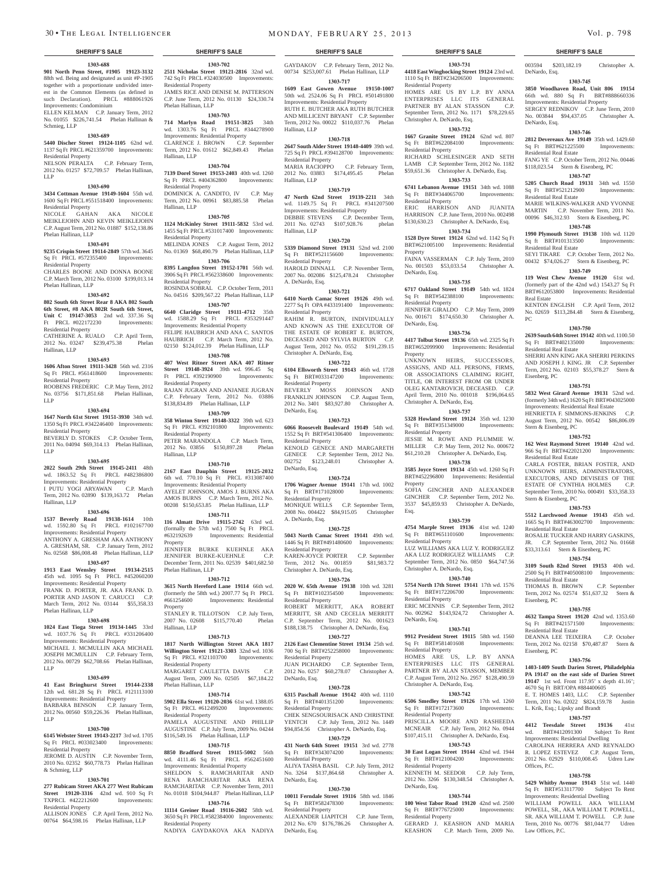### **1303-688**

**901 North Penn Street, #1905 19123-3132 2511 Nicholas Street 19121-2816** 32nd wd. 88th wd. Being and designated as unit #P-1905 together with a proportionate undivided interest in the Common Elements (as defined in such Declaration). PRCL #888061926 Improvements: Condominium ELLEN KELMAN C.P. January Term, 2012

No. 01055 \$226,741.54 Phelan Hallinan & Schmieg, LLP

# **1303-689**

**5440 Discher Street 19124-1105** 62nd wd. 1137 Sq Ft PRCL #621359700 Improvements: Residential Property

NELSON PERALTA C.P. February Term, 2012 No. 01257 \$72,709.57 Phelan Hallinan, LLP

### **1303-690**

**3434 Cottman Avenue 19149-1604** 55th wd. 1600 Sq Ft PRCL #551518400 Improvements: Residential Property NICOLE GAHAN AKA NICOLE

MEIKLEJOHN AND KEVIN MEIKLEJOHN C.P. August Term, 2012 No. 01887 \$152,138.86 Phelan Hallinan, LLP

### **1303-691**

**9235 Crispin Street 19114-2849** 57th wd. 3645 Sq Ft PRCL #572355400 Improvements: Residential Property CHARLES BOONE AND DONNA BOONE

C.P. March Term, 2012 No. 03100 \$199,013.14 Phelan Hallinan, LLP

# **1303-692**

**802 South 6th Street Rear 8 AKA 802 South 6th Street, #8 AKA 802R South 6th Street, Unit C 19147-3053** 2nd wd. 337.36 Sq Ft PRCL #022172230 Improvements: Residential Property

CATHERINE A. RUALO C.P. April Term,<br>2012 No. 03247 \$239.475.38 Phelan 2012 No. 03247 \$239,475.38 Hallinan, LLP

### **1303-693**

**1606 Afton Street 19111-3428** 56th wd. 2316 Sq Ft PRCL #561418600 Improvements:

Residential Property ROOBENS FREDERIC C.P. May Term, 2012 No. 03756 \$171,851.68 Phelan Hallinan,

LLP **1303-694**

**1647 North 61st Street 19151-3930** 34th wd. 1350 Sq Ft PRCL #342246400 Improvements: Residential Property

BEVERLY D. STOKES C.P. October Term, 2011 No. 04094 \$69,314.13 Phelan Hallinan, LLP

### **1303-695**

**2022 South 29th Street 19145-2411** 48th wd. 1863.52 Sq Ft PRCL #482386800 Improvements: Residential Property I PUTU YOGI ARYAWAN C.P. March Term, 2012 No. 02890 \$139,163.72 Phelan Hallinan, LLP

### **1303-696**

**1537 Beverly Road 19138-1614** 10th wd. 1592.80 Sq Ft PRCL #102167700 Improvements: Residential Property ANTHONY A. GRESHAM AKA ANTHONY A. GRESHAM, SR. C.P. January Term, 2012 No. 02568 \$86,008.48 Phelan Hallinan, LLP

**1303-697 1913 East Wensley Street 19134-2515**  45th wd. 1095 Sq Ft PRCL #452060200 Improvements: Residential Property FRANK D. PORTER, JR. AKA FRANK D. PORTER AND JASON T. CARUCCI C.P. March Term, 2012 No. 03144 \$55,358,33 Phelan Hallinan, LLP

### **1303-698**

**1024 East Tioga Street 19134-1445** 33rd wd. 1037.76 Sq Ft PRCL #331206400 Improvements: Residential Property MICHAEL J. MCMULLIN AKA MICHAEL JOSEPH MCMULLIN C.P. February Term, 2012 No. 00729 \$62,708.66 Phelan Hallinan, LLP

### **1303-699**

**41 East Bringhurst Street 19144-2338**  12th wd. 681.28 Sq Ft PRCL #121113100 Improvements: Residential Property BARBARA BENSON C.P. January Term, 2012 No. 00560 \$59,226.36 Phelan Hallinan, LLP

### **1303-700**

**6145 Webster Street 19143-2217** 3rd wd. 1705 Sq Ft PRCL #033023400 Improvements: Residential Property JEROME D. AUSTIN C.P. November Term, 2010 No. 02352 \$60,778.73 Phelan Hallinan

### & Schmieg, LLP **1303-701**

**277 Rubicam Street AKA 277 West Rubicam Street 19120-3316** 42nd wd. 910 Sq Ft TXPRCL #422212600 Improvements: Residential Property

ALLISON JONES C.P. April Term, 2012 No. 00764 \$64,598.16 Phelan Hallinan, LLP

**1303-702** 742 Sq Ft PRCL #324030500 Improvements:

JAMES RICE AND DENISE M. PATTERSON C.P. June Term, 2012 No. 01130 \$24,330.74

**1303-703 714 Marlyn Road 19151-3825** 34th wd. 1303.76 Sq Ft PRCL #344278900 Improvements: Residential Property CLARENCE J. BROWN C.P. September Term, 2012 No. 01612 \$62,849.43 Phelan

**1303-704 7139 Dorel Street 19153-2403** 40th wd. 1260 Sq Ft PRCL #404362800 Improvements:

DOMINICK A. CANDITO, IV C.P. May Term, 2012 No. 00961 \$83,885.58 Phelan

**1303-705 1124 McKinley Street 19111-5832** 53rd wd. 1455 Sq Ft PRCL #531017400 Improvements:

MELINDA JONES C.P. August Term, 2012 No. 01369 \$68,490.79 Phelan Hallinan, LLP **1303-706 8395 Langdon Street 19152-1701** 56th wd. 3906 Sq Ft PRCL #562338600 Improvements:

ROSINDA SOBRAL C.P. October Term, 2011 No. 04516 \$209,567.22 Phelan Hallinan, LLP **1303-707 6640 Claridge Street 19111-4712** 35th wd. 1588.29 Sq Ft PRCL #353291447 Improvements: Residential Property FELIPE HAUBRICH AND ANA C. SANTOS HAUBRICH C.P. March Term, 2012 No. 02150 \$124,012.39 Phelan Hallinan, LLP **1303-708 407 West Ritner Street AKA 407 Ritner Street 19148-3924** 39th wd. 996.45 Sq Ft PRCL #392190900 Improvements:

RAJAN JUGRAN AND ANJANEE JUGRAN C.P. February Term, 2012 No. 03886 \$138,834.89 Phelan Hallinan, LLP **1303-709 358 Winton Street 19148-3322** 39th wd. 623 Sq Ft PRCL #392101800 Improvements:

PETER MARANDOLA C.P. March Term,<br>2012 No. 03856 \$150.897.28 Phelan 2012 No. 03856 \$150,897.28

**1303-710 2167 East Dauphin Street 19125-2032**  6th wd. 770.10 Sq Ft PRCL #313087400 Improvements: Residential Property AYELET JOHNSON, AMOS J. BURNS AKA AMOS BURNS C.P. March Term, 2012 No. 00208 \$150,653.85 Phelan Hallinan, LLP **1303-711 116 Almatt Drive 19115-2742** 63rd wd. (formally the 57th wd.) 7500 Sq Ft PRCL<br>#632192639 Improvements: Residential

JENNIFER BURKE KUEHNLE AKA JENNIFER BURKE-KUEHNLE C.P. December Term, 2011 No. 02539 \$401,682.50

**1303-712 3615 North Hereford Lane 19114** 66th wd. (formerly the 58th wd.) 2007.77 Sq Ft PRCL #661254600 Improvements: Residential

STANLEY R. TILLOTSON C.P. July Term, 2007 No. 02608 \$115,770.40 Phelan

**1303-713 1817 North Willington Street AKA 1817 Willington Street 19121-3303** 32nd wd. 1036 Sq Ft PRCL #321103700 Improvements:

MARGARET CAULETTA DAVIS C.P. August Term, 2009 No. 02505 \$67,184.22

**1303-714 5902 Ella Street 19120-2036** 61st wd. 1388.05 Sq Ft PRCL #612499200 Improvements:

PAMELA AUGUSTINE AND PHILLIP<br>AUGUSTINE C.P. July Term, 2009 No. 04244

NADIYA GAYDAKOVA AKA NADIYA

\$116,549.16 Phelan Hallinan, LLP **1303-715 8850 Bradford Street 19115-5002** 56th wd. 4111.46 Sq Ft PRCL #562451600 Improvements: Residential Property SHELDON S. RAMCHARITAR AND RENA RAMCHARITAR AKA RENA RAMCHARITAR C.P. November Term, 2011 No. 01018 \$104,944.87 Phelan Hallinan, LLP **1303-716 11114 Greiner Road 19116-2602** 58th wd. 3650 Sq Ft PRCL #582384000 Improvements:

C.P. July Term, 2009 No. 04244

Improvements: Residential

Residential Property

Phelan Hallinan, LLP

Hallinan, LLP

Hallinan, LLP

Residential Property

Residential Property

Residential Property

Residential Property

Residential Property

Hallinan, LLP

Property

Property

Hallinan, LLP

Residential Property

Phelan Hallinan, LLP

Residential Property

Residential Property

Phelan Hallinan, LLP

GAYDAKOV C.P. February Term, 2012 No. 00734 \$253,007.61 Phelan Hallinan, LLP **1303-717**

**1609 East Gowen Avenue 19150-1007**  50th wd. 2524.06 Sq Ft PRCL #501491800 Improvements: Residential Property

RUTH E. BUTCHER AKA RUTH BUTCHER AND MILLICENT BRYANT C.P. September Term, 2012 No. 00022 \$110,037.76 Phelan Hallinan, LLP

# **1303-718**

**2647 South Alder Street 19148-4409** 39th wd. 725 Sq Ft PRCL #394128700 Improvements: Residential Property MARIA RACIOPPO C.P. February Term,

2012 No. 03883 \$174,495.45 Phelan Hallinan, LLP **1303-719**

**47 North 62nd Street 19139-2211** 34th wd. 1149.75 Sq Ft PRCL #341207500 Improvements: Residential Property DEBBIE STEVENS C.P. December Term,<br>2011 No. 02743 \$107,928.76 phelan 2011 No. 02743 \$107,928.76 Hallinan, LLP

### **1303-720**

**5339 Diamond Street 19131** 52nd wd. 2100 Sq Ft BRT#521156600 Improvements: Residential Property HAROLD DINNALL C.P. November Term, 2007 No. 002086 \$125,478.24 Christopher A. DeNardo, Esq.

### **1303-721**

**6410 North Camac Street 19126** 49th wd. 2277 Sq Ft OPA #433191400 Improvements: Residential Property RAHIM R. BURTON, INDIVIDUALLY AND KNOWN AS THE EXECUTOR OF THE ESTATE OF ROBERT E. BURTON, DECEASED AND SYLVIA BURTON C.P. August Term, 2012 No. 0552 \$191,239.15 Christopher A. DeNardo, Esq.

**1303-722 6104 Ellsworth Street 19143** 46th wd. 1728 Sq Ft BRT#033147200 Improvements: Residential Property

BEVERLY MOSS JOHNSON AND FRANKLIN JOHNSON C.P. August Term, 2012 No. 3401 \$83,927.80 Christopher A. DeNardo, Esq.

### **1303-723**

**6066 Roosevelt Boulevard 19149** 54th wd. 1552 Sq Ft BRT#541306400 Improvements: Residential Property KENOLD GENECE AND MARGARETH GENECE C.P. September Term, 2012 No.<br>002752 \$123.248.01 Christopher A. 002752 \$123,248.01 DeNardo, Esq.

### **1303-724**

**1706 Wagner Avenue 19141** 17th wd. 1002 Sq Ft BRT#171028000 Improvements: Residential Property MONIQUE WELLS C.P. September Term, 2008 No. 004422 \$84,915.05 Christopher A. DeNardo, Esq.

### **1303-725**

**5043 North Camac Street 19141** 49th wd. 1446 Sq Ft BRT#491480600 Improvements: Residential Property KAREN-JOYCE PORTER C.P. September Term, 2012 No. 001859 \$81,983.72

Christopher A. DeNardo, Esq. **1303-726 2020 W. 65th Avenue 19138** 10th wd. 3281

Sq Ft BRT#102354500 Improvements: Residential Property ROBERT MERRITT, AKA ROBERT MERRITT, SR AND CECELIA MERRITT C.P. September Term, 2012 No. 001623 \$188,138.75 Christopher A. DeNardo, Esq.

**1303-727 2126 East Clementine Street 19134** 25th wd. 700 Sq Ft BRT#252258000 Improvements:

Residential Property JUAN PICHARDO C.P. September Term, 2012 No. 0257 \$60,278.07 Christopher A. DeNardo, Esq.

### **1303-728**

**6315 Paschall Avenue 19142** 40th wd. 1110 Sq Ft BRT#401351200 Improvements: Residential Property CHEK SENGSOURISACK AND CHRISTINE YENTCH C.P. July Term, 2012 No. 1449<br>\$94,854.56 Christopher A. DeNardo, Esq. Christopher A. DeNardo, Esq.

# **1303-729**

**431 North 64th Street 19151** 3rd wd. 2778 Sq Ft BRT#343074200 Improvements: Residential Property ALIYA TASHA BASIL C.P. July Term, 2012 No. 3264 \$137,864.68 Christopher A.

### **1303-730**

DeNardo, Esq.

**10011 Ferndale Street 19116** 58th wd. 1846<br>Sq. Ft. BRT#582478300 Improvements: Improvements: Residential Property ALEXANDER LIAPITCH C.P. June Term,

2012 No. 670 \$176,786.26 Christopher A. DeNardo, Esq.

### **SHERIFF'S SALE SHERIFF'S SALE SHERIFF'S SALE SHERIFF'S SALE SHERIFF'S SALE**

003594 \$203,182.19 Christopher A.

**1303-745 3850 Woodhaven Road, Unit 806 19154**  66th wd. 880 Sq Ft BRT#888660336 Improvements: Residential Property SERGEY REDNIKOV C.P. June Term, 2010 No. 003844 \$94,437.05 Christopher A.

**1303-746 2812 Devereaux Ave 19149** 35th wd. 1429.60<br>Sq Ft BRT#621225500 Improvements:

FANG YE C.P. October Term, 2012 No. 00446 \$118,023.54 Stern & Eisenberg, PC **1303-747 5205 Church Road 19131** 34th wd. 1550<br>
Sq Ft BRT#521212900 Improvements:

MARIE WILKINS-WALKER AND YVONNE MARTIN C.P. November Term, 2011 No. 00096 \$46,312.93 Stern & Eisenberg, PC **1303-748 1990 Plymouth Street 19138** 10th wd. 1120 Sq ft BRT#101313500 Improvements:

SEYI TIKARE C.P. October Term, 2012 No. 00432 \$74,026.27 Stern & Eisenberg, PC **1303-749 119 West Chew Avenue 19120** 61st wd. (formerly part of the 42nd wd.) 1543.27 Sq Ft BRT#612053800 Improvements: Residential

KENTON ENGLISH C.P. April Term, 2012 No. 02659 \$113,284.48 Stern & Eisenberg,

**1303-750 2639 South 64th Street 19142** 40th wd. 1100.50 Sq Ft BRT#402135000 Improvements:

SHERRI ANN KING AKA SHERRI PERKINS AND JOSEPH J. KING. JR C.P. September Term, 2012 No. 02103 \$55,378.27 Stern &

**1303-751 5832 West Girard Avenue 19131** 52nd wd. (formerly 34th wd.) 1620 Sq Ft BRT#043025000 Improvements: Residential Real Estate HENRIETTA F. SIMMONS-JENKINS C.P. August Term, 2012 No. 00542 \$86,806.09

**1303-752 162 West Raymond Street 19140** 42nd wd. 966 Sq Ft BRT#422021200 Improvements:

CARLA FOSTER, BRIAN FOSTER, AND UNKNOWN HEIRS, ADMINISTRATORS, EXECUTORS, AND DEVISEES OF THE ESTATE OF CYNTHIA HOLMES C.P. September Term, 2010 No. 000491 \$33,358.33

**1303-753 5512 Larchwood Avenue 19143** 45th wd. 1665 Sq Ft BRT#463002700 Improvements:

ROSALIE TUCKER AND HARRY GASKINS, JR. C.P. September Term, 2012 No. 01668 \$33,313.61 Stern & Eisenberg, PC **1303-754 3109 South 82nd Street 19153** 40th wd. 2500 Sq Ft BRT#405008100 Improvements:

THOMAS B. BROWN C.P. September Term, 2012 No. 02574 \$51,637.32 Stern &

**1303-755 4632 Tampa Street 19120** 42nd wd. 1353.60 Sq Ft BRT#421571500 Improvements:

DEANNA LEE TEIXEIRA C.P. October Term, 2012 No. 02158 \$70,487.87 Stern &

**1303-756 1403-1409 South Darien Street, Philadelphia PA 19147 on the east side of Darien Street 19147** 1st wd. Front 117.95' x depth 41.16';

**1303-757 4412 Teesdale Street 19136** 41st wd. BRT#412091300 Subject To Rent Improvements: Residential Dwelling CAROLINA HERRERA AND REYNALDO R. LOPEZ ESTEVEZ C.P. August Term, 2012 No. 02929 \$110,008.45 Udren Law

**1303-758 5429 Whitby Avenue 19143** 51st wd. 1440 Sq Ft BRT#513117700 Subject To Rent Improvements: Residential Dwelling WILLIAM POWELL AKA WILLIAM POWELL, SR., AKA WILLIAM T. POWELL, SR. AKA WILLIAM T. POWELL C.P. June Term, 2010 No. 00776 \$81,044.77 Udren

4670 Sq Ft BRT/OPA #884400605 E. T. HOMES 1403, LLC C.P. September Term, 2011 No. 02022 \$824,159.78 Justin

L. Krik, Esq.; Lipsky and Brandt

DeNardo, Esq.

DeNardo, Esq.

Sq Ft BRT#621225500 Residential Real Estate

Sq Ft BRT#521212900 Residential Real Estate

Residential Real Estate

Residential Real Estate

Stern & Eisenberg, PC

Residential Real Estate

Stern & Eisenberg, PC

Residential Real Estate

Residential Real Estate

Residential Real Estate

Eisenberg, PC

Eisenberg, PC

Offices, P.C.

Law Offices, P.C.

Eisenberg, PC

Real Estate

PC

**1303-731 4418 East Winghocking Street 19124** 23rd wd. 1110 Sq Ft BRT#234206500 Improvements: Residential Property HOMES ARE US BY L.P. BY ANNA ENTERPRISES LLC ITS GENERAL PARTNER BY ALAN STASSON C.P. September Term, 2012 No. 1171 \$78,229.65 Christopher A. DeNardo, Esq.

### **1303-732**

**1667 Granite Street 19124** 62nd wd. 807<br>Sq Ft BRT#622084100 Improvements: Sq Ft BRT#622084100 Residential Property

RICHARD SCHLESINGER AND SETH LAMB C.P. September Term, 2012 No. 1182 \$59,651.36 Christopher A. DeNardo, Esq.

### **1303-733 6741 Lebanon Avenue 19151** 34th wd. 1088

Sq Ft BRT#344065700 Improvements: Residential Property ERIC HARRISON AND JUANITA

HARRISON C.P. June Term, 2010 No. 002498 \$130,630.23 Christopher A. DeNardo, Esq.

### **1303-734 1528 Dyre Street 19124** 62nd wd. 1142 Sq Ft

BRT#621005100 Improvements: Residential Property

FAINA VASSERMAN C.P. July Term, 2010 No. 001503 \$53,033.54 Christopher A. DeNardo, Esq.

### **1303-735**

**6717 Oakland Street 19149** 54th wd. 1824 Sq Ft BRT#542388100 Improvements: Residential Property JENNIFER GIRALDO C.P. May Term, 2009

No. 001671 \$174,650.30 Christopher A. DeNardo, Esq. **1303-736**

# **4417 Tolbut Street 19136** 65th wd. 2325 Sq Ft

BRT#652099900 Improvements: Residential Property UNKNOWN HEIRS, SUCCESSORS,

ASSIGNS, AND ALL PERSONS, FIRMS, OR ASSOCIATIONS CLAIMING RIGHT, TITLE, OR INTEREST FROM OR UNDER OLEG KANTAROVICH, DECEASED. C.P. April Term, 2010 No. 001018 \$196,064.65 Christopher A. DeNardo, Esq.

# **1303-737**

**5328 Howland Street 19124** 35th wd. 1230 Sq Ft BRT#351349000 Improvements: Residential Property

JESSIE M. ROWE AND PLUMMIE W. MILLER C.P. May Term, 2012 No. 000672 \$61,210.28 Christopher A. DeNardo, Esq. **1303-738**

# **3585 Joyce Street 19134** 45th wd. 1260 Sq Ft

BRT#452296800 Improvements: Residential Property SOFIA GINCHER AND ALEXANDER GINCHER C.P. September Term, 2012 No.

3537 \$45,859.93 Christopher A. DeNardo, Esq. **1303-739**

**4754 Marple Street 19136** 41st wd. 1240 Sq Ft BRT#651101600 Improvements: Residential Property LUZ WILLIAMS AKA LUZ Y. RODRIGUEZ AKA LUZ RODRIGUEZ WILLIAMS C.P. September Term, 2012 No. 0850 \$64,747.56 Christopher A. DeNardo, Esq. **1303-740**

### **5754 North 17th Street 19141** 17th wd. 1576<br>
Sq Ft BRT#172206700 Improvements: Sq Ft BRT#172206700

Residential Property ERIC MCENNIS C.P. September Term, 2012 No. 002962 \$143,924,72 Christopher A. DeNardo, Esq.

### **1303-741**

**9912 President Street 19115** 58th wd. 1560 Sq Ft BRT#581401608 Improvements: Residential Property HOMES ARE US, L.P. BY ANNA ENTERPRISES LLC ITS GENERAL

PARTNER BY ALAN STASSON, MEMBER C.P. August Term, 2012 No. 2957 \$128,490.59

**1303-742 6506 Smedley Street 19126** 17th wd. 1260 Sq Ft BRT#172173600 Improvements:

PRISCILLA MOORE AND RASHEEDA MCNEAIR C.P. July Term, 2012 No. \$107,415.11 Christopher A. DeNardo, Esq. **1303-743 30 East Logan Street 19144** 42nd wd. 1944 Sq Ft BRT#121004200 Improvements:

KENNETH M. SEEDOR C.P. July Term, 2012 No. 3266 \$130,348.54 Christopher A.

**1303-744 100 West Tabor Road 19120** 42nd wd. 2500 Sq Ft BRT#776725000 Improvements:

GERARD J. KEASHON AND MARIA KEASHON C.P. March Term, 2009 No.

Christopher A. DeNardo, Esq.

Residential Property

Residential Property

Residential Property

DeNardo, Esq.